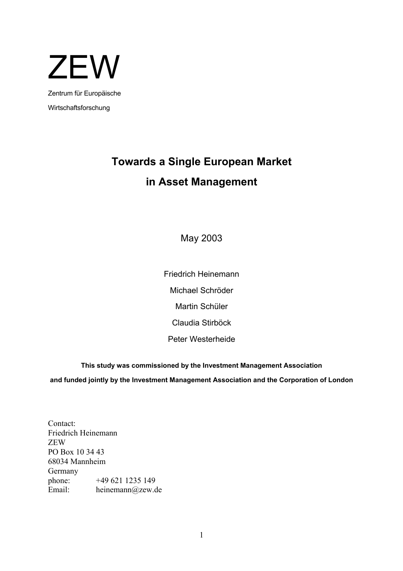

Wirtschaftsforschung

# **Towards a Single European Market in Asset Management**

May 2003

Friedrich Heinemann Michael Schröder Martin Schüler Claudia Stirböck Peter Westerheide

**This study was commissioned by the Investment Management Association and funded jointly by the Investment Management Association and the Corporation of London** 

Contact: Friedrich Heinemann ZEW PO Box 10 34 43 68034 Mannheim Germany phone: +49 621 1235 149 Email: heinemann@zew.de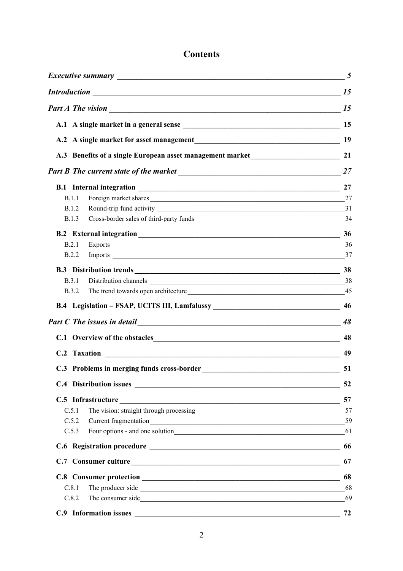# **Contents**

| <b>Introduction</b> 15                                                                                                                                                                                                                         |    |
|------------------------------------------------------------------------------------------------------------------------------------------------------------------------------------------------------------------------------------------------|----|
|                                                                                                                                                                                                                                                |    |
|                                                                                                                                                                                                                                                |    |
|                                                                                                                                                                                                                                                | 19 |
| A.3 Benefits of a single European asset management market                                                                                                                                                                                      | 21 |
|                                                                                                                                                                                                                                                |    |
| B.1 Internal integration 27                                                                                                                                                                                                                    |    |
| Foreign market shares 27<br>B.1.1                                                                                                                                                                                                              |    |
| <b>B.1.2</b>                                                                                                                                                                                                                                   |    |
| Cross-border sales of third-party funds 34<br><b>B.1.3</b>                                                                                                                                                                                     |    |
| B.2 External integration 36                                                                                                                                                                                                                    |    |
| B.2.1                                                                                                                                                                                                                                          |    |
| B.2.2                                                                                                                                                                                                                                          |    |
| B.3 Distribution trends 38                                                                                                                                                                                                                     |    |
| B.3.1                                                                                                                                                                                                                                          |    |
| The trend towards open architecture 15 and 15 and 15 and 15 and 15 and 15 and 15 and 15 and 15 and 15 and 15 and 15 and 15 and 15 and 15 and 15 and 15 and 15 and 15 and 15 and 15 and 15 and 15 and 15 and 15 and 15 and 15 a<br><b>B.3.2</b> |    |
| B.4 Legislation - FSAP, UCITS III, Lamfalussy __________________________________                                                                                                                                                               | 46 |
|                                                                                                                                                                                                                                                | 48 |
|                                                                                                                                                                                                                                                | 48 |
|                                                                                                                                                                                                                                                | 49 |
| C.3 Problems in merging funds cross-border<br>51                                                                                                                                                                                               |    |
|                                                                                                                                                                                                                                                | 52 |
|                                                                                                                                                                                                                                                | 57 |
| C.5.1                                                                                                                                                                                                                                          | 57 |
| C.5.2                                                                                                                                                                                                                                          | 59 |
| C.5.3                                                                                                                                                                                                                                          | 61 |
|                                                                                                                                                                                                                                                | 66 |
| C.7 Consumer culture                                                                                                                                                                                                                           | 67 |
|                                                                                                                                                                                                                                                | 68 |
| C.8.1                                                                                                                                                                                                                                          | 68 |
| C.8.2                                                                                                                                                                                                                                          | 69 |
| C.9 Information issues                                                                                                                                                                                                                         | 72 |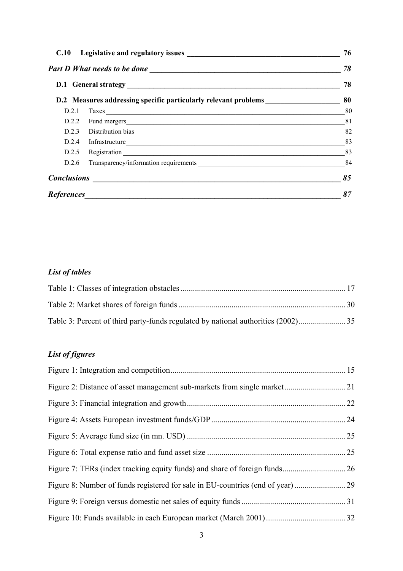| C.10  |                                                                                  | 76 |
|-------|----------------------------------------------------------------------------------|----|
|       | 78                                                                               |    |
|       |                                                                                  | 78 |
|       | D.2 Measures addressing specific particularly relevant problems ________________ | 80 |
| D.2.1 | Taxes 80                                                                         |    |
| D.2.2 | Fund mergers 81                                                                  |    |
|       | D.2.3 Distribution bias 282                                                      |    |
| D.2.4 |                                                                                  |    |
| D.2.5 |                                                                                  | 83 |
| D.2.6 | Transparency/information requirements 84                                         |    |
|       | $Conclusions$ $\qquad \qquad \qquad$                                             | 85 |
|       |                                                                                  | 87 |

# *List of tables*

# *List of figures*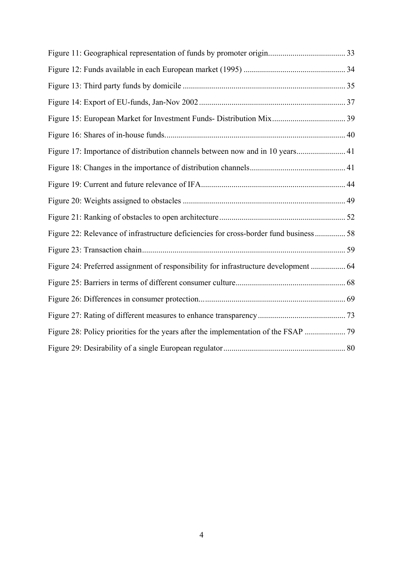| Figure 17: Importance of distribution channels between now and in 10 years 41          |  |
|----------------------------------------------------------------------------------------|--|
|                                                                                        |  |
|                                                                                        |  |
|                                                                                        |  |
|                                                                                        |  |
| Figure 22: Relevance of infrastructure deficiencies for cross-border fund business  58 |  |
|                                                                                        |  |
|                                                                                        |  |
|                                                                                        |  |
|                                                                                        |  |
|                                                                                        |  |
|                                                                                        |  |
|                                                                                        |  |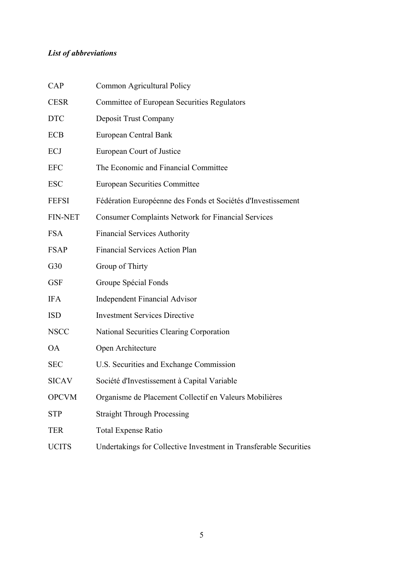# *List of abbreviations*

| CAP            | Common Agricultural Policy                                        |
|----------------|-------------------------------------------------------------------|
| <b>CESR</b>    | <b>Committee of European Securities Regulators</b>                |
| <b>DTC</b>     | Deposit Trust Company                                             |
| <b>ECB</b>     | European Central Bank                                             |
| ECJ            | European Court of Justice                                         |
| <b>EFC</b>     | The Economic and Financial Committee                              |
| <b>ESC</b>     | <b>European Securities Committee</b>                              |
| <b>FEFSI</b>   | Fédération Européenne des Fonds et Sociétés d'Investissement      |
| <b>FIN-NET</b> | <b>Consumer Complaints Network for Financial Services</b>         |
| <b>FSA</b>     | <b>Financial Services Authority</b>                               |
| <b>FSAP</b>    | <b>Financial Services Action Plan</b>                             |
| G30            | Group of Thirty                                                   |
| <b>GSF</b>     | Groupe Spécial Fonds                                              |
| <b>IFA</b>     | <b>Independent Financial Advisor</b>                              |
| <b>ISD</b>     | <b>Investment Services Directive</b>                              |
| <b>NSCC</b>    | National Securities Clearing Corporation                          |
| <b>OA</b>      | Open Architecture                                                 |
| <b>SEC</b>     | U.S. Securities and Exchange Commission                           |
| <b>SICAV</b>   | Société d'Investissement à Capital Variable                       |
| <b>OPCVM</b>   | Organisme de Placement Collectif en Valeurs Mobilières            |
| <b>STP</b>     | <b>Straight Through Processing</b>                                |
| <b>TER</b>     | <b>Total Expense Ratio</b>                                        |
| <b>UCITS</b>   | Undertakings for Collective Investment in Transferable Securities |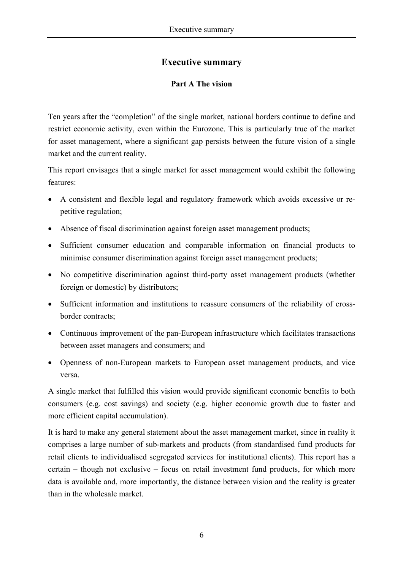# **Executive summary**

#### **Part A The vision**

Ten years after the "completion" of the single market, national borders continue to define and restrict economic activity, even within the Eurozone. This is particularly true of the market for asset management, where a significant gap persists between the future vision of a single market and the current reality.

This report envisages that a single market for asset management would exhibit the following features:

- A consistent and flexible legal and regulatory framework which avoids excessive or repetitive regulation;
- Absence of fiscal discrimination against foreign asset management products;
- Sufficient consumer education and comparable information on financial products to minimise consumer discrimination against foreign asset management products;
- No competitive discrimination against third-party asset management products (whether foreign or domestic) by distributors;
- Sufficient information and institutions to reassure consumers of the reliability of crossborder contracts;
- Continuous improvement of the pan-European infrastructure which facilitates transactions between asset managers and consumers; and
- Openness of non-European markets to European asset management products, and vice versa.

A single market that fulfilled this vision would provide significant economic benefits to both consumers (e.g. cost savings) and society (e.g. higher economic growth due to faster and more efficient capital accumulation).

It is hard to make any general statement about the asset management market, since in reality it comprises a large number of sub-markets and products (from standardised fund products for retail clients to individualised segregated services for institutional clients). This report has a certain – though not exclusive – focus on retail investment fund products, for which more data is available and, more importantly, the distance between vision and the reality is greater than in the wholesale market.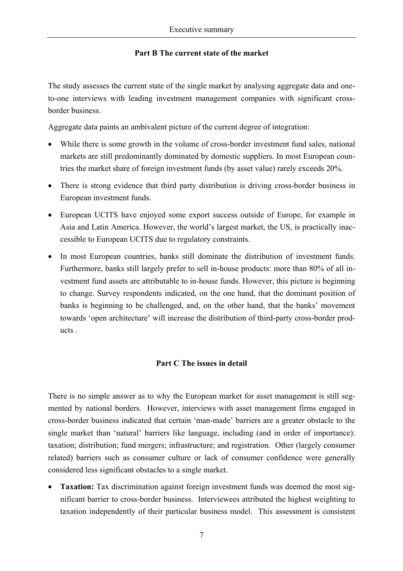#### **Part B The current state of the market**

The study assesses the current state of the single market by analysing aggregate data and oneto-one interviews with leading investment management companies with significant crossborder business.

Aggregate data paints an ambivalent picture of the current degree of integration:

- While there is some growth in the volume of cross-border investment fund sales, national markets are still predominantly dominated by domestic suppliers. In most European countries the market share of foreign investment funds (by asset value) rarely exceeds 20%.
- There is strong evidence that third party distribution is driving cross-border business in European investment funds.
- European UCITS have enjoyed some export success outside of Europe, for example in Asia and Latin America. However, the world's largest market, the US, is practically inaccessible to European UCITS due to regulatory constraints.
- In most European countries, banks still dominate the distribution of investment funds. Furthermore, banks still largely prefer to sell in-house products: more than 80% of all investment fund assets are attributable to in-house funds. However, this picture is beginning to change. Survey respondents indicated, on the one hand, that the dominant position of banks is beginning to be challenged, and, on the other hand, that the banks' movement towards 'open architecture' will increase the distribution of third-party cross-border products .

# **Part C The issues in detail**

There is no simple answer as to why the European market for asset management is still segmented by national borders. However, interviews with asset management firms engaged in cross-border business indicated that certain 'man-made' barriers are a greater obstacle to the single market than 'natural' barriers like language, including (and in order of importance): taxation; distribution; fund mergers; infrastructure; and registration. Other (largely consumer related) barriers such as consumer culture or lack of consumer confidence were generally considered less significant obstacles to a single market.

• **Taxation:** Tax discrimination against foreign investment funds was deemed the most significant barrier to cross-border business. Interviewees attributed the highest weighting to taxation independently of their particular business model. This assessment is consistent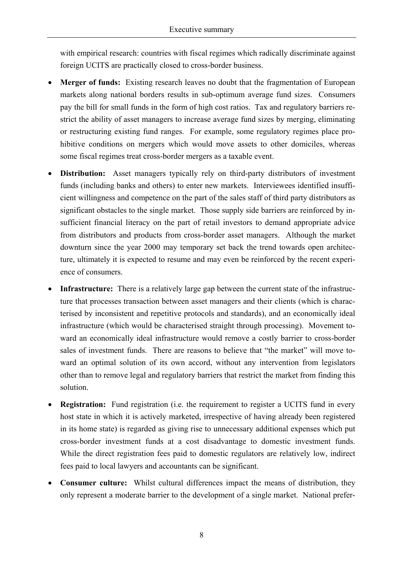with empirical research: countries with fiscal regimes which radically discriminate against foreign UCITS are practically closed to cross-border business.

- **Merger of funds:** Existing research leaves no doubt that the fragmentation of European markets along national borders results in sub-optimum average fund sizes. Consumers pay the bill for small funds in the form of high cost ratios. Tax and regulatory barriers restrict the ability of asset managers to increase average fund sizes by merging, eliminating or restructuring existing fund ranges. For example, some regulatory regimes place prohibitive conditions on mergers which would move assets to other domiciles, whereas some fiscal regimes treat cross-border mergers as a taxable event.
- **Distribution:** Asset managers typically rely on third-party distributors of investment funds (including banks and others) to enter new markets. Interviewees identified insufficient willingness and competence on the part of the sales staff of third party distributors as significant obstacles to the single market. Those supply side barriers are reinforced by insufficient financial literacy on the part of retail investors to demand appropriate advice from distributors and products from cross-border asset managers. Although the market downturn since the year 2000 may temporary set back the trend towards open architecture, ultimately it is expected to resume and may even be reinforced by the recent experience of consumers.
- **Infrastructure:** There is a relatively large gap between the current state of the infrastructure that processes transaction between asset managers and their clients (which is characterised by inconsistent and repetitive protocols and standards), and an economically ideal infrastructure (which would be characterised straight through processing). Movement toward an economically ideal infrastructure would remove a costly barrier to cross-border sales of investment funds. There are reasons to believe that "the market" will move toward an optimal solution of its own accord, without any intervention from legislators other than to remove legal and regulatory barriers that restrict the market from finding this solution.
- **Registration:** Fund registration (i.e. the requirement to register a UCITS fund in every host state in which it is actively marketed, irrespective of having already been registered in its home state) is regarded as giving rise to unnecessary additional expenses which put cross-border investment funds at a cost disadvantage to domestic investment funds. While the direct registration fees paid to domestic regulators are relatively low, indirect fees paid to local lawyers and accountants can be significant.
- **Consumer culture:** Whilst cultural differences impact the means of distribution, they only represent a moderate barrier to the development of a single market. National prefer-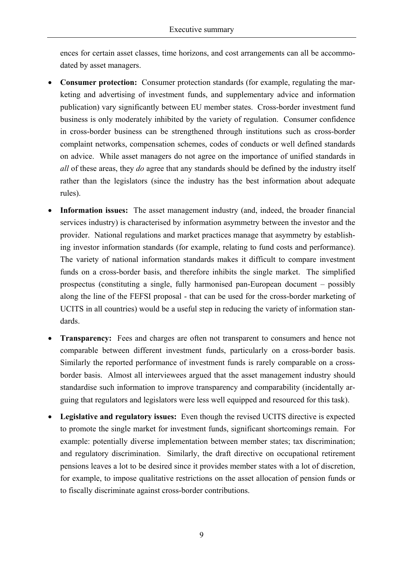ences for certain asset classes, time horizons, and cost arrangements can all be accommodated by asset managers.

- **Consumer protection:** Consumer protection standards (for example, regulating the marketing and advertising of investment funds, and supplementary advice and information publication) vary significantly between EU member states. Cross-border investment fund business is only moderately inhibited by the variety of regulation. Consumer confidence in cross-border business can be strengthened through institutions such as cross-border complaint networks, compensation schemes, codes of conducts or well defined standards on advice. While asset managers do not agree on the importance of unified standards in *all* of these areas, they *do* agree that any standards should be defined by the industry itself rather than the legislators (since the industry has the best information about adequate rules).
- **Information issues:** The asset management industry (and, indeed, the broader financial services industry) is characterised by information asymmetry between the investor and the provider. National regulations and market practices manage that asymmetry by establishing investor information standards (for example, relating to fund costs and performance). The variety of national information standards makes it difficult to compare investment funds on a cross-border basis, and therefore inhibits the single market. The simplified prospectus (constituting a single, fully harmonised pan-European document – possibly along the line of the FEFSI proposal - that can be used for the cross-border marketing of UCITS in all countries) would be a useful step in reducing the variety of information standards.
- **Transparency:** Fees and charges are often not transparent to consumers and hence not comparable between different investment funds, particularly on a cross-border basis. Similarly the reported performance of investment funds is rarely comparable on a crossborder basis. Almost all interviewees argued that the asset management industry should standardise such information to improve transparency and comparability (incidentally arguing that regulators and legislators were less well equipped and resourced for this task).
- **Legislative and regulatory issues:** Even though the revised UCITS directive is expected to promote the single market for investment funds, significant shortcomings remain. For example: potentially diverse implementation between member states; tax discrimination; and regulatory discrimination. Similarly, the draft directive on occupational retirement pensions leaves a lot to be desired since it provides member states with a lot of discretion, for example, to impose qualitative restrictions on the asset allocation of pension funds or to fiscally discriminate against cross-border contributions.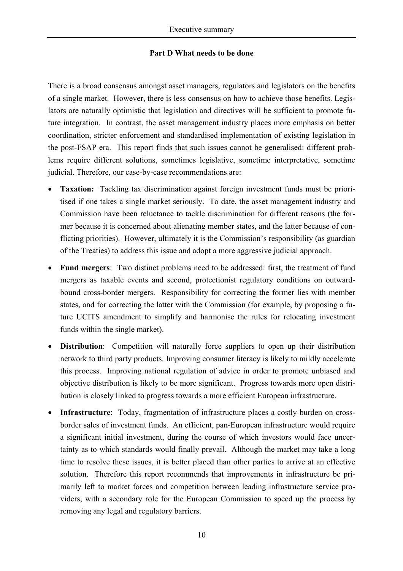#### **Part D What needs to be done**

There is a broad consensus amongst asset managers, regulators and legislators on the benefits of a single market. However, there is less consensus on how to achieve those benefits. Legislators are naturally optimistic that legislation and directives will be sufficient to promote future integration. In contrast, the asset management industry places more emphasis on better coordination, stricter enforcement and standardised implementation of existing legislation in the post-FSAP era. This report finds that such issues cannot be generalised: different problems require different solutions, sometimes legislative, sometime interpretative, sometime judicial. Therefore, our case-by-case recommendations are:

- **Taxation:** Tackling tax discrimination against foreign investment funds must be prioritised if one takes a single market seriously. To date, the asset management industry and Commission have been reluctance to tackle discrimination for different reasons (the former because it is concerned about alienating member states, and the latter because of conflicting priorities). However, ultimately it is the Commission's responsibility (as guardian of the Treaties) to address this issue and adopt a more aggressive judicial approach.
- **Fund mergers**: Two distinct problems need to be addressed: first, the treatment of fund mergers as taxable events and second, protectionist regulatory conditions on outwardbound cross-border mergers. Responsibility for correcting the former lies with member states, and for correcting the latter with the Commission (for example, by proposing a future UCITS amendment to simplify and harmonise the rules for relocating investment funds within the single market).
- **Distribution**: Competition will naturally force suppliers to open up their distribution network to third party products. Improving consumer literacy is likely to mildly accelerate this process. Improving national regulation of advice in order to promote unbiased and objective distribution is likely to be more significant. Progress towards more open distribution is closely linked to progress towards a more efficient European infrastructure.
- **Infrastructure**: Today, fragmentation of infrastructure places a costly burden on crossborder sales of investment funds. An efficient, pan-European infrastructure would require a significant initial investment, during the course of which investors would face uncertainty as to which standards would finally prevail. Although the market may take a long time to resolve these issues, it is better placed than other parties to arrive at an effective solution. Therefore this report recommends that improvements in infrastructure be primarily left to market forces and competition between leading infrastructure service providers, with a secondary role for the European Commission to speed up the process by removing any legal and regulatory barriers.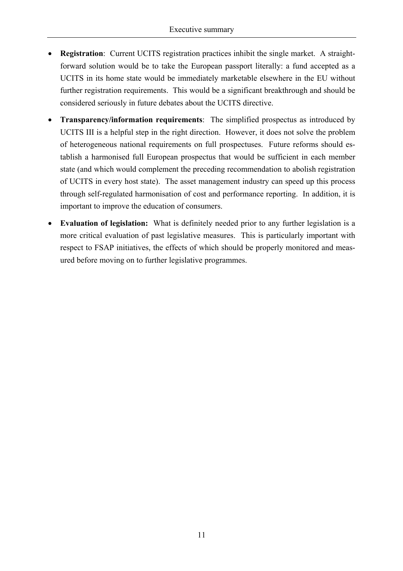- **Registration**: Current UCITS registration practices inhibit the single market. A straightforward solution would be to take the European passport literally: a fund accepted as a UCITS in its home state would be immediately marketable elsewhere in the EU without further registration requirements. This would be a significant breakthrough and should be considered seriously in future debates about the UCITS directive.
- **Transparency/information requirements**: The simplified prospectus as introduced by UCITS III is a helpful step in the right direction. However, it does not solve the problem of heterogeneous national requirements on full prospectuses. Future reforms should establish a harmonised full European prospectus that would be sufficient in each member state (and which would complement the preceding recommendation to abolish registration of UCITS in every host state). The asset management industry can speed up this process through self-regulated harmonisation of cost and performance reporting. In addition, it is important to improve the education of consumers.
- **Evaluation of legislation:** What is definitely needed prior to any further legislation is a more critical evaluation of past legislative measures. This is particularly important with respect to FSAP initiatives, the effects of which should be properly monitored and measured before moving on to further legislative programmes.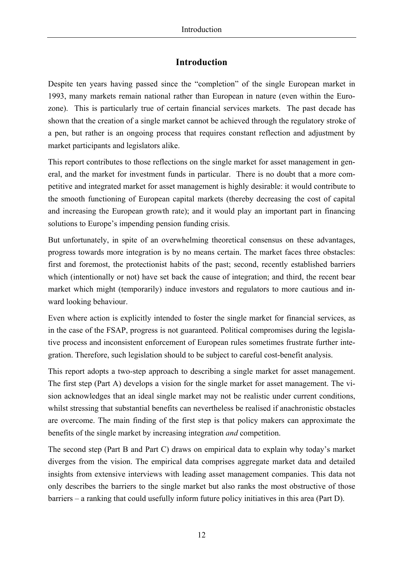# **Introduction**

Despite ten years having passed since the "completion" of the single European market in 1993, many markets remain national rather than European in nature (even within the Eurozone). This is particularly true of certain financial services markets. The past decade has shown that the creation of a single market cannot be achieved through the regulatory stroke of a pen, but rather is an ongoing process that requires constant reflection and adjustment by market participants and legislators alike.

This report contributes to those reflections on the single market for asset management in general, and the market for investment funds in particular. There is no doubt that a more competitive and integrated market for asset management is highly desirable: it would contribute to the smooth functioning of European capital markets (thereby decreasing the cost of capital and increasing the European growth rate); and it would play an important part in financing solutions to Europe's impending pension funding crisis.

But unfortunately, in spite of an overwhelming theoretical consensus on these advantages, progress towards more integration is by no means certain. The market faces three obstacles: first and foremost, the protectionist habits of the past; second, recently established barriers which (intentionally or not) have set back the cause of integration; and third, the recent bear market which might (temporarily) induce investors and regulators to more cautious and inward looking behaviour.

Even where action is explicitly intended to foster the single market for financial services, as in the case of the FSAP, progress is not guaranteed. Political compromises during the legislative process and inconsistent enforcement of European rules sometimes frustrate further integration. Therefore, such legislation should to be subject to careful cost-benefit analysis.

This report adopts a two-step approach to describing a single market for asset management. The first step (Part A) develops a vision for the single market for asset management. The vision acknowledges that an ideal single market may not be realistic under current conditions, whilst stressing that substantial benefits can nevertheless be realised if anachronistic obstacles are overcome. The main finding of the first step is that policy makers can approximate the benefits of the single market by increasing integration *and* competition.

The second step (Part B and Part C) draws on empirical data to explain why today's market diverges from the vision. The empirical data comprises aggregate market data and detailed insights from extensive interviews with leading asset management companies. This data not only describes the barriers to the single market but also ranks the most obstructive of those barriers – a ranking that could usefully inform future policy initiatives in this area (Part D).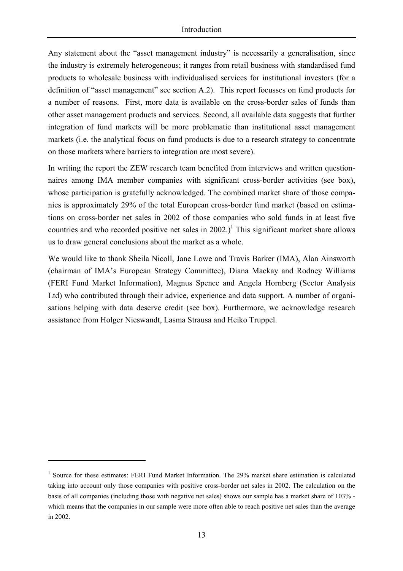Any statement about the "asset management industry" is necessarily a generalisation, since the industry is extremely heterogeneous; it ranges from retail business with standardised fund products to wholesale business with individualised services for institutional investors (for a definition of "asset management" see section A.2). This report focusses on fund products for a number of reasons. First, more data is available on the cross-border sales of funds than other asset management products and services. Second, all available data suggests that further integration of fund markets will be more problematic than institutional asset management markets (i.e. the analytical focus on fund products is due to a research strategy to concentrate on those markets where barriers to integration are most severe).

In writing the report the ZEW research team benefited from interviews and written questionnaires among IMA member companies with significant cross-border activities (see box), whose participation is gratefully acknowledged. The combined market share of those companies is approximately 29% of the total European cross-border fund market (based on estimations on cross-border net sales in 2002 of those companies who sold funds in at least five countries and who recorded positive net sales in  $2002$ .)<sup>1</sup> This significant market share allows us to draw general conclusions about the market as a whole.

We would like to thank Sheila Nicoll, Jane Lowe and Travis Barker (IMA), Alan Ainsworth (chairman of IMA's European Strategy Committee), Diana Mackay and Rodney Williams (FERI Fund Market Information), Magnus Spence and Angela Hornberg (Sector Analysis Ltd) who contributed through their advice, experience and data support. A number of organisations helping with data deserve credit (see box). Furthermore, we acknowledge research assistance from Holger Nieswandt, Lasma Strausa and Heiko Truppel.

 $\overline{a}$ 

<sup>&</sup>lt;sup>1</sup> Source for these estimates: FERI Fund Market Information. The 29% market share estimation is calculated taking into account only those companies with positive cross-border net sales in 2002. The calculation on the basis of all companies (including those with negative net sales) shows our sample has a market share of 103% which means that the companies in our sample were more often able to reach positive net sales than the average in 2002.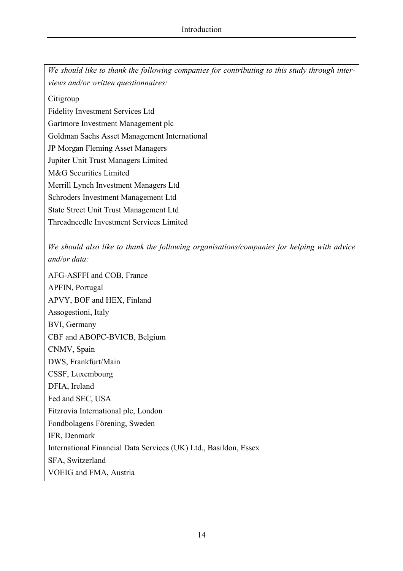*We should like to thank the following companies for contributing to this study through interviews and/or written questionnaires:* 

Citigroup

Fidelity Investment Services Ltd

Gartmore Investment Management plc

Goldman Sachs Asset Management International

JP Morgan Fleming Asset Managers

Jupiter Unit Trust Managers Limited

M&G Securities Limited

Merrill Lynch Investment Managers Ltd

Schroders Investment Management Ltd

State Street Unit Trust Management Ltd

Threadneedle Investment Services Limited

*We should also like to thank the following organisations/companies for helping with advice and/or data:* 

AFG-ASFFI and COB, France APFIN, Portugal APVY, BOF and HEX, Finland Assogestioni, Italy BVI, Germany CBF and ABOPC-BVICB, Belgium CNMV, Spain DWS, Frankfurt/Main CSSF, Luxembourg DFIA, Ireland Fed and SEC, USA Fitzrovia International plc, London Fondbolagens Förening, Sweden IFR, Denmark International Financial Data Services (UK) Ltd., Basildon, Essex SFA, Switzerland VOEIG and FMA, Austria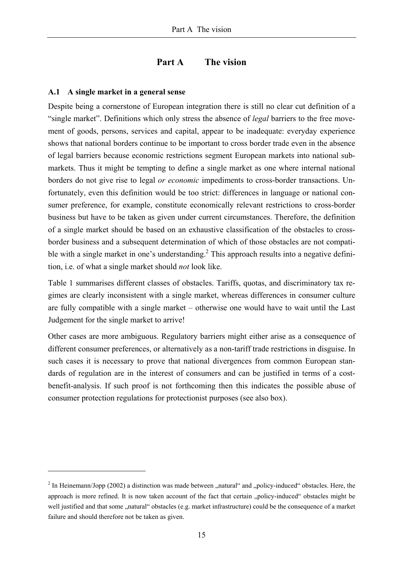# **Part A The vision**

#### **A.1 A single market in a general sense**

 $\overline{a}$ 

Despite being a cornerstone of European integration there is still no clear cut definition of a "single market". Definitions which only stress the absence of *legal* barriers to the free movement of goods, persons, services and capital, appear to be inadequate: everyday experience shows that national borders continue to be important to cross border trade even in the absence of legal barriers because economic restrictions segment European markets into national submarkets. Thus it might be tempting to define a single market as one where internal national borders do not give rise to legal *or economic* impediments to cross-border transactions. Unfortunately, even this definition would be too strict: differences in language or national consumer preference, for example, constitute economically relevant restrictions to cross-border business but have to be taken as given under current circumstances. Therefore, the definition of a single market should be based on an exhaustive classification of the obstacles to crossborder business and a subsequent determination of which of those obstacles are not compatible with a single market in one's understanding.<sup>2</sup> This approach results into a negative definition, i.e. of what a single market should *not* look like.

Table 1 summarises different classes of obstacles. Tariffs, quotas, and discriminatory tax regimes are clearly inconsistent with a single market, whereas differences in consumer culture are fully compatible with a single market – otherwise one would have to wait until the Last Judgement for the single market to arrive!

Other cases are more ambiguous. Regulatory barriers might either arise as a consequence of different consumer preferences, or alternatively as a non-tariff trade restrictions in disguise. In such cases it is necessary to prove that national divergences from common European standards of regulation are in the interest of consumers and can be justified in terms of a costbenefit-analysis. If such proof is not forthcoming then this indicates the possible abuse of consumer protection regulations for protectionist purposes (see also box).

<sup>&</sup>lt;sup>2</sup> In Heinemann/Jopp (2002) a distinction was made between "natural" and "policy-induced" obstacles. Here, the approach is more refined. It is now taken account of the fact that certain "policy-induced" obstacles might be well justified and that some "natural" obstacles (e.g. market infrastructure) could be the consequence of a market failure and should therefore not be taken as given.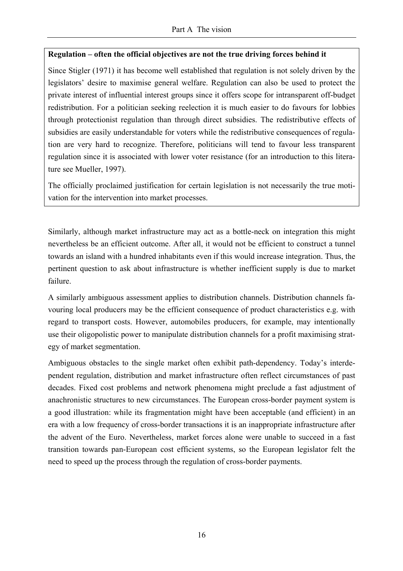# **Regulation – often the official objectives are not the true driving forces behind it**

Since Stigler (1971) it has become well established that regulation is not solely driven by the legislators' desire to maximise general welfare. Regulation can also be used to protect the private interest of influential interest groups since it offers scope for intransparent off-budget redistribution. For a politician seeking reelection it is much easier to do favours for lobbies through protectionist regulation than through direct subsidies. The redistributive effects of subsidies are easily understandable for voters while the redistributive consequences of regulation are very hard to recognize. Therefore, politicians will tend to favour less transparent regulation since it is associated with lower voter resistance (for an introduction to this literature see Mueller, 1997).

The officially proclaimed justification for certain legislation is not necessarily the true motivation for the intervention into market processes.

Similarly, although market infrastructure may act as a bottle-neck on integration this might nevertheless be an efficient outcome. After all, it would not be efficient to construct a tunnel towards an island with a hundred inhabitants even if this would increase integration. Thus, the pertinent question to ask about infrastructure is whether inefficient supply is due to market failure.

A similarly ambiguous assessment applies to distribution channels. Distribution channels favouring local producers may be the efficient consequence of product characteristics e.g. with regard to transport costs. However, automobiles producers, for example, may intentionally use their oligopolistic power to manipulate distribution channels for a profit maximising strategy of market segmentation.

Ambiguous obstacles to the single market often exhibit path-dependency. Today's interdependent regulation, distribution and market infrastructure often reflect circumstances of past decades. Fixed cost problems and network phenomena might preclude a fast adjustment of anachronistic structures to new circumstances. The European cross-border payment system is a good illustration: while its fragmentation might have been acceptable (and efficient) in an era with a low frequency of cross-border transactions it is an inappropriate infrastructure after the advent of the Euro. Nevertheless, market forces alone were unable to succeed in a fast transition towards pan-European cost efficient systems, so the European legislator felt the need to speed up the process through the regulation of cross-border payments.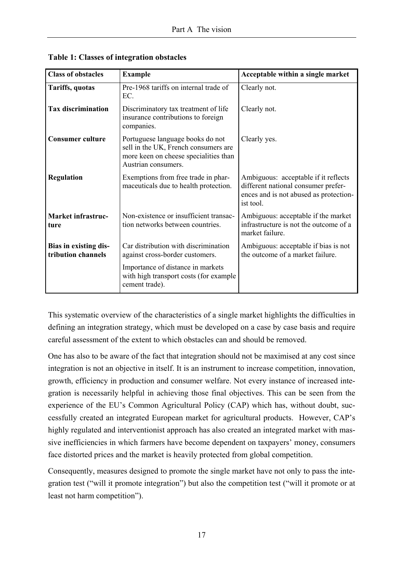| <b>Class of obstacles</b><br><b>Example</b> |                                                                                                                                          | Acceptable within a single market                                                                                                  |  |  |
|---------------------------------------------|------------------------------------------------------------------------------------------------------------------------------------------|------------------------------------------------------------------------------------------------------------------------------------|--|--|
| Tariffs, quotas                             | Pre-1968 tariffs on internal trade of<br>EC.                                                                                             | Clearly not.                                                                                                                       |  |  |
| <b>Tax discrimination</b>                   | Discriminatory tax treatment of life<br>insurance contributions to foreign<br>companies.                                                 | Clearly not.                                                                                                                       |  |  |
| <b>Consumer culture</b>                     | Portuguese language books do not<br>sell in the UK, French consumers are<br>more keen on cheese specialities than<br>Austrian consumers. | Clearly yes.                                                                                                                       |  |  |
| <b>Regulation</b>                           | Exemptions from free trade in phar-<br>maceuticals due to health protection.                                                             | Ambiguous: acceptable if it reflects<br>different national consumer prefer-<br>ences and is not abused as protection-<br>ist tool. |  |  |
| <b>Market infrastruc-</b><br>ture           | Non-existence or insufficient transac-<br>tion networks between countries.                                                               | Ambiguous: acceptable if the market<br>infrastructure is not the outcome of a<br>market failure.                                   |  |  |
| Bias in existing dis-<br>tribution channels | Car distribution with discrimination<br>against cross-border customers.                                                                  | Ambiguous: acceptable if bias is not<br>the outcome of a market failure.                                                           |  |  |
|                                             | Importance of distance in markets<br>with high transport costs (for example<br>cement trade).                                            |                                                                                                                                    |  |  |

**Table 1: Classes of integration obstacles** 

This systematic overview of the characteristics of a single market highlights the difficulties in defining an integration strategy, which must be developed on a case by case basis and require careful assessment of the extent to which obstacles can and should be removed.

One has also to be aware of the fact that integration should not be maximised at any cost since integration is not an objective in itself. It is an instrument to increase competition, innovation, growth, efficiency in production and consumer welfare. Not every instance of increased integration is necessarily helpful in achieving those final objectives. This can be seen from the experience of the EU's Common Agricultural Policy (CAP) which has, without doubt, successfully created an integrated European market for agricultural products. However, CAP's highly regulated and interventionist approach has also created an integrated market with massive inefficiencies in which farmers have become dependent on taxpayers' money, consumers face distorted prices and the market is heavily protected from global competition.

Consequently, measures designed to promote the single market have not only to pass the integration test ("will it promote integration") but also the competition test ("will it promote or at least not harm competition").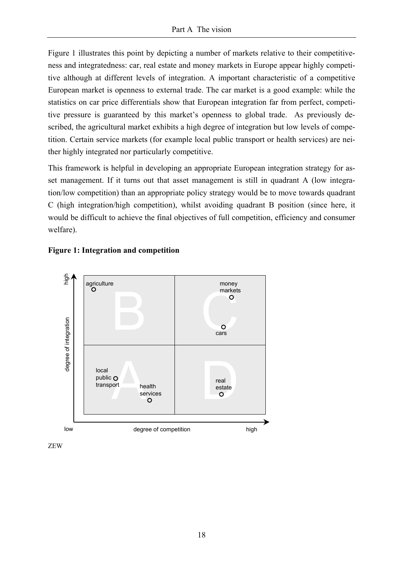Figure 1 illustrates this point by depicting a number of markets relative to their competitiveness and integratedness: car, real estate and money markets in Europe appear highly competitive although at different levels of integration. A important characteristic of a competitive European market is openness to external trade. The car market is a good example: while the statistics on car price differentials show that European integration far from perfect, competitive pressure is guaranteed by this market's openness to global trade. As previously described, the agricultural market exhibits a high degree of integration but low levels of competition. Certain service markets (for example local public transport or health services) are neither highly integrated nor particularly competitive.

This framework is helpful in developing an appropriate European integration strategy for asset management. If it turns out that asset management is still in quadrant A (low integration/low competition) than an appropriate policy strategy would be to move towards quadrant C (high integration/high competition), whilst avoiding quadrant B position (since here, it would be difficult to achieve the final objectives of full competition, efficiency and consumer welfare).





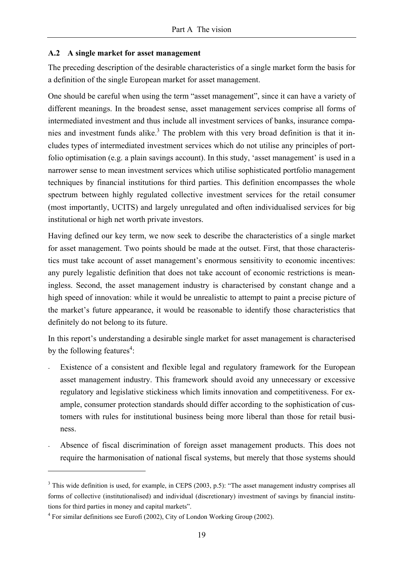#### **A.2 A single market for asset management**

The preceding description of the desirable characteristics of a single market form the basis for a definition of the single European market for asset management.

One should be careful when using the term "asset management", since it can have a variety of different meanings. In the broadest sense, asset management services comprise all forms of intermediated investment and thus include all investment services of banks, insurance companies and investment funds alike.<sup>3</sup> The problem with this very broad definition is that it includes types of intermediated investment services which do not utilise any principles of portfolio optimisation (e.g. a plain savings account). In this study, 'asset management' is used in a narrower sense to mean investment services which utilise sophisticated portfolio management techniques by financial institutions for third parties. This definition encompasses the whole spectrum between highly regulated collective investment services for the retail consumer (most importantly, UCITS) and largely unregulated and often individualised services for big institutional or high net worth private investors.

Having defined our key term, we now seek to describe the characteristics of a single market for asset management. Two points should be made at the outset. First, that those characteristics must take account of asset management's enormous sensitivity to economic incentives: any purely legalistic definition that does not take account of economic restrictions is meaningless. Second, the asset management industry is characterised by constant change and a high speed of innovation: while it would be unrealistic to attempt to paint a precise picture of the market's future appearance, it would be reasonable to identify those characteristics that definitely do not belong to its future.

In this report's understanding a desirable single market for asset management is characterised by the following features<sup>4</sup>:

- Existence of a consistent and flexible legal and regulatory framework for the European asset management industry. This framework should avoid any unnecessary or excessive regulatory and legislative stickiness which limits innovation and competitiveness. For example, consumer protection standards should differ according to the sophistication of customers with rules for institutional business being more liberal than those for retail business.
- Absence of fiscal discrimination of foreign asset management products. This does not require the harmonisation of national fiscal systems, but merely that those systems should

 $\overline{a}$ 

 $3$  This wide definition is used, for example, in CEPS (2003, p.5): "The asset management industry comprises all forms of collective (institutionalised) and individual (discretionary) investment of savings by financial institutions for third parties in money and capital markets".

 $4$  For similar definitions see Eurofi (2002), City of London Working Group (2002).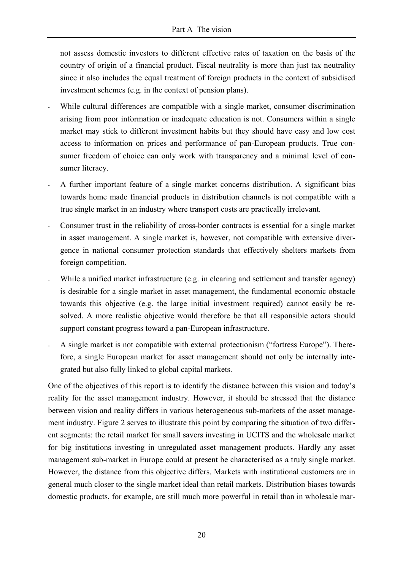not assess domestic investors to different effective rates of taxation on the basis of the country of origin of a financial product. Fiscal neutrality is more than just tax neutrality since it also includes the equal treatment of foreign products in the context of subsidised investment schemes (e.g. in the context of pension plans).

- While cultural differences are compatible with a single market, consumer discrimination arising from poor information or inadequate education is not. Consumers within a single market may stick to different investment habits but they should have easy and low cost access to information on prices and performance of pan-European products. True consumer freedom of choice can only work with transparency and a minimal level of consumer literacy.
- A further important feature of a single market concerns distribution. A significant bias towards home made financial products in distribution channels is not compatible with a true single market in an industry where transport costs are practically irrelevant.
- Consumer trust in the reliability of cross-border contracts is essential for a single market in asset management. A single market is, however, not compatible with extensive divergence in national consumer protection standards that effectively shelters markets from foreign competition.
- While a unified market infrastructure (e.g. in clearing and settlement and transfer agency) is desirable for a single market in asset management, the fundamental economic obstacle towards this objective (e.g. the large initial investment required) cannot easily be resolved. A more realistic objective would therefore be that all responsible actors should support constant progress toward a pan-European infrastructure.
- A single market is not compatible with external protectionism ("fortress Europe"). Therefore, a single European market for asset management should not only be internally integrated but also fully linked to global capital markets.

One of the objectives of this report is to identify the distance between this vision and today's reality for the asset management industry. However, it should be stressed that the distance between vision and reality differs in various heterogeneous sub-markets of the asset management industry. Figure 2 serves to illustrate this point by comparing the situation of two different segments: the retail market for small savers investing in UCITS and the wholesale market for big institutions investing in unregulated asset management products. Hardly any asset management sub-market in Europe could at present be characterised as a truly single market. However, the distance from this objective differs. Markets with institutional customers are in general much closer to the single market ideal than retail markets. Distribution biases towards domestic products, for example, are still much more powerful in retail than in wholesale mar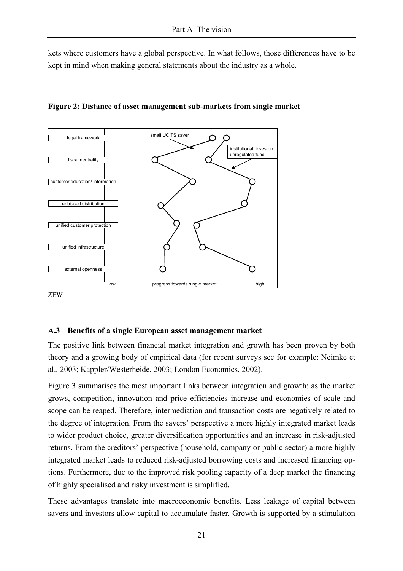kets where customers have a global perspective. In what follows, those differences have to be kept in mind when making general statements about the industry as a whole.



**Figure 2: Distance of asset management sub-markets from single market** 

ZEW

#### **A.3 Benefits of a single European asset management market**

The positive link between financial market integration and growth has been proven by both theory and a growing body of empirical data (for recent surveys see for example: Neimke et al., 2003; Kappler/Westerheide, 2003; London Economics, 2002).

Figure 3 summarises the most important links between integration and growth: as the market grows, competition, innovation and price efficiencies increase and economies of scale and scope can be reaped. Therefore, intermediation and transaction costs are negatively related to the degree of integration. From the savers' perspective a more highly integrated market leads to wider product choice, greater diversification opportunities and an increase in risk-adjusted returns. From the creditors' perspective (household, company or public sector) a more highly integrated market leads to reduced risk-adjusted borrowing costs and increased financing options. Furthermore, due to the improved risk pooling capacity of a deep market the financing of highly specialised and risky investment is simplified.

These advantages translate into macroeconomic benefits. Less leakage of capital between savers and investors allow capital to accumulate faster. Growth is supported by a stimulation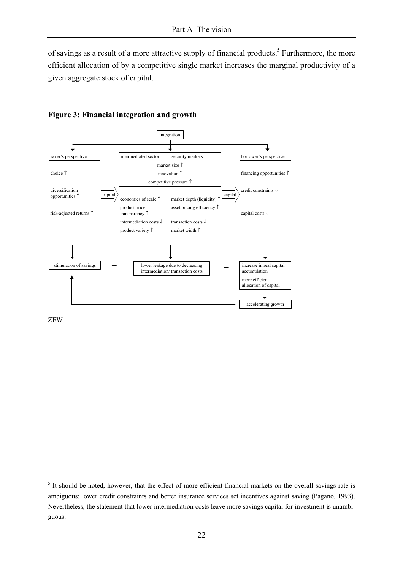of savings as a result of a more attractive supply of financial products.<sup>5</sup> Furthermore, the more efficient allocation of by a competitive single market increases the marginal productivity of a given aggregate stock of capital.



#### **Figure 3: Financial integration and growth**

ZEW

 $\overline{a}$ 

<sup>&</sup>lt;sup>5</sup> It should be noted, however, that the effect of more efficient financial markets on the overall savings rate is ambiguous: lower credit constraints and better insurance services set incentives against saving (Pagano, 1993). Nevertheless, the statement that lower intermediation costs leave more savings capital for investment is unambiguous.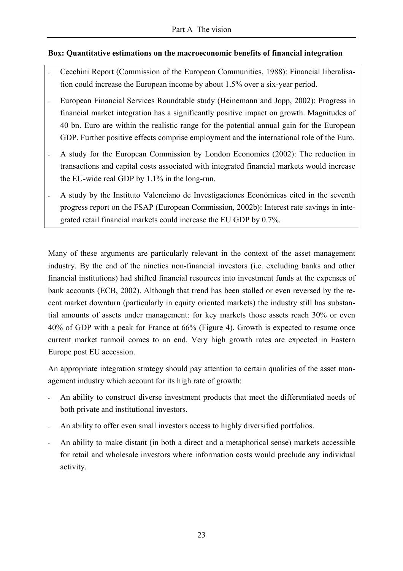#### **Box: Quantitative estimations on the macroeconomic benefits of financial integration**

- Cecchini Report (Commission of the European Communities, 1988): Financial liberalisation could increase the European income by about 1.5% over a six-year period.
- European Financial Services Roundtable study (Heinemann and Jopp, 2002): Progress in financial market integration has a significantly positive impact on growth. Magnitudes of 40 bn. Euro are within the realistic range for the potential annual gain for the European GDP. Further positive effects comprise employment and the international role of the Euro.
- A study for the European Commission by London Economics (2002): The reduction in transactions and capital costs associated with integrated financial markets would increase the EU-wide real GDP by 1.1% in the long-run.
- A study by the Instituto Valenciano de Investigaciones Económicas cited in the seventh progress report on the FSAP (European Commission, 2002b): Interest rate savings in integrated retail financial markets could increase the EU GDP by 0.7%.

Many of these arguments are particularly relevant in the context of the asset management industry. By the end of the nineties non-financial investors (i.e. excluding banks and other financial institutions) had shifted financial resources into investment funds at the expenses of bank accounts (ECB, 2002). Although that trend has been stalled or even reversed by the recent market downturn (particularly in equity oriented markets) the industry still has substantial amounts of assets under management: for key markets those assets reach 30% or even 40% of GDP with a peak for France at 66% (Figure 4). Growth is expected to resume once current market turmoil comes to an end. Very high growth rates are expected in Eastern Europe post EU accession.

An appropriate integration strategy should pay attention to certain qualities of the asset management industry which account for its high rate of growth:

- An ability to construct diverse investment products that meet the differentiated needs of both private and institutional investors.
- An ability to offer even small investors access to highly diversified portfolios.
- An ability to make distant (in both a direct and a metaphorical sense) markets accessible for retail and wholesale investors where information costs would preclude any individual activity.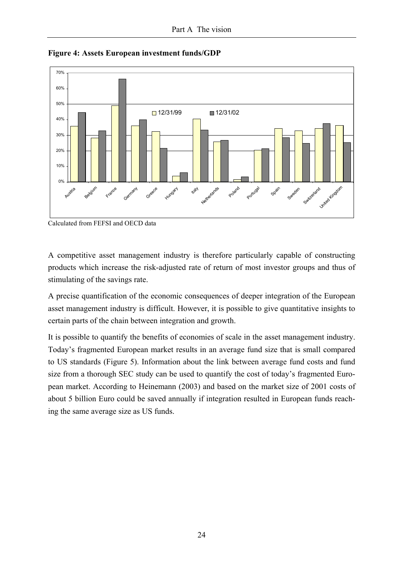

**Figure 4: Assets European investment funds/GDP** 

Calculated from FEFSI and OECD data

A competitive asset management industry is therefore particularly capable of constructing products which increase the risk-adjusted rate of return of most investor groups and thus of stimulating of the savings rate.

A precise quantification of the economic consequences of deeper integration of the European asset management industry is difficult. However, it is possible to give quantitative insights to certain parts of the chain between integration and growth.

It is possible to quantify the benefits of economies of scale in the asset management industry. Today's fragmented European market results in an average fund size that is small compared to US standards (Figure 5). Information about the link between average fund costs and fund size from a thorough SEC study can be used to quantify the cost of today's fragmented European market. According to Heinemann (2003) and based on the market size of 2001 costs of about 5 billion Euro could be saved annually if integration resulted in European funds reaching the same average size as US funds.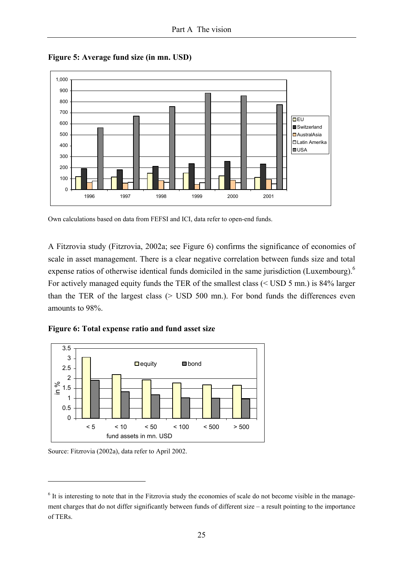

**Figure 5: Average fund size (in mn. USD)** 

Own calculations based on data from FEFSI and ICI, data refer to open-end funds.

A Fitzrovia study (Fitzrovia, 2002a; see Figure 6) confirms the significance of economies of scale in asset management. There is a clear negative correlation between funds size and total expense ratios of otherwise identical funds domiciled in the same jurisdiction (Luxembourg).<sup>6</sup> For actively managed equity funds the TER of the smallest class (< USD 5 mn.) is 84% larger than the TER of the largest class (> USD 500 mn.). For bond funds the differences even amounts to 98%.

**Figure 6: Total expense ratio and fund asset size** 



Source: Fitzrovia (2002a), data refer to April 2002.

 $\overline{a}$ 

<sup>&</sup>lt;sup>6</sup> It is interesting to note that in the Fitzrovia study the economies of scale do not become visible in the management charges that do not differ significantly between funds of different size – a result pointing to the importance of TERs.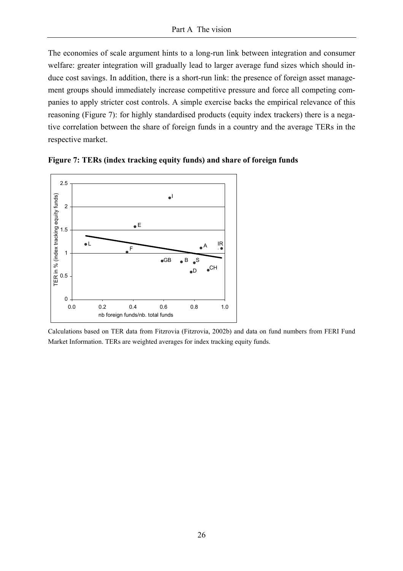The economies of scale argument hints to a long-run link between integration and consumer welfare: greater integration will gradually lead to larger average fund sizes which should induce cost savings. In addition, there is a short-run link: the presence of foreign asset management groups should immediately increase competitive pressure and force all competing companies to apply stricter cost controls. A simple exercise backs the empirical relevance of this reasoning (Figure 7): for highly standardised products (equity index trackers) there is a negative correlation between the share of foreign funds in a country and the average TERs in the respective market.



**Figure 7: TERs (index tracking equity funds) and share of foreign funds** 

Calculations based on TER data from Fitzrovia (Fitzrovia, 2002b) and data on fund numbers from FERI Fund Market Information. TERs are weighted averages for index tracking equity funds.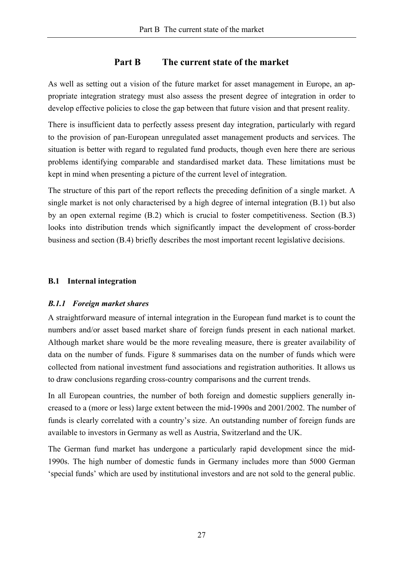# **Part B The current state of the market**

As well as setting out a vision of the future market for asset management in Europe, an appropriate integration strategy must also assess the present degree of integration in order to develop effective policies to close the gap between that future vision and that present reality.

There is insufficient data to perfectly assess present day integration, particularly with regard to the provision of pan-European unregulated asset management products and services. The situation is better with regard to regulated fund products, though even here there are serious problems identifying comparable and standardised market data. These limitations must be kept in mind when presenting a picture of the current level of integration.

The structure of this part of the report reflects the preceding definition of a single market. A single market is not only characterised by a high degree of internal integration (B.1) but also by an open external regime (B.2) which is crucial to foster competitiveness. Section (B.3) looks into distribution trends which significantly impact the development of cross-border business and section (B.4) briefly describes the most important recent legislative decisions.

#### **B.1 Internal integration**

# *B.1.1 Foreign market shares*

A straightforward measure of internal integration in the European fund market is to count the numbers and/or asset based market share of foreign funds present in each national market. Although market share would be the more revealing measure, there is greater availability of data on the number of funds. Figure 8 summarises data on the number of funds which were collected from national investment fund associations and registration authorities. It allows us to draw conclusions regarding cross-country comparisons and the current trends.

In all European countries, the number of both foreign and domestic suppliers generally increased to a (more or less) large extent between the mid-1990s and 2001/2002. The number of funds is clearly correlated with a country's size. An outstanding number of foreign funds are available to investors in Germany as well as Austria, Switzerland and the UK.

The German fund market has undergone a particularly rapid development since the mid-1990s. The high number of domestic funds in Germany includes more than 5000 German 'special funds' which are used by institutional investors and are not sold to the general public.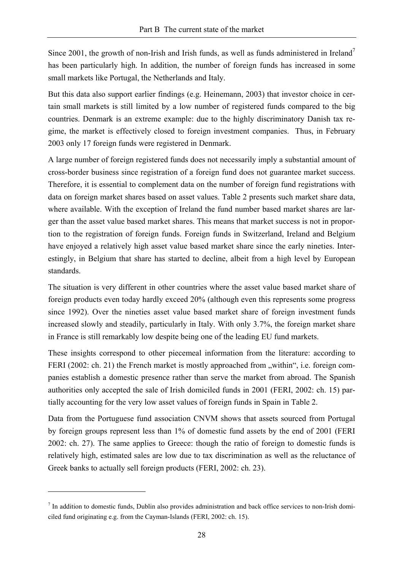Since 2001, the growth of non-Irish and Irish funds, as well as funds administered in Ireland<sup>7</sup> has been particularly high. In addition, the number of foreign funds has increased in some small markets like Portugal, the Netherlands and Italy.

But this data also support earlier findings (e.g. Heinemann, 2003) that investor choice in certain small markets is still limited by a low number of registered funds compared to the big countries. Denmark is an extreme example: due to the highly discriminatory Danish tax regime, the market is effectively closed to foreign investment companies. Thus, in February 2003 only 17 foreign funds were registered in Denmark.

A large number of foreign registered funds does not necessarily imply a substantial amount of cross-border business since registration of a foreign fund does not guarantee market success. Therefore, it is essential to complement data on the number of foreign fund registrations with data on foreign market shares based on asset values. Table 2 presents such market share data, where available. With the exception of Ireland the fund number based market shares are larger than the asset value based market shares. This means that market success is not in proportion to the registration of foreign funds. Foreign funds in Switzerland, Ireland and Belgium have enjoyed a relatively high asset value based market share since the early nineties. Interestingly, in Belgium that share has started to decline, albeit from a high level by European standards.

The situation is very different in other countries where the asset value based market share of foreign products even today hardly exceed 20% (although even this represents some progress since 1992). Over the nineties asset value based market share of foreign investment funds increased slowly and steadily, particularly in Italy. With only 3.7%, the foreign market share in France is still remarkably low despite being one of the leading EU fund markets.

These insights correspond to other piecemeal information from the literature: according to FERI (2002: ch. 21) the French market is mostly approached from "within", i.e. foreign companies establish a domestic presence rather than serve the market from abroad. The Spanish authorities only accepted the sale of Irish domiciled funds in 2001 (FERI, 2002: ch. 15) partially accounting for the very low asset values of foreign funds in Spain in Table 2.

Data from the Portuguese fund association CNVM shows that assets sourced from Portugal by foreign groups represent less than 1% of domestic fund assets by the end of 2001 (FERI 2002: ch. 27). The same applies to Greece: though the ratio of foreign to domestic funds is relatively high, estimated sales are low due to tax discrimination as well as the reluctance of Greek banks to actually sell foreign products (FERI, 2002: ch. 23).

 $\overline{a}$ 

 $<sup>7</sup>$  In addition to domestic funds, Dublin also provides administration and back office services to non-Irish domi-</sup> ciled fund originating e.g. from the Cayman-Islands (FERI, 2002: ch. 15).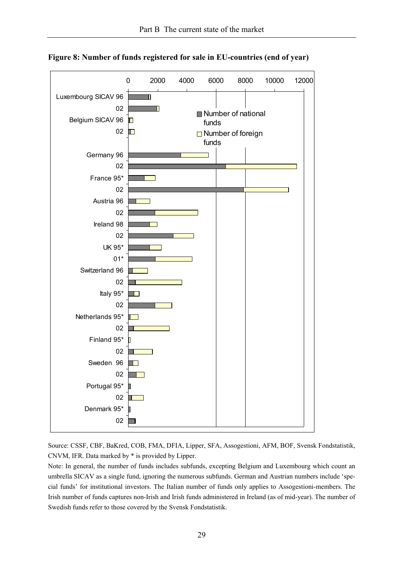

**Figure 8: Number of funds registered for sale in EU-countries (end of year)** 

Source: CSSF, CBF, BaKred, COB, FMA, DFIA, Lipper, SFA, Assogestioni, AFM, BOF, Svensk Fondstatistik, CNVM, IFR. Data marked by \* is provided by Lipper.

Note: In general, the number of funds includes subfunds, excepting Belgium and Luxembourg which count an umbrella SICAV as a single fund, ignoring the numerous subfunds. German and Austrian numbers include 'special funds' for institutional investors. The Italian number of funds only applies to Assogestioni-members. The Irish number of funds captures non-Irish and Irish funds administered in Ireland (as of mid-year). The number of Swedish funds refer to those covered by the Svensk Fondstatistik.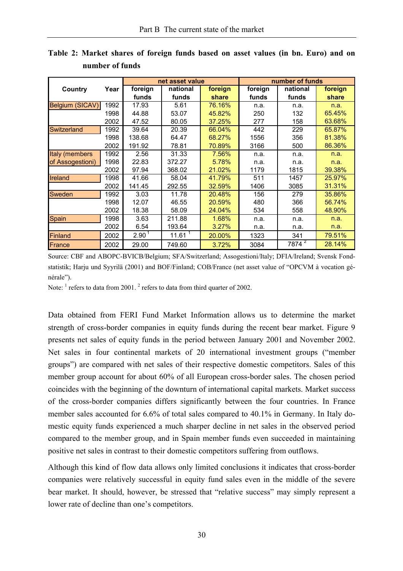|                  |      |                   | net asset value    |         | number of funds |                   |         |  |
|------------------|------|-------------------|--------------------|---------|-----------------|-------------------|---------|--|
| Country          | Year | foreign           | national           | foreign | foreign         | national          | foreign |  |
|                  |      | funds             | funds              | share   | funds           | funds             | share   |  |
| Belgium (SICAV)  | 1992 | 17.93             | 5.61               | 76.16%  | n.a.            | n.a.              | n.a.    |  |
|                  | 1998 | 44.88             | 53.07              | 45.82%  | 250             | 132               | 65.45%  |  |
|                  | 2002 | 47.52             | 80.05              | 37.25%  | 277             | 158               | 63.68%  |  |
| Switzerland      | 1992 | 39.64             | 20.39              | 66.04%  | 442             | 229               | 65.87%  |  |
|                  | 1998 | 138.68            | 64.47              | 68.27%  | 1556            | 356               | 81.38%  |  |
|                  | 2002 | 191.92            | 78.81              | 70.89%  | 3166            | 500               | 86.36%  |  |
| Italy (members   | 1992 | 2.56              | 31.33              | 7.56%   | n.a.            | n.a.              | n.a.    |  |
| of Assogestioni) | 1998 | 22.83             | 372.27             | 5.78%   | n.a.            | n.a.              | n.a.    |  |
|                  | 2002 | 97.94             | 368.02             | 21.02%  | 1179            | 1815              | 39.38%  |  |
| Ireland          | 1998 | 41.66             | 58.04              | 41.79%  | 511             | 1457              | 25.97%  |  |
|                  | 2002 | 141.45            | 292.55             | 32.59%  | 1406            | 3085              | 31.31%  |  |
| Sweden           | 1992 | 3.03              | 11.78              | 20.48%  | 156             | 279               | 35.86%  |  |
|                  | 1998 | 12.07             | 46.55              | 20.59%  | 480             | 366               | 56.74%  |  |
|                  | 2002 | 18.38             | 58.09              | 24.04%  | 534             | 558               | 48.90%  |  |
| Spain            | 1998 | 3.63              | 211.88             | 1.68%   | n.a.            | n.a.              | n.a.    |  |
|                  | 2002 | 6.54              | 193.64             | 3.27%   | n.a.            | n.a.              | n.a.    |  |
| Finland          | 2002 | 2.90 <sup>1</sup> | 11.61 <sup>1</sup> | 20.00%  | 1323            | 341               | 79.51%  |  |
| France           | 2002 | 29.00             | 749.60             | 3.72%   | 3084            | 7874 <sup>2</sup> | 28.14%  |  |

**Table 2: Market shares of foreign funds based on asset values (in bn. Euro) and on number of funds** 

Source: CBF and ABOPC-BVICB/Belgium; SFA/Switzerland; Assogestioni/Italy; DFIA/Ireland; Svensk Fondstatistik; Harju und Syyrilä (2001) and BOF/Finland; COB/France (net asset value of "OPCVM à vocation générale").

Note:  $<sup>1</sup>$  refers to data from 2001.  $<sup>2</sup>$  refers to data from third quarter of 2002.</sup></sup>

Data obtained from FERI Fund Market Information allows us to determine the market strength of cross-border companies in equity funds during the recent bear market. Figure 9 presents net sales of equity funds in the period between January 2001 and November 2002. Net sales in four continental markets of 20 international investment groups ("member groups") are compared with net sales of their respective domestic competitors. Sales of this member group account for about 60% of all European cross-border sales. The chosen period coincides with the beginning of the downturn of international capital markets. Market success of the cross-border companies differs significantly between the four countries. In France member sales accounted for 6.6% of total sales compared to 40.1% in Germany. In Italy domestic equity funds experienced a much sharper decline in net sales in the observed period compared to the member group, and in Spain member funds even succeeded in maintaining positive net sales in contrast to their domestic competitors suffering from outflows.

Although this kind of flow data allows only limited conclusions it indicates that cross-border companies were relatively successful in equity fund sales even in the middle of the severe bear market. It should, however, be stressed that "relative success" may simply represent a lower rate of decline than one's competitors.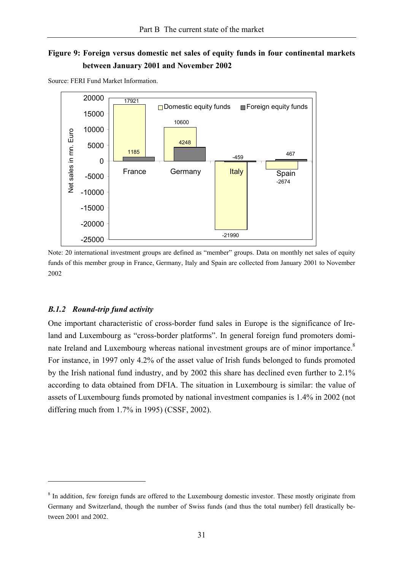# **Figure 9: Foreign versus domestic net sales of equity funds in four continental markets between January 2001 and November 2002**



Source: FERI Fund Market Information.

Note: 20 international investment groups are defined as "member" groups. Data on monthly net sales of equity funds of this member group in France, Germany, Italy and Spain are collected from January 2001 to November 2002

#### *B.1.2 Round-trip fund activity*

 $\overline{a}$ 

One important characteristic of cross-border fund sales in Europe is the significance of Ireland and Luxembourg as "cross-border platforms". In general foreign fund promoters dominate Ireland and Luxembourg whereas national investment groups are of minor importance.<sup>8</sup> For instance, in 1997 only 4.2% of the asset value of Irish funds belonged to funds promoted by the Irish national fund industry, and by 2002 this share has declined even further to 2.1% according to data obtained from DFIA. The situation in Luxembourg is similar: the value of assets of Luxembourg funds promoted by national investment companies is 1.4% in 2002 (not differing much from 1.7% in 1995) (CSSF, 2002).

<sup>&</sup>lt;sup>8</sup> In addition, few foreign funds are offered to the Luxembourg domestic investor. These mostly originate from Germany and Switzerland, though the number of Swiss funds (and thus the total number) fell drastically between 2001 and 2002.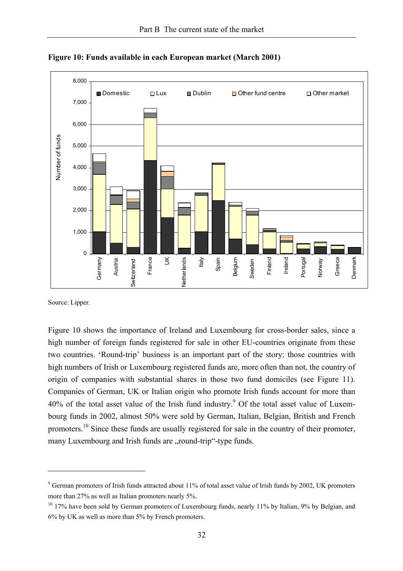

**Figure 10: Funds available in each European market (March 2001)** 

Source: Lipper.

 $\overline{a}$ 

Figure 10 shows the importance of Ireland and Luxembourg for cross-border sales, since a high number of foreign funds registered for sale in other EU-countries originate from these two countries. 'Round-trip' business is an important part of the story: those countries with high numbers of Irish or Luxembourg registered funds are, more often than not, the country of origin of companies with substantial shares in those two fund domiciles (see Figure 11). Companies of German, UK or Italian origin who promote Irish funds account for more than 40% of the total asset value of the Irish fund industry.<sup>9</sup> Of the total asset value of Luxembourg funds in 2002, almost 50% were sold by German, Italian, Belgian, British and French promoters.<sup>10</sup> Since these funds are usually registered for sale in the country of their promoter, many Luxembourg and Irish funds are "round-trip"-type funds.

<sup>&</sup>lt;sup>9</sup> German promoters of Irish funds attracted about 11% of total asset value of Irish funds by 2002, UK promoters more than 27% as well as Italian promoters nearly 5%.

<sup>&</sup>lt;sup>10</sup> 17% have been sold by German promoters of Luxembourg funds, nearly 11% by Italian, 9% by Belgian, and 6% by UK as well as more than 5% by French promoters.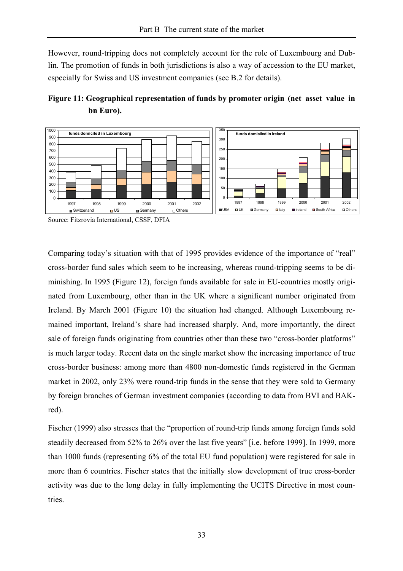However, round-tripping does not completely account for the role of Luxembourg and Dublin. The promotion of funds in both jurisdictions is also a way of accession to the EU market, especially for Swiss and US investment companies (see B.2 for details).





Source: Fitzrovia International, CSSF, DFIA

Comparing today's situation with that of 1995 provides evidence of the importance of "real" cross-border fund sales which seem to be increasing, whereas round-tripping seems to be diminishing. In 1995 (Figure 12), foreign funds available for sale in EU-countries mostly originated from Luxembourg, other than in the UK where a significant number originated from Ireland. By March 2001 (Figure 10) the situation had changed. Although Luxembourg remained important, Ireland's share had increased sharply. And, more importantly, the direct sale of foreign funds originating from countries other than these two "cross-border platforms" is much larger today. Recent data on the single market show the increasing importance of true cross-border business: among more than 4800 non-domestic funds registered in the German market in 2002, only 23% were round-trip funds in the sense that they were sold to Germany by foreign branches of German investment companies (according to data from BVI and BAKred).

Fischer (1999) also stresses that the "proportion of round-trip funds among foreign funds sold steadily decreased from 52% to 26% over the last five years" [i.e. before 1999]. In 1999, more than 1000 funds (representing 6% of the total EU fund population) were registered for sale in more than 6 countries. Fischer states that the initially slow development of true cross-border activity was due to the long delay in fully implementing the UCITS Directive in most countries.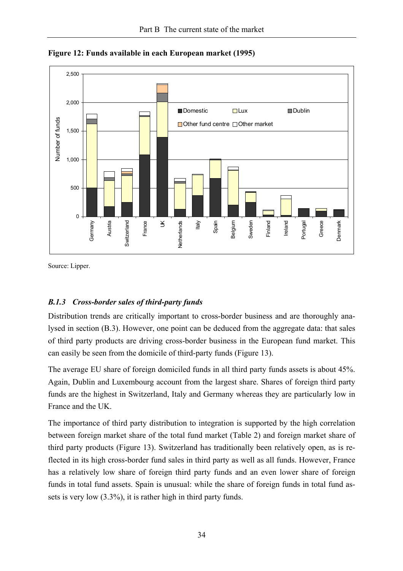

**Figure 12: Funds available in each European market (1995)** 

Source: Lipper.

# *B.1.3 Cross-border sales of third-party funds*

Distribution trends are critically important to cross-border business and are thoroughly analysed in section (B.3). However, one point can be deduced from the aggregate data: that sales of third party products are driving cross-border business in the European fund market. This can easily be seen from the domicile of third-party funds (Figure 13).

The average EU share of foreign domiciled funds in all third party funds assets is about 45%. Again, Dublin and Luxembourg account from the largest share. Shares of foreign third party funds are the highest in Switzerland, Italy and Germany whereas they are particularly low in France and the UK.

The importance of third party distribution to integration is supported by the high correlation between foreign market share of the total fund market (Table 2) and foreign market share of third party products (Figure 13). Switzerland has traditionally been relatively open, as is reflected in its high cross-border fund sales in third party as well as all funds. However, France has a relatively low share of foreign third party funds and an even lower share of foreign funds in total fund assets. Spain is unusual: while the share of foreign funds in total fund assets is very low (3.3%), it is rather high in third party funds.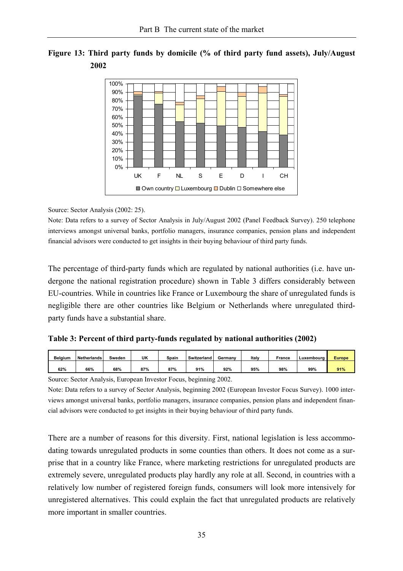



Source: Sector Analysis (2002: 25).

Note: Data refers to a survey of Sector Analysis in July/August 2002 (Panel Feedback Survey). 250 telephone interviews amongst universal banks, portfolio managers, insurance companies, pension plans and independent financial advisors were conducted to get insights in their buying behaviour of third party funds.

The percentage of third-party funds which are regulated by national authorities (i.e. have undergone the national registration procedure) shown in Table 3 differs considerably between EU-countries. While in countries like France or Luxembourg the share of unregulated funds is negligible there are other countries like Belgium or Netherlands where unregulated thirdparty funds have a substantial share.

| Table 3: Percent of third party-funds regulated by national authorities (2002) |  |  |  |  |  |
|--------------------------------------------------------------------------------|--|--|--|--|--|
|--------------------------------------------------------------------------------|--|--|--|--|--|

| <b>Belaium</b> | Netherlands | Sweden | UK  | Spain | Switzerland | Germany | Italy | France | Luxembourg | <b>Europe</b> |
|----------------|-------------|--------|-----|-------|-------------|---------|-------|--------|------------|---------------|
| 62%            | 66%         | 68%    | 87% | 87%   | 91%         | 92%     | 95%   | 98%    | 99%        | 91%           |

Source: Sector Analysis, European Investor Focus, beginning 2002.

Note: Data refers to a survey of Sector Analysis, beginning 2002 (European Investor Focus Survey). 1000 interviews amongst universal banks, portfolio managers, insurance companies, pension plans and independent financial advisors were conducted to get insights in their buying behaviour of third party funds.

There are a number of reasons for this diversity. First, national legislation is less accommodating towards unregulated products in some counties than others. It does not come as a surprise that in a country like France, where marketing restrictions for unregulated products are extremely severe, unregulated products play hardly any role at all. Second, in countries with a relatively low number of registered foreign funds, consumers will look more intensively for unregistered alternatives. This could explain the fact that unregulated products are relatively more important in smaller countries.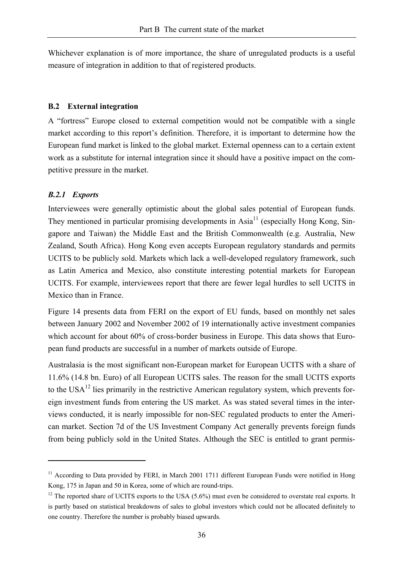Whichever explanation is of more importance, the share of unregulated products is a useful measure of integration in addition to that of registered products.

#### **B.2 External integration**

A "fortress" Europe closed to external competition would not be compatible with a single market according to this report's definition. Therefore, it is important to determine how the European fund market is linked to the global market. External openness can to a certain extent work as a substitute for internal integration since it should have a positive impact on the competitive pressure in the market.

# *B.2.1 Exports*

 $\overline{a}$ 

Interviewees were generally optimistic about the global sales potential of European funds. They mentioned in particular promising developments in  $\text{Asia}^{11}$  (especially Hong Kong, Singapore and Taiwan) the Middle East and the British Commonwealth (e.g. Australia, New Zealand, South Africa). Hong Kong even accepts European regulatory standards and permits UCITS to be publicly sold. Markets which lack a well-developed regulatory framework, such as Latin America and Mexico, also constitute interesting potential markets for European UCITS. For example, interviewees report that there are fewer legal hurdles to sell UCITS in Mexico than in France.

Figure 14 presents data from FERI on the export of EU funds, based on monthly net sales between January 2002 and November 2002 of 19 internationally active investment companies which account for about 60% of cross-border business in Europe. This data shows that European fund products are successful in a number of markets outside of Europe.

Australasia is the most significant non-European market for European UCITS with a share of 11.6% (14.8 bn. Euro) of all European UCITS sales. The reason for the small UCITS exports to the USA<sup>12</sup> lies primarily in the restrictive American regulatory system, which prevents foreign investment funds from entering the US market. As was stated several times in the interviews conducted, it is nearly impossible for non-SEC regulated products to enter the American market. Section 7d of the US Investment Company Act generally prevents foreign funds from being publicly sold in the United States. Although the SEC is entitled to grant permis-

<sup>&</sup>lt;sup>11</sup> According to Data provided by FERI, in March 2001 1711 different European Funds were notified in Hong Kong, 175 in Japan and 50 in Korea, some of which are round-trips.

<sup>&</sup>lt;sup>12</sup> The reported share of UCITS exports to the USA (5.6%) must even be considered to overstate real exports. It is partly based on statistical breakdowns of sales to global investors which could not be allocated definitely to one country. Therefore the number is probably biased upwards.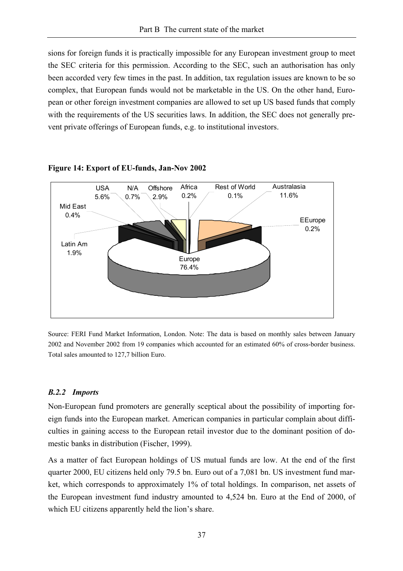sions for foreign funds it is practically impossible for any European investment group to meet the SEC criteria for this permission. According to the SEC, such an authorisation has only been accorded very few times in the past. In addition, tax regulation issues are known to be so complex, that European funds would not be marketable in the US. On the other hand, European or other foreign investment companies are allowed to set up US based funds that comply with the requirements of the US securities laws. In addition, the SEC does not generally prevent private offerings of European funds, e.g. to institutional investors.



**Figure 14: Export of EU-funds, Jan-Nov 2002** 

Source: FERI Fund Market Information, London. Note: The data is based on monthly sales between January 2002 and November 2002 from 19 companies which accounted for an estimated 60% of cross-border business. Total sales amounted to 127,7 billion Euro.

#### *B.2.2 Imports*

Non-European fund promoters are generally sceptical about the possibility of importing foreign funds into the European market. American companies in particular complain about difficulties in gaining access to the European retail investor due to the dominant position of domestic banks in distribution (Fischer, 1999).

As a matter of fact European holdings of US mutual funds are low. At the end of the first quarter 2000, EU citizens held only 79.5 bn. Euro out of a 7,081 bn. US investment fund market, which corresponds to approximately 1% of total holdings. In comparison, net assets of the European investment fund industry amounted to 4,524 bn. Euro at the End of 2000, of which EU citizens apparently held the lion's share.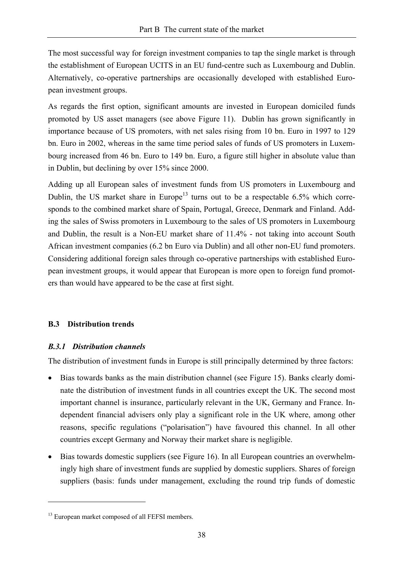The most successful way for foreign investment companies to tap the single market is through the establishment of European UCITS in an EU fund-centre such as Luxembourg and Dublin. Alternatively, co-operative partnerships are occasionally developed with established European investment groups.

As regards the first option, significant amounts are invested in European domiciled funds promoted by US asset managers (see above Figure 11). Dublin has grown significantly in importance because of US promoters, with net sales rising from 10 bn. Euro in 1997 to 129 bn. Euro in 2002, whereas in the same time period sales of funds of US promoters in Luxembourg increased from 46 bn. Euro to 149 bn. Euro, a figure still higher in absolute value than in Dublin, but declining by over 15% since 2000.

Adding up all European sales of investment funds from US promoters in Luxembourg and Dublin, the US market share in Europe<sup>13</sup> turns out to be a respectable 6.5% which corresponds to the combined market share of Spain, Portugal, Greece, Denmark and Finland. Adding the sales of Swiss promoters in Luxembourg to the sales of US promoters in Luxembourg and Dublin, the result is a Non-EU market share of 11.4% - not taking into account South African investment companies (6.2 bn Euro via Dublin) and all other non-EU fund promoters. Considering additional foreign sales through co-operative partnerships with established European investment groups, it would appear that European is more open to foreign fund promoters than would have appeared to be the case at first sight.

# **B.3 Distribution trends**

# *B.3.1 Distribution channels*

The distribution of investment funds in Europe is still principally determined by three factors:

- Bias towards banks as the main distribution channel (see Figure 15). Banks clearly dominate the distribution of investment funds in all countries except the UK. The second most important channel is insurance, particularly relevant in the UK, Germany and France. Independent financial advisers only play a significant role in the UK where, among other reasons, specific regulations ("polarisation") have favoured this channel. In all other countries except Germany and Norway their market share is negligible.
- Bias towards domestic suppliers (see Figure 16). In all European countries an overwhelmingly high share of investment funds are supplied by domestic suppliers. Shares of foreign suppliers (basis: funds under management, excluding the round trip funds of domestic

<sup>&</sup>lt;sup>13</sup> European market composed of all FEFSI members.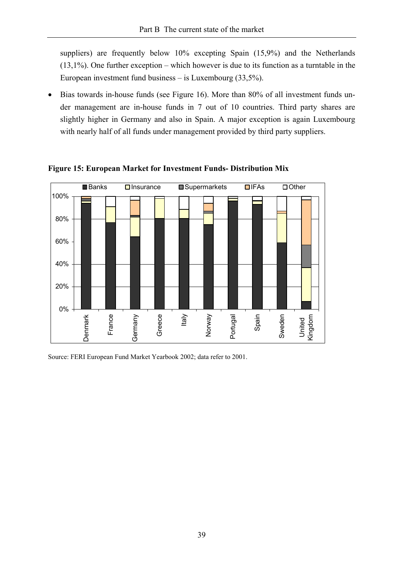suppliers) are frequently below 10% excepting Spain (15,9%) and the Netherlands (13,1%). One further exception – which however is due to its function as a turntable in the European investment fund business – is Luxembourg (33,5%).

• Bias towards in-house funds (see Figure 16). More than 80% of all investment funds under management are in-house funds in 7 out of 10 countries. Third party shares are slightly higher in Germany and also in Spain. A major exception is again Luxembourg with nearly half of all funds under management provided by third party suppliers.



**Figure 15: European Market for Investment Funds- Distribution Mix** 

Source: FERI European Fund Market Yearbook 2002; data refer to 2001.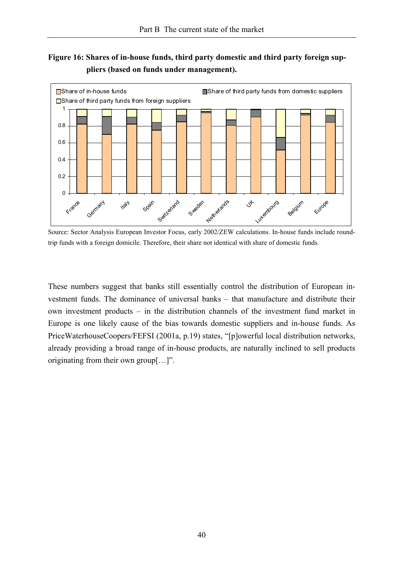# **Figure 16: Shares of in-house funds, third party domestic and third party foreign suppliers (based on funds under management).**



Source: Sector Analysis European Investor Focus, early 2002/ZEW calculations. In-house funds include roundtrip funds with a foreign domicile. Therefore, their share not identical with share of domestic funds.

These numbers suggest that banks still essentially control the distribution of European investment funds. The dominance of universal banks – that manufacture and distribute their own investment products – in the distribution channels of the investment fund market in Europe is one likely cause of the bias towards domestic suppliers and in-house funds. As PriceWaterhouseCoopers/FEFSI (2001a, p.19) states, "[p]owerful local distribution networks, already providing a broad range of in-house products, are naturally inclined to sell products originating from their own group[…]".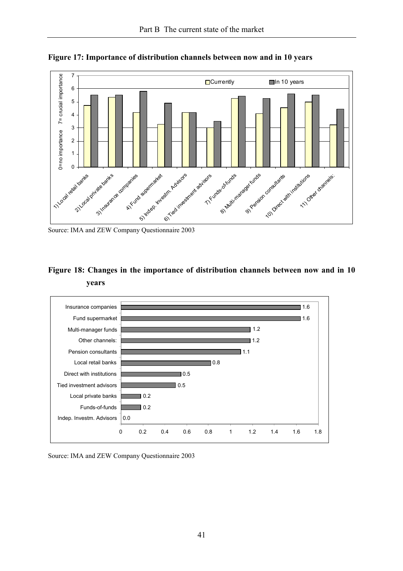

**Figure 17: Importance of distribution channels between now and in 10 years** 

Source: IMA and ZEW Company Questionnaire 2003

# **Figure 18: Changes in the importance of distribution channels between now and in 10 years**



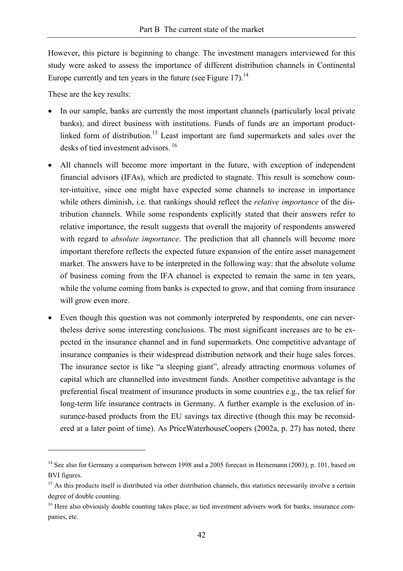However, this picture is beginning to change. The investment managers interviewed for this study were asked to assess the importance of different distribution channels in Continental Europe currently and ten years in the future (see Figure 17).<sup>14</sup>

These are the key results:

- In our sample, banks are currently the most important channels (particularly local private banks), and direct business with institutions. Funds of funds are an important productlinked form of distribution.<sup>15</sup> Least important are fund supermarkets and sales over the desks of tied investment advisors  $16$
- All channels will become more important in the future, with exception of independent financial advisors (IFAs), which are predicted to stagnate. This result is somehow counter-intuitive, since one might have expected some channels to increase in importance while others diminish, i.e. that rankings should reflect the *relative importance* of the distribution channels. While some respondents explicitly stated that their answers refer to relative importance, the result suggests that overall the majority of respondents answered with regard to *absolute importance*. The prediction that all channels will become more important therefore reflects the expected future expansion of the entire asset management market. The answers have to be interpreted in the following way: that the absolute volume of business coming from the IFA channel is expected to remain the same in ten years, while the volume coming from banks is expected to grow, and that coming from insurance will grow even more.
- Even though this question was not commonly interpreted by respondents, one can nevertheless derive some interesting conclusions. The most significant increases are to be expected in the insurance channel and in fund supermarkets. One competitive advantage of insurance companies is their widespread distribution network and their huge sales forces. The insurance sector is like "a sleeping giant", already attracting enormous volumes of capital which are channelled into investment funds. Another competitive advantage is the preferential fiscal treatment of insurance products in some countries e.g., the tax relief for long-term life insurance contracts in Germany. A further example is the exclusion of insurance-based products from the EU savings tax directive (though this may be reconsidered at a later point of time). As PriceWaterhouseCoopers (2002a, p. 27) has noted, there

<sup>&</sup>lt;sup>14</sup> See also for Germany a comparison between 1998 and a 2005 forecast in Heinemann (2003), p. 101, based on BVI figures.

<sup>&</sup>lt;sup>15</sup> As this products itself is distributed via other distribution channels, this statistics necessarily involve a certain degree of double counting.

<sup>&</sup>lt;sup>16</sup> Here also obviously double counting takes place, as tied investment advisers work for banks, insurance companies, etc.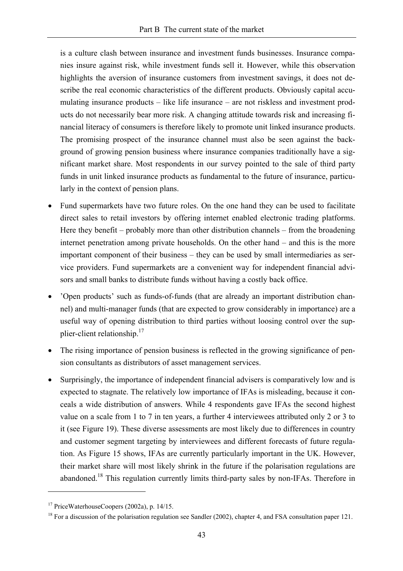is a culture clash between insurance and investment funds businesses. Insurance companies insure against risk, while investment funds sell it. However, while this observation highlights the aversion of insurance customers from investment savings, it does not describe the real economic characteristics of the different products. Obviously capital accumulating insurance products – like life insurance – are not riskless and investment products do not necessarily bear more risk. A changing attitude towards risk and increasing financial literacy of consumers is therefore likely to promote unit linked insurance products. The promising prospect of the insurance channel must also be seen against the background of growing pension business where insurance companies traditionally have a significant market share. Most respondents in our survey pointed to the sale of third party funds in unit linked insurance products as fundamental to the future of insurance, particularly in the context of pension plans.

- Fund supermarkets have two future roles. On the one hand they can be used to facilitate direct sales to retail investors by offering internet enabled electronic trading platforms. Here they benefit – probably more than other distribution channels – from the broadening internet penetration among private households. On the other hand – and this is the more important component of their business – they can be used by small intermediaries as service providers. Fund supermarkets are a convenient way for independent financial advisors and small banks to distribute funds without having a costly back office.
- 'Open products' such as funds-of-funds (that are already an important distribution channel) and multi-manager funds (that are expected to grow considerably in importance) are a useful way of opening distribution to third parties without loosing control over the supplier-client relationship.17
- The rising importance of pension business is reflected in the growing significance of pension consultants as distributors of asset management services.
- Surprisingly, the importance of independent financial advisers is comparatively low and is expected to stagnate. The relatively low importance of IFAs is misleading, because it conceals a wide distribution of answers. While 4 respondents gave IFAs the second highest value on a scale from 1 to 7 in ten years, a further 4 interviewees attributed only 2 or 3 to it (see Figure 19). These diverse assessments are most likely due to differences in country and customer segment targeting by interviewees and different forecasts of future regulation. As Figure 15 shows, IFAs are currently particularly important in the UK. However, their market share will most likely shrink in the future if the polarisation regulations are abandoned.<sup>18</sup> This regulation currently limits third-party sales by non-IFAs. Therefore in

 $17$  PriceWaterhouseCoopers (2002a), p. 14/15.

<sup>&</sup>lt;sup>18</sup> For a discussion of the polarisation regulation see Sandler (2002), chapter 4, and FSA consultation paper 121.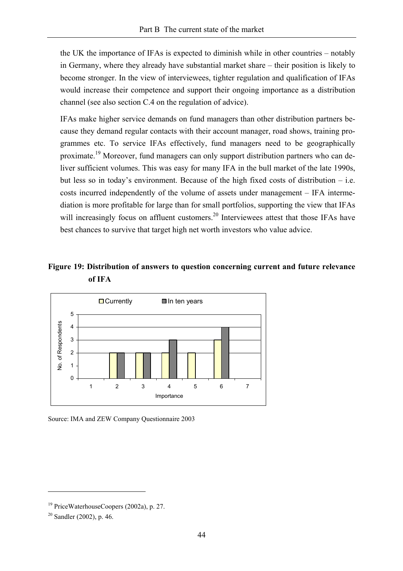the UK the importance of IFAs is expected to diminish while in other countries – notably in Germany, where they already have substantial market share – their position is likely to become stronger. In the view of interviewees, tighter regulation and qualification of IFAs would increase their competence and support their ongoing importance as a distribution channel (see also section C.4 on the regulation of advice).

IFAs make higher service demands on fund managers than other distribution partners because they demand regular contacts with their account manager, road shows, training programmes etc. To service IFAs effectively, fund managers need to be geographically proximate.19 Moreover, fund managers can only support distribution partners who can deliver sufficient volumes. This was easy for many IFA in the bull market of the late 1990s, but less so in today's environment. Because of the high fixed costs of distribution – i.e. costs incurred independently of the volume of assets under management – IFA intermediation is more profitable for large than for small portfolios, supporting the view that IFAs will increasingly focus on affluent customers.<sup>20</sup> Interviewees attest that those IFAs have best chances to survive that target high net worth investors who value advice.

# **Figure 19: Distribution of answers to question concerning current and future relevance of IFA**



Source: IMA and ZEW Company Questionnaire 2003

<sup>&</sup>lt;sup>19</sup> PriceWaterhouseCoopers (2002a), p. 27.

 $20$  Sandler (2002), p. 46.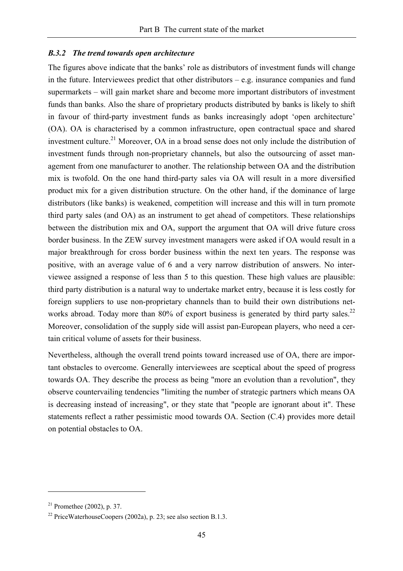#### *B.3.2 The trend towards open architecture*

The figures above indicate that the banks' role as distributors of investment funds will change in the future. Interviewees predict that other distributors  $-e.g.$  insurance companies and fund supermarkets – will gain market share and become more important distributors of investment funds than banks. Also the share of proprietary products distributed by banks is likely to shift in favour of third-party investment funds as banks increasingly adopt 'open architecture' (OA). OA is characterised by a common infrastructure, open contractual space and shared investment culture.<sup>21</sup> Moreover, OA in a broad sense does not only include the distribution of investment funds through non-proprietary channels, but also the outsourcing of asset management from one manufacturer to another. The relationship between OA and the distribution mix is twofold. On the one hand third-party sales via OA will result in a more diversified product mix for a given distribution structure. On the other hand, if the dominance of large distributors (like banks) is weakened, competition will increase and this will in turn promote third party sales (and OA) as an instrument to get ahead of competitors. These relationships between the distribution mix and OA, support the argument that OA will drive future cross border business. In the ZEW survey investment managers were asked if OA would result in a major breakthrough for cross border business within the next ten years. The response was positive, with an average value of 6 and a very narrow distribution of answers. No interviewee assigned a response of less than 5 to this question. These high values are plausible: third party distribution is a natural way to undertake market entry, because it is less costly for foreign suppliers to use non-proprietary channels than to build their own distributions networks abroad. Today more than 80% of export business is generated by third party sales.<sup>22</sup> Moreover, consolidation of the supply side will assist pan-European players, who need a certain critical volume of assets for their business.

Nevertheless, although the overall trend points toward increased use of OA, there are important obstacles to overcome. Generally interviewees are sceptical about the speed of progress towards OA. They describe the process as being "more an evolution than a revolution", they observe countervailing tendencies "limiting the number of strategic partners which means OA is decreasing instead of increasing", or they state that "people are ignorant about it". These statements reflect a rather pessimistic mood towards OA. Section (C.4) provides more detail on potential obstacles to OA.

 $21$  Promethee (2002), p. 37.

<sup>&</sup>lt;sup>22</sup> PriceWaterhouseCoopers (2002a), p. 23; see also section B.1.3.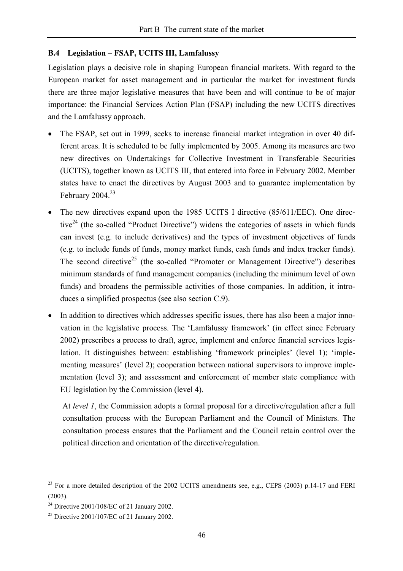#### **B.4 Legislation – FSAP, UCITS III, Lamfalussy**

Legislation plays a decisive role in shaping European financial markets. With regard to the European market for asset management and in particular the market for investment funds there are three major legislative measures that have been and will continue to be of major importance: the Financial Services Action Plan (FSAP) including the new UCITS directives and the Lamfalussy approach.

- The FSAP, set out in 1999, seeks to increase financial market integration in over 40 different areas. It is scheduled to be fully implemented by 2005. Among its measures are two new directives on Undertakings for Collective Investment in Transferable Securities (UCITS), together known as UCITS III, that entered into force in February 2002. Member states have to enact the directives by August 2003 and to guarantee implementation by February  $2004.<sup>23</sup>$
- The new directives expand upon the 1985 UCITS I directive (85/611/EEC). One directive $24$  (the so-called "Product Directive") widens the categories of assets in which funds can invest (e.g. to include derivatives) and the types of investment objectives of funds (e.g. to include funds of funds, money market funds, cash funds and index tracker funds). The second directive<sup>25</sup> (the so-called "Promoter or Management Directive") describes minimum standards of fund management companies (including the minimum level of own funds) and broadens the permissible activities of those companies. In addition, it introduces a simplified prospectus (see also section C.9).
- In addition to directives which addresses specific issues, there has also been a major innovation in the legislative process. The 'Lamfalussy framework' (in effect since February 2002) prescribes a process to draft, agree, implement and enforce financial services legislation. It distinguishes between: establishing 'framework principles' (level 1); 'implementing measures' (level 2); cooperation between national supervisors to improve implementation (level 3); and assessment and enforcement of member state compliance with EU legislation by the Commission (level 4).

At *level 1*, the Commission adopts a formal proposal for a directive/regulation after a full consultation process with the European Parliament and the Council of Ministers. The consultation process ensures that the Parliament and the Council retain control over the political direction and orientation of the directive/regulation.

<sup>&</sup>lt;sup>23</sup> For a more detailed description of the 2002 UCITS amendments see, e.g., CEPS (2003) p.14-17 and FERI (2003).

<sup>&</sup>lt;sup>24</sup> Directive 2001/108/EC of 21 January 2002.

<sup>25</sup> Directive 2001/107/EC of 21 January 2002.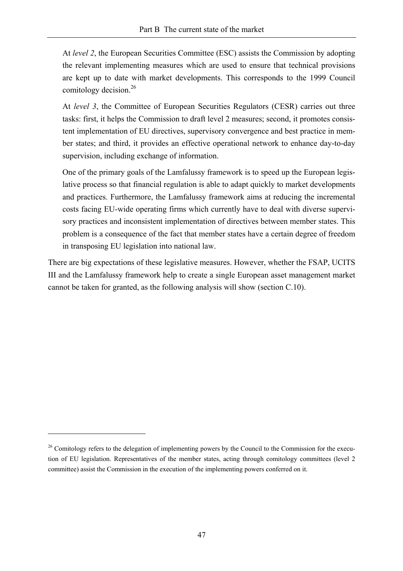At *level 2*, the European Securities Committee (ESC) assists the Commission by adopting the relevant implementing measures which are used to ensure that technical provisions are kept up to date with market developments. This corresponds to the 1999 Council comitology decision.<sup>26</sup>

At *level* 3, the Committee of European Securities Regulators (CESR) carries out three tasks: first, it helps the Commission to draft level 2 measures; second, it promotes consistent implementation of EU directives, supervisory convergence and best practice in member states; and third, it provides an effective operational network to enhance day-to-day supervision, including exchange of information.

One of the primary goals of the Lamfalussy framework is to speed up the European legislative process so that financial regulation is able to adapt quickly to market developments and practices. Furthermore, the Lamfalussy framework aims at reducing the incremental costs facing EU-wide operating firms which currently have to deal with diverse supervisory practices and inconsistent implementation of directives between member states. This problem is a consequence of the fact that member states have a certain degree of freedom in transposing EU legislation into national law.

There are big expectations of these legislative measures. However, whether the FSAP, UCITS III and the Lamfalussy framework help to create a single European asset management market cannot be taken for granted, as the following analysis will show (section C.10).

<sup>&</sup>lt;sup>26</sup> Comitology refers to the delegation of implementing powers by the Council to the Commission for the execution of EU legislation. Representatives of the member states, acting through comitology committees (level 2 committee) assist the Commission in the execution of the implementing powers conferred on it.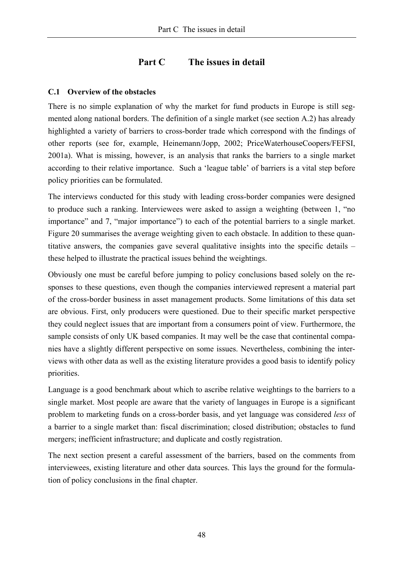# **Part C The issues in detail**

#### **C.1 Overview of the obstacles**

There is no simple explanation of why the market for fund products in Europe is still segmented along national borders. The definition of a single market (see section A.2) has already highlighted a variety of barriers to cross-border trade which correspond with the findings of other reports (see for, example, Heinemann/Jopp, 2002; PriceWaterhouseCoopers/FEFSI, 2001a). What is missing, however, is an analysis that ranks the barriers to a single market according to their relative importance. Such a 'league table' of barriers is a vital step before policy priorities can be formulated.

The interviews conducted for this study with leading cross-border companies were designed to produce such a ranking. Interviewees were asked to assign a weighting (between 1, "no importance" and 7, "major importance") to each of the potential barriers to a single market. Figure 20 summarises the average weighting given to each obstacle. In addition to these quantitative answers, the companies gave several qualitative insights into the specific details – these helped to illustrate the practical issues behind the weightings.

Obviously one must be careful before jumping to policy conclusions based solely on the responses to these questions, even though the companies interviewed represent a material part of the cross-border business in asset management products. Some limitations of this data set are obvious. First, only producers were questioned. Due to their specific market perspective they could neglect issues that are important from a consumers point of view. Furthermore, the sample consists of only UK based companies. It may well be the case that continental companies have a slightly different perspective on some issues. Nevertheless, combining the interviews with other data as well as the existing literature provides a good basis to identify policy priorities.

Language is a good benchmark about which to ascribe relative weightings to the barriers to a single market. Most people are aware that the variety of languages in Europe is a significant problem to marketing funds on a cross-border basis, and yet language was considered *less* of a barrier to a single market than: fiscal discrimination; closed distribution; obstacles to fund mergers; inefficient infrastructure; and duplicate and costly registration.

The next section present a careful assessment of the barriers, based on the comments from interviewees, existing literature and other data sources. This lays the ground for the formulation of policy conclusions in the final chapter.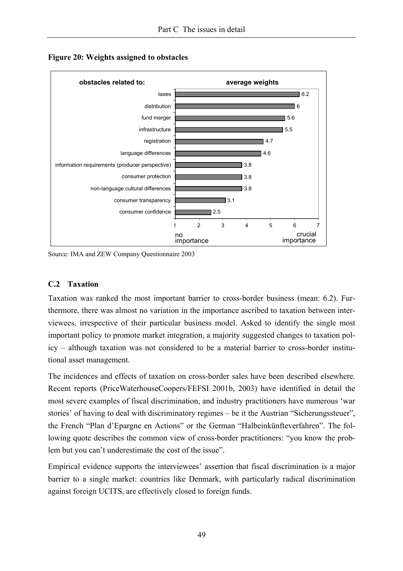

**Figure 20: Weights assigned to obstacles** 

Source: IMA and ZEW Company Questionnaire 2003

#### **C.2 Taxation**

Taxation was ranked the most important barrier to cross-border business (mean: 6.2). Furthermore, there was almost no variation in the importance ascribed to taxation between interviewees, irrespective of their particular business model. Asked to identify the single most important policy to promote market integration, a majority suggested changes to taxation policy – although taxation was not considered to be a material barrier to cross-border institutional asset management.

The incidences and effects of taxation on cross-border sales have been described elsewhere. Recent reports (PriceWaterhouseCoopers/FEFSI 2001b, 2003) have identified in detail the most severe examples of fiscal discrimination, and industry practitioners have numerous 'war stories' of having to deal with discriminatory regimes – be it the Austrian "Sicherungssteuer", the French "Plan d'Epargne en Actions" or the German "Halbeinkünfteverfahren". The following quote describes the common view of cross-border practitioners: "you know the problem but you can't underestimate the cost of the issue".

Empirical evidence supports the interviewees' assertion that fiscal discrimination is a major barrier to a single market: countries like Denmark, with particularly radical discrimination against foreign UCITS, are effectively closed to foreign funds.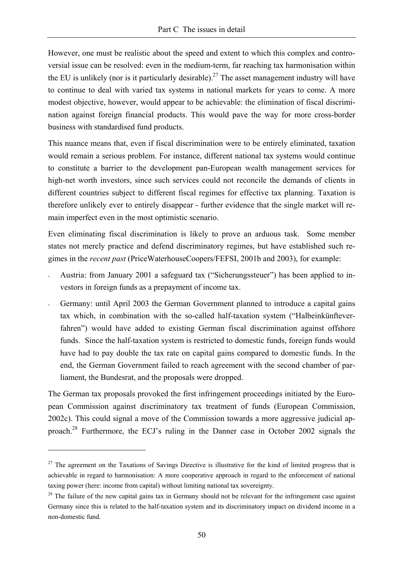However, one must be realistic about the speed and extent to which this complex and controversial issue can be resolved: even in the medium-term, far reaching tax harmonisation within the EU is unlikely (nor is it particularly desirable).<sup>27</sup> The asset management industry will have to continue to deal with varied tax systems in national markets for years to come. A more modest objective, however, would appear to be achievable: the elimination of fiscal discrimination against foreign financial products. This would pave the way for more cross-border business with standardised fund products.

This nuance means that, even if fiscal discrimination were to be entirely eliminated, taxation would remain a serious problem. For instance, different national tax systems would continue to constitute a barrier to the development pan-European wealth management services for high-net worth investors, since such services could not reconcile the demands of clients in different countries subject to different fiscal regimes for effective tax planning. Taxation is therefore unlikely ever to entirely disappear - further evidence that the single market will remain imperfect even in the most optimistic scenario.

Even eliminating fiscal discrimination is likely to prove an arduous task. Some member states not merely practice and defend discriminatory regimes, but have established such regimes in the *recent past* (PriceWaterhouseCoopers/FEFSI, 2001b and 2003), for example:

- Austria: from January 2001 a safeguard tax ("Sicherungssteuer") has been applied to investors in foreign funds as a prepayment of income tax.
- Germany: until April 2003 the German Government planned to introduce a capital gains tax which, in combination with the so-called half-taxation system ("Halbeinkünfteverfahren") would have added to existing German fiscal discrimination against offshore funds. Since the half-taxation system is restricted to domestic funds, foreign funds would have had to pay double the tax rate on capital gains compared to domestic funds. In the end, the German Government failed to reach agreement with the second chamber of parliament, the Bundesrat, and the proposals were dropped.

The German tax proposals provoked the first infringement proceedings initiated by the European Commission against discriminatory tax treatment of funds (European Commission, 2002c). This could signal a move of the Commission towards a more aggressive judicial approach.28 Furthermore, the ECJ's ruling in the Danner case in October 2002 signals the

 $27$  The agreement on the Taxations of Savings Directive is illustrative for the kind of limited progress that is achievable in regard to harmonisation: A more cooperative approach in regard to the enforcement of national taxing power (here: income from capital) without limiting national tax sovereignty.

 $2<sup>8</sup>$  The failure of the new capital gains tax in Germany should not be relevant for the infringement case against Germany since this is related to the half-taxation system and its discriminatory impact on dividend income in a non-domestic fund.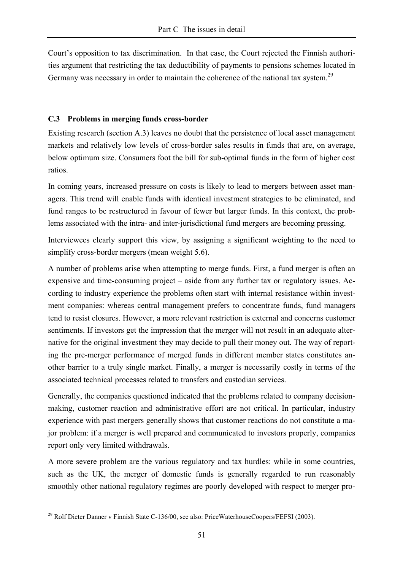Court's opposition to tax discrimination. In that case, the Court rejected the Finnish authorities argument that restricting the tax deductibility of payments to pensions schemes located in Germany was necessary in order to maintain the coherence of the national tax system.<sup>29</sup>

#### **C.3 Problems in merging funds cross-border**

Existing research (section A.3) leaves no doubt that the persistence of local asset management markets and relatively low levels of cross-border sales results in funds that are, on average, below optimum size. Consumers foot the bill for sub-optimal funds in the form of higher cost ratios.

In coming years, increased pressure on costs is likely to lead to mergers between asset managers. This trend will enable funds with identical investment strategies to be eliminated, and fund ranges to be restructured in favour of fewer but larger funds. In this context, the problems associated with the intra- and inter-jurisdictional fund mergers are becoming pressing.

Interviewees clearly support this view, by assigning a significant weighting to the need to simplify cross-border mergers (mean weight 5.6).

A number of problems arise when attempting to merge funds. First, a fund merger is often an expensive and time-consuming project – aside from any further tax or regulatory issues. According to industry experience the problems often start with internal resistance within investment companies: whereas central management prefers to concentrate funds, fund managers tend to resist closures. However, a more relevant restriction is external and concerns customer sentiments. If investors get the impression that the merger will not result in an adequate alternative for the original investment they may decide to pull their money out. The way of reporting the pre-merger performance of merged funds in different member states constitutes another barrier to a truly single market. Finally, a merger is necessarily costly in terms of the associated technical processes related to transfers and custodian services.

Generally, the companies questioned indicated that the problems related to company decisionmaking, customer reaction and administrative effort are not critical. In particular, industry experience with past mergers generally shows that customer reactions do not constitute a major problem: if a merger is well prepared and communicated to investors properly, companies report only very limited withdrawals.

A more severe problem are the various regulatory and tax hurdles: while in some countries, such as the UK, the merger of domestic funds is generally regarded to run reasonably smoothly other national regulatory regimes are poorly developed with respect to merger pro-

<sup>&</sup>lt;sup>29</sup> Rolf Dieter Danner v Finnish State C-136/00, see also: PriceWaterhouseCoopers/FEFSI (2003).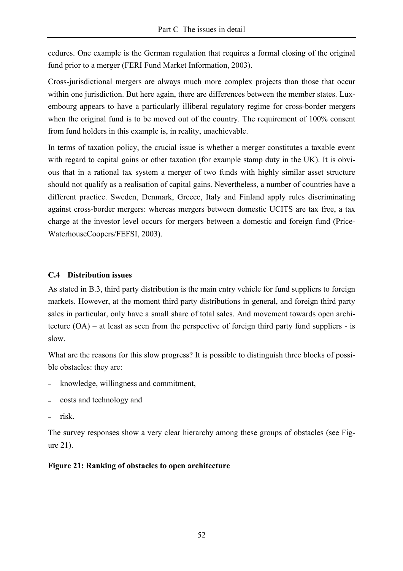cedures. One example is the German regulation that requires a formal closing of the original fund prior to a merger (FERI Fund Market Information, 2003).

Cross-jurisdictional mergers are always much more complex projects than those that occur within one jurisdiction. But here again, there are differences between the member states. Luxembourg appears to have a particularly illiberal regulatory regime for cross-border mergers when the original fund is to be moved out of the country. The requirement of 100% consent from fund holders in this example is, in reality, unachievable.

In terms of taxation policy, the crucial issue is whether a merger constitutes a taxable event with regard to capital gains or other taxation (for example stamp duty in the UK). It is obvious that in a rational tax system a merger of two funds with highly similar asset structure should not qualify as a realisation of capital gains. Nevertheless, a number of countries have a different practice. Sweden, Denmark, Greece, Italy and Finland apply rules discriminating against cross-border mergers: whereas mergers between domestic UCITS are tax free, a tax charge at the investor level occurs for mergers between a domestic and foreign fund (Price-WaterhouseCoopers/FEFSI, 2003).

#### **C.4 Distribution issues**

As stated in B.3, third party distribution is the main entry vehicle for fund suppliers to foreign markets. However, at the moment third party distributions in general, and foreign third party sales in particular, only have a small share of total sales. And movement towards open architecture (OA) – at least as seen from the perspective of foreign third party fund suppliers - is slow.

What are the reasons for this slow progress? It is possible to distinguish three blocks of possible obstacles: they are:

- knowledge, willingness and commitment,
- <sup>−</sup>costs and technology and
- <sup>−</sup>risk.

The survey responses show a very clear hierarchy among these groups of obstacles (see Figure 21).

# **Figure 21: Ranking of obstacles to open architecture**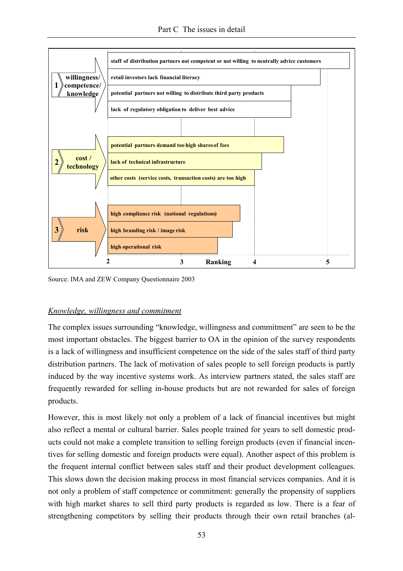

Source: IMA and ZEW Company Questionnaire 2003

# *Knowledge, willingness and commitment*

The complex issues surrounding "knowledge, willingness and commitment" are seen to be the most important obstacles. The biggest barrier to OA in the opinion of the survey respondents is a lack of willingness and insufficient competence on the side of the sales staff of third party distribution partners. The lack of motivation of sales people to sell foreign products is partly induced by the way incentive systems work. As interview partners stated, the sales staff are frequently rewarded for selling in-house products but are not rewarded for sales of foreign products.

However, this is most likely not only a problem of a lack of financial incentives but might also reflect a mental or cultural barrier. Sales people trained for years to sell domestic products could not make a complete transition to selling foreign products (even if financial incentives for selling domestic and foreign products were equal). Another aspect of this problem is the frequent internal conflict between sales staff and their product development colleagues. This slows down the decision making process in most financial services companies. And it is not only a problem of staff competence or commitment: generally the propensity of suppliers with high market shares to sell third party products is regarded as low. There is a fear of strengthening competitors by selling their products through their own retail branches (al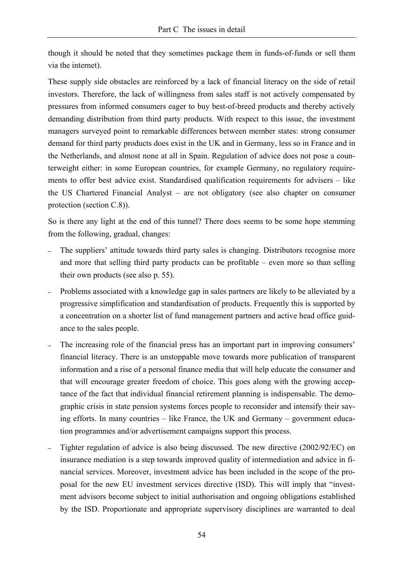though it should be noted that they sometimes package them in funds-of-funds or sell them via the internet).

These supply side obstacles are reinforced by a lack of financial literacy on the side of retail investors. Therefore, the lack of willingness from sales staff is not actively compensated by pressures from informed consumers eager to buy best-of-breed products and thereby actively demanding distribution from third party products. With respect to this issue, the investment managers surveyed point to remarkable differences between member states: strong consumer demand for third party products does exist in the UK and in Germany, less so in France and in the Netherlands, and almost none at all in Spain. Regulation of advice does not pose a counterweight either: in some European countries, for example Germany, no regulatory requirements to offer best advice exist. Standardised qualification requirements for advisers – like the US Chartered Financial Analyst – are not obligatory (see also chapter on consumer protection (section C.8)).

So is there any light at the end of this tunnel? There does seems to be some hope stemming from the following, gradual, changes:

- The suppliers' attitude towards third party sales is changing. Distributors recognise more and more that selling third party products can be profitable – even more so than selling their own products (see also p. 55).
- Problems associated with a knowledge gap in sales partners are likely to be alleviated by a progressive simplification and standardisation of products. Frequently this is supported by a concentration on a shorter list of fund management partners and active head office guidance to the sales people.
- The increasing role of the financial press has an important part in improving consumers' financial literacy. There is an unstoppable move towards more publication of transparent information and a rise of a personal finance media that will help educate the consumer and that will encourage greater freedom of choice. This goes along with the growing acceptance of the fact that individual financial retirement planning is indispensable. The demographic crisis in state pension systems forces people to reconsider and intensify their saving efforts. In many countries – like France, the UK and Germany – government education programmes and/or advertisement campaigns support this process.
- <sup>−</sup>Tighter regulation of advice is also being discussed. The new directive (2002/92/EC) on insurance mediation is a step towards improved quality of intermediation and advice in financial services. Moreover, investment advice has been included in the scope of the proposal for the new EU investment services directive (ISD). This will imply that "investment advisors become subject to initial authorisation and ongoing obligations established by the ISD. Proportionate and appropriate supervisory disciplines are warranted to deal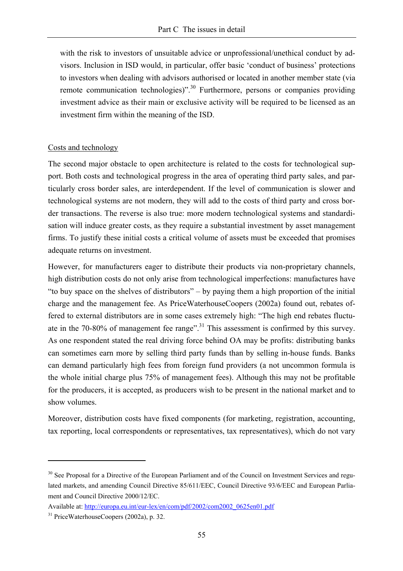with the risk to investors of unsuitable advice or unprofessional/unethical conduct by advisors. Inclusion in ISD would, in particular, offer basic 'conduct of business' protections to investors when dealing with advisors authorised or located in another member state (via remote communication technologies)".30 Furthermore, persons or companies providing investment advice as their main or exclusive activity will be required to be licensed as an investment firm within the meaning of the ISD.

#### Costs and technology

The second major obstacle to open architecture is related to the costs for technological support. Both costs and technological progress in the area of operating third party sales, and particularly cross border sales, are interdependent. If the level of communication is slower and technological systems are not modern, they will add to the costs of third party and cross border transactions. The reverse is also true: more modern technological systems and standardisation will induce greater costs, as they require a substantial investment by asset management firms. To justify these initial costs a critical volume of assets must be exceeded that promises adequate returns on investment.

However, for manufacturers eager to distribute their products via non-proprietary channels, high distribution costs do not only arise from technological imperfections: manufactures have "to buy space on the shelves of distributors" – by paying them a high proportion of the initial charge and the management fee. As PriceWaterhouseCoopers (2002a) found out, rebates offered to external distributors are in some cases extremely high: "The high end rebates fluctuate in the 70-80% of management fee range".<sup>31</sup> This assessment is confirmed by this survey. As one respondent stated the real driving force behind OA may be profits: distributing banks can sometimes earn more by selling third party funds than by selling in-house funds. Banks can demand particularly high fees from foreign fund providers (a not uncommon formula is the whole initial charge plus 75% of management fees). Although this may not be profitable for the producers, it is accepted, as producers wish to be present in the national market and to show volumes.

Moreover, distribution costs have fixed components (for marketing, registration, accounting, tax reporting, local correspondents or representatives, tax representatives), which do not vary

<sup>&</sup>lt;sup>30</sup> See Proposal for a Directive of the European Parliament and of the Council on Investment Services and regulated markets, and amending Council Directive 85/611/EEC, Council Directive 93/6/EEC and European Parliament and Council Directive 2000/12/EC.

Available at: http://europa.eu.int/eur-lex/en/com/pdf/2002/com2002\_0625en01.pdf

<sup>31</sup> PriceWaterhouseCoopers (2002a), p. 32.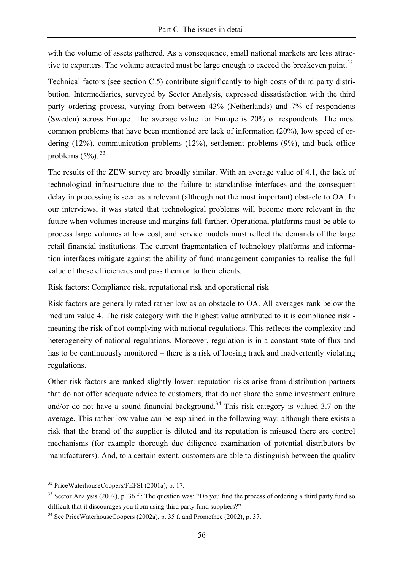with the volume of assets gathered. As a consequence, small national markets are less attractive to exporters. The volume attracted must be large enough to exceed the breakeven point.<sup>32</sup>

Technical factors (see section C.5) contribute significantly to high costs of third party distribution. Intermediaries, surveyed by Sector Analysis, expressed dissatisfaction with the third party ordering process, varying from between 43% (Netherlands) and 7% of respondents (Sweden) across Europe. The average value for Europe is 20% of respondents. The most common problems that have been mentioned are lack of information (20%), low speed of ordering (12%), communication problems (12%), settlement problems (9%), and back office problems  $(5\%)$ .  $^{33}$ 

The results of the ZEW survey are broadly similar. With an average value of 4.1, the lack of technological infrastructure due to the failure to standardise interfaces and the consequent delay in processing is seen as a relevant (although not the most important) obstacle to OA. In our interviews, it was stated that technological problems will become more relevant in the future when volumes increase and margins fall further. Operational platforms must be able to process large volumes at low cost, and service models must reflect the demands of the large retail financial institutions. The current fragmentation of technology platforms and information interfaces mitigate against the ability of fund management companies to realise the full value of these efficiencies and pass them on to their clients.

#### Risk factors: Compliance risk, reputational risk and operational risk

Risk factors are generally rated rather low as an obstacle to OA. All averages rank below the medium value 4. The risk category with the highest value attributed to it is compliance risk meaning the risk of not complying with national regulations. This reflects the complexity and heterogeneity of national regulations. Moreover, regulation is in a constant state of flux and has to be continuously monitored – there is a risk of loosing track and inadvertently violating regulations.

Other risk factors are ranked slightly lower: reputation risks arise from distribution partners that do not offer adequate advice to customers, that do not share the same investment culture and/or do not have a sound financial background.<sup>34</sup> This risk category is valued 3.7 on the average. This rather low value can be explained in the following way: although there exists a risk that the brand of the supplier is diluted and its reputation is misused there are control mechanisms (for example thorough due diligence examination of potential distributors by manufacturers). And, to a certain extent, customers are able to distinguish between the quality

<sup>32</sup> PriceWaterhouseCoopers/FEFSI (2001a), p. 17.

<sup>&</sup>lt;sup>33</sup> Sector Analysis (2002), p. 36 f.: The question was: "Do you find the process of ordering a third party fund so difficult that it discourages you from using third party fund suppliers?"

<sup>34</sup> See PriceWaterhouseCoopers (2002a), p. 35 f. and Promethee (2002), p. 37.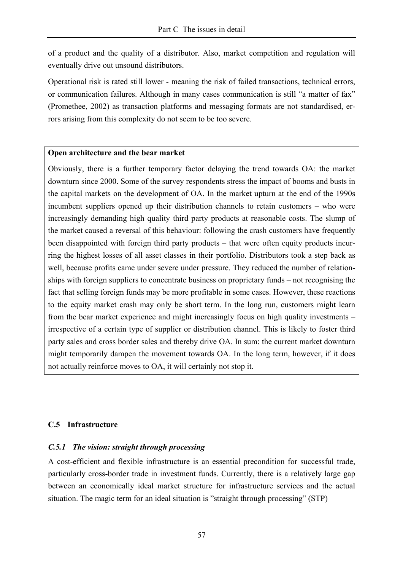of a product and the quality of a distributor. Also, market competition and regulation will eventually drive out unsound distributors.

Operational risk is rated still lower - meaning the risk of failed transactions, technical errors, or communication failures. Although in many cases communication is still "a matter of fax" (Promethee, 2002) as transaction platforms and messaging formats are not standardised, errors arising from this complexity do not seem to be too severe.

#### **Open architecture and the bear market**

Obviously, there is a further temporary factor delaying the trend towards OA: the market downturn since 2000. Some of the survey respondents stress the impact of booms and busts in the capital markets on the development of OA. In the market upturn at the end of the 1990s incumbent suppliers opened up their distribution channels to retain customers – who were increasingly demanding high quality third party products at reasonable costs. The slump of the market caused a reversal of this behaviour: following the crash customers have frequently been disappointed with foreign third party products – that were often equity products incurring the highest losses of all asset classes in their portfolio. Distributors took a step back as well, because profits came under severe under pressure. They reduced the number of relationships with foreign suppliers to concentrate business on proprietary funds – not recognising the fact that selling foreign funds may be more profitable in some cases. However, these reactions to the equity market crash may only be short term. In the long run, customers might learn from the bear market experience and might increasingly focus on high quality investments – irrespective of a certain type of supplier or distribution channel. This is likely to foster third party sales and cross border sales and thereby drive OA. In sum: the current market downturn might temporarily dampen the movement towards OA. In the long term, however, if it does not actually reinforce moves to OA, it will certainly not stop it.

# **C.5 Infrastructure**

# *C.5.1 The vision: straight through processing*

A cost-efficient and flexible infrastructure is an essential precondition for successful trade, particularly cross-border trade in investment funds. Currently, there is a relatively large gap between an economically ideal market structure for infrastructure services and the actual situation. The magic term for an ideal situation is "straight through processing" (STP)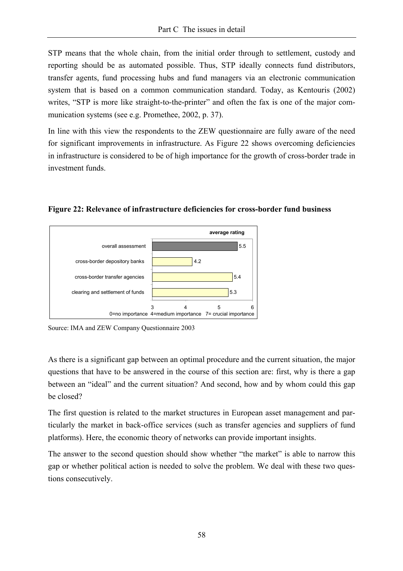STP means that the whole chain, from the initial order through to settlement, custody and reporting should be as automated possible. Thus, STP ideally connects fund distributors, transfer agents, fund processing hubs and fund managers via an electronic communication system that is based on a common communication standard. Today, as Kentouris (2002) writes, "STP is more like straight-to-the-printer" and often the fax is one of the major communication systems (see e.g. Promethee, 2002, p. 37).

In line with this view the respondents to the ZEW questionnaire are fully aware of the need for significant improvements in infrastructure. As Figure 22 shows overcoming deficiencies in infrastructure is considered to be of high importance for the growth of cross-border trade in investment funds.



**Figure 22: Relevance of infrastructure deficiencies for cross-border fund business** 

As there is a significant gap between an optimal procedure and the current situation, the major questions that have to be answered in the course of this section are: first, why is there a gap between an "ideal" and the current situation? And second, how and by whom could this gap be closed?

The first question is related to the market structures in European asset management and particularly the market in back-office services (such as transfer agencies and suppliers of fund platforms). Here, the economic theory of networks can provide important insights.

The answer to the second question should show whether "the market" is able to narrow this gap or whether political action is needed to solve the problem. We deal with these two questions consecutively.

Source: IMA and ZEW Company Questionnaire 2003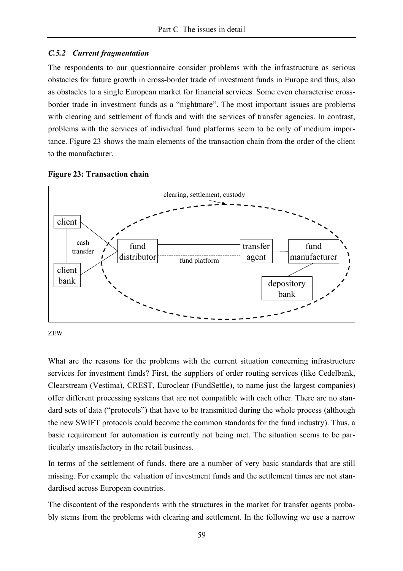#### *C.5.2 Current fragmentation*

The respondents to our questionnaire consider problems with the infrastructure as serious obstacles for future growth in cross-border trade of investment funds in Europe and thus, also as obstacles to a single European market for financial services. Some even characterise crossborder trade in investment funds as a "nightmare". The most important issues are problems with clearing and settlement of funds and with the services of transfer agencies. In contrast, problems with the services of individual fund platforms seem to be only of medium importance. Figure 23 shows the main elements of the transaction chain from the order of the client to the manufacturer.





ZEW

What are the reasons for the problems with the current situation concerning infrastructure services for investment funds? First, the suppliers of order routing services (like Cedelbank, Clearstream (Vestima), CREST, Euroclear (FundSettle), to name just the largest companies) offer different processing systems that are not compatible with each other. There are no standard sets of data ("protocols") that have to be transmitted during the whole process (although the new SWIFT protocols could become the common standards for the fund industry). Thus, a basic requirement for automation is currently not being met. The situation seems to be particularly unsatisfactory in the retail business.

In terms of the settlement of funds, there are a number of very basic standards that are still missing. For example the valuation of investment funds and the settlement times are not standardised across European countries.

The discontent of the respondents with the structures in the market for transfer agents probably stems from the problems with clearing and settlement. In the following we use a narrow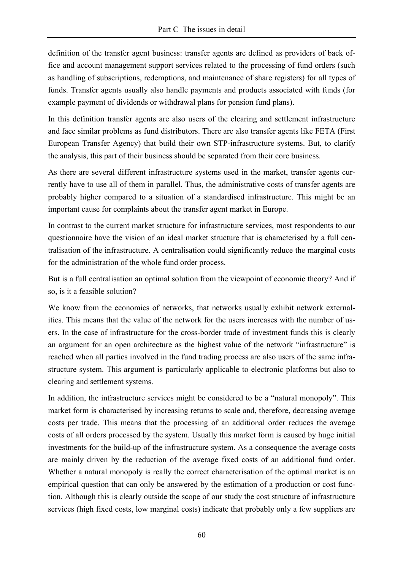definition of the transfer agent business: transfer agents are defined as providers of back office and account management support services related to the processing of fund orders (such as handling of subscriptions, redemptions, and maintenance of share registers) for all types of funds. Transfer agents usually also handle payments and products associated with funds (for example payment of dividends or withdrawal plans for pension fund plans).

In this definition transfer agents are also users of the clearing and settlement infrastructure and face similar problems as fund distributors. There are also transfer agents like FETA (First European Transfer Agency) that build their own STP-infrastructure systems. But, to clarify the analysis, this part of their business should be separated from their core business.

As there are several different infrastructure systems used in the market, transfer agents currently have to use all of them in parallel. Thus, the administrative costs of transfer agents are probably higher compared to a situation of a standardised infrastructure. This might be an important cause for complaints about the transfer agent market in Europe.

In contrast to the current market structure for infrastructure services, most respondents to our questionnaire have the vision of an ideal market structure that is characterised by a full centralisation of the infrastructure. A centralisation could significantly reduce the marginal costs for the administration of the whole fund order process.

But is a full centralisation an optimal solution from the viewpoint of economic theory? And if so, is it a feasible solution?

We know from the economics of networks, that networks usually exhibit network externalities. This means that the value of the network for the users increases with the number of users. In the case of infrastructure for the cross-border trade of investment funds this is clearly an argument for an open architecture as the highest value of the network "infrastructure" is reached when all parties involved in the fund trading process are also users of the same infrastructure system. This argument is particularly applicable to electronic platforms but also to clearing and settlement systems.

In addition, the infrastructure services might be considered to be a "natural monopoly". This market form is characterised by increasing returns to scale and, therefore, decreasing average costs per trade. This means that the processing of an additional order reduces the average costs of all orders processed by the system. Usually this market form is caused by huge initial investments for the build-up of the infrastructure system. As a consequence the average costs are mainly driven by the reduction of the average fixed costs of an additional fund order. Whether a natural monopoly is really the correct characterisation of the optimal market is an empirical question that can only be answered by the estimation of a production or cost function. Although this is clearly outside the scope of our study the cost structure of infrastructure services (high fixed costs, low marginal costs) indicate that probably only a few suppliers are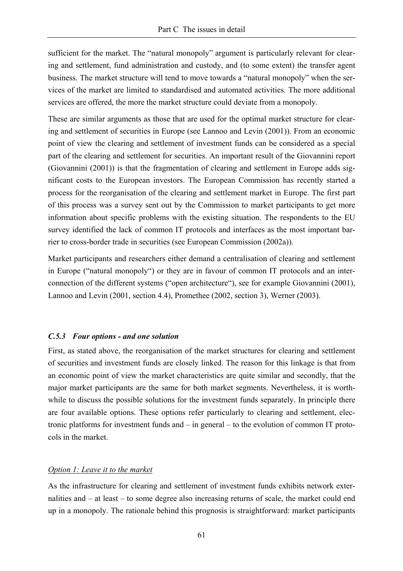sufficient for the market. The "natural monopoly" argument is particularly relevant for clearing and settlement, fund administration and custody, and (to some extent) the transfer agent business. The market structure will tend to move towards a "natural monopoly" when the services of the market are limited to standardised and automated activities. The more additional services are offered, the more the market structure could deviate from a monopoly.

These are similar arguments as those that are used for the optimal market structure for clearing and settlement of securities in Europe (see Lannoo and Levin (2001)). From an economic point of view the clearing and settlement of investment funds can be considered as a special part of the clearing and settlement for securities. An important result of the Giovannini report (Giovannini (2001)) is that the fragmentation of clearing and settlement in Europe adds significant costs to the European investors. The European Commission has recently started a process for the reorganisation of the clearing and settlement market in Europe. The first part of this process was a survey sent out by the Commission to market participants to get more information about specific problems with the existing situation. The respondents to the EU survey identified the lack of common IT protocols and interfaces as the most important barrier to cross-border trade in securities (see European Commission (2002a)).

Market participants and researchers either demand a centralisation of clearing and settlement in Europe ("natural monopoly") or they are in favour of common IT protocols and an interconnection of the different systems ("open architecture"), see for example Giovannini (2001), Lannoo and Levin (2001, section 4.4), Promethee (2002, section 3), Werner (2003).

# *C.5.3 Four options - and one solution*

First, as stated above, the reorganisation of the market structures for clearing and settlement of securities and investment funds are closely linked. The reason for this linkage is that from an economic point of view the market characteristics are quite similar and secondly, that the major market participants are the same for both market segments. Nevertheless, it is worthwhile to discuss the possible solutions for the investment funds separately. In principle there are four available options. These options refer particularly to clearing and settlement, electronic platforms for investment funds and – in general – to the evolution of common IT protocols in the market.

#### *Option 1: Leave it to the market*

As the infrastructure for clearing and settlement of investment funds exhibits network externalities and – at least – to some degree also increasing returns of scale, the market could end up in a monopoly. The rationale behind this prognosis is straightforward: market participants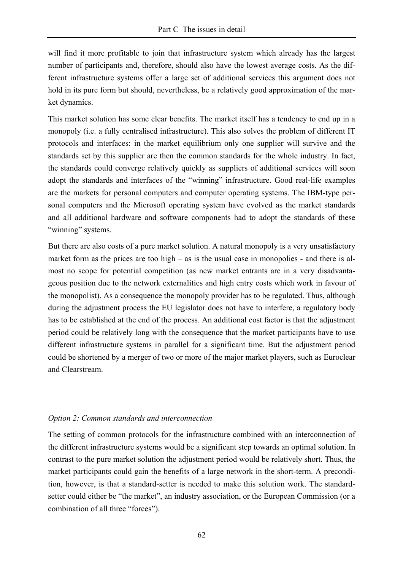will find it more profitable to join that infrastructure system which already has the largest number of participants and, therefore, should also have the lowest average costs. As the different infrastructure systems offer a large set of additional services this argument does not hold in its pure form but should, nevertheless, be a relatively good approximation of the market dynamics.

This market solution has some clear benefits. The market itself has a tendency to end up in a monopoly (i.e. a fully centralised infrastructure). This also solves the problem of different IT protocols and interfaces: in the market equilibrium only one supplier will survive and the standards set by this supplier are then the common standards for the whole industry. In fact, the standards could converge relatively quickly as suppliers of additional services will soon adopt the standards and interfaces of the "winning" infrastructure. Good real-life examples are the markets for personal computers and computer operating systems. The IBM-type personal computers and the Microsoft operating system have evolved as the market standards and all additional hardware and software components had to adopt the standards of these "winning" systems.

But there are also costs of a pure market solution. A natural monopoly is a very unsatisfactory market form as the prices are too high – as is the usual case in monopolies - and there is almost no scope for potential competition (as new market entrants are in a very disadvantageous position due to the network externalities and high entry costs which work in favour of the monopolist). As a consequence the monopoly provider has to be regulated. Thus, although during the adjustment process the EU legislator does not have to interfere, a regulatory body has to be established at the end of the process. An additional cost factor is that the adjustment period could be relatively long with the consequence that the market participants have to use different infrastructure systems in parallel for a significant time. But the adjustment period could be shortened by a merger of two or more of the major market players, such as Euroclear and Clearstream.

# *Option 2: Common standards and interconnection*

The setting of common protocols for the infrastructure combined with an interconnection of the different infrastructure systems would be a significant step towards an optimal solution. In contrast to the pure market solution the adjustment period would be relatively short. Thus, the market participants could gain the benefits of a large network in the short-term. A precondition, however, is that a standard-setter is needed to make this solution work. The standardsetter could either be "the market", an industry association, or the European Commission (or a combination of all three "forces").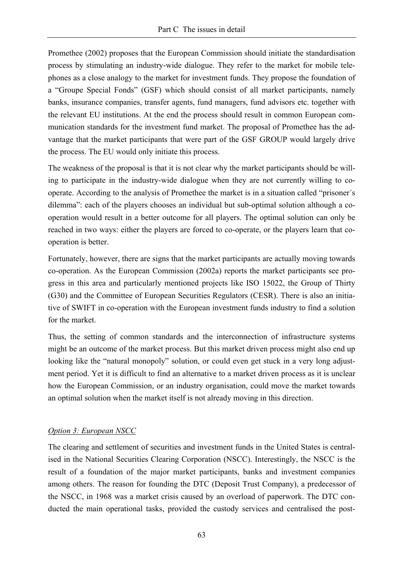Promethee (2002) proposes that the European Commission should initiate the standardisation process by stimulating an industry-wide dialogue. They refer to the market for mobile telephones as a close analogy to the market for investment funds. They propose the foundation of a "Groupe Special Fonds" (GSF) which should consist of all market participants, namely banks, insurance companies, transfer agents, fund managers, fund advisors etc. together with the relevant EU institutions. At the end the process should result in common European communication standards for the investment fund market. The proposal of Promethee has the advantage that the market participants that were part of the GSF GROUP would largely drive the process. The EU would only initiate this process.

The weakness of the proposal is that it is not clear why the market participants should be willing to participate in the industry-wide dialogue when they are not currently willing to cooperate. According to the analysis of Promethee the market is in a situation called "prisoner´s dilemma": each of the players chooses an individual but sub-optimal solution although a cooperation would result in a better outcome for all players. The optimal solution can only be reached in two ways: either the players are forced to co-operate, or the players learn that cooperation is better.

Fortunately, however, there are signs that the market participants are actually moving towards co-operation. As the European Commission (2002a) reports the market participants see progress in this area and particularly mentioned projects like ISO 15022, the Group of Thirty (G30) and the Committee of European Securities Regulators (CESR). There is also an initiative of SWIFT in co-operation with the European investment funds industry to find a solution for the market.

Thus, the setting of common standards and the interconnection of infrastructure systems might be an outcome of the market process. But this market driven process might also end up looking like the "natural monopoly" solution, or could even get stuck in a very long adjustment period. Yet it is difficult to find an alternative to a market driven process as it is unclear how the European Commission, or an industry organisation, could move the market towards an optimal solution when the market itself is not already moving in this direction.

# *Option 3: European NSCC*

The clearing and settlement of securities and investment funds in the United States is centralised in the National Securities Clearing Corporation (NSCC). Interestingly, the NSCC is the result of a foundation of the major market participants, banks and investment companies among others. The reason for founding the DTC (Deposit Trust Company), a predecessor of the NSCC, in 1968 was a market crisis caused by an overload of paperwork. The DTC conducted the main operational tasks, provided the custody services and centralised the post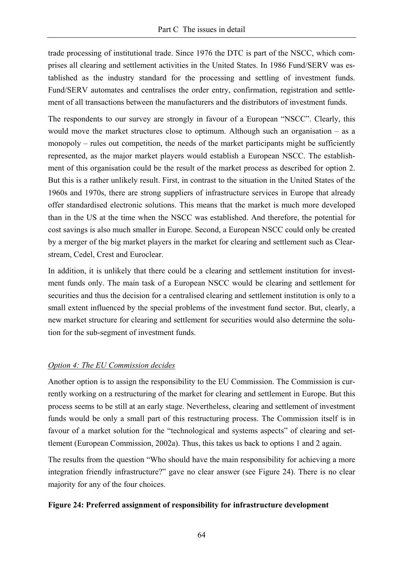trade processing of institutional trade. Since 1976 the DTC is part of the NSCC, which comprises all clearing and settlement activities in the United States. In 1986 Fund/SERV was established as the industry standard for the processing and settling of investment funds. Fund/SERV automates and centralises the order entry, confirmation, registration and settlement of all transactions between the manufacturers and the distributors of investment funds.

The respondents to our survey are strongly in favour of a European "NSCC". Clearly, this would move the market structures close to optimum. Although such an organisation – as a monopoly – rules out competition, the needs of the market participants might be sufficiently represented, as the major market players would establish a European NSCC. The establishment of this organisation could be the result of the market process as described for option 2. But this is a rather unlikely result. First, in contrast to the situation in the United States of the 1960s and 1970s, there are strong suppliers of infrastructure services in Europe that already offer standardised electronic solutions. This means that the market is much more developed than in the US at the time when the NSCC was established. And therefore, the potential for cost savings is also much smaller in Europe. Second, a European NSCC could only be created by a merger of the big market players in the market for clearing and settlement such as Clearstream, Cedel, Crest and Euroclear.

In addition, it is unlikely that there could be a clearing and settlement institution for investment funds only. The main task of a European NSCC would be clearing and settlement for securities and thus the decision for a centralised clearing and settlement institution is only to a small extent influenced by the special problems of the investment fund sector. But, clearly, a new market structure for clearing and settlement for securities would also determine the solution for the sub-segment of investment funds.

# *Option 4: The EU Commission decides*

Another option is to assign the responsibility to the EU Commission. The Commission is currently working on a restructuring of the market for clearing and settlement in Europe. But this process seems to be still at an early stage. Nevertheless, clearing and settlement of investment funds would be only a small part of this restructuring process. The Commission itself is in favour of a market solution for the "technological and systems aspects" of clearing and settlement (European Commission, 2002a). Thus, this takes us back to options 1 and 2 again.

The results from the question "Who should have the main responsibility for achieving a more integration friendly infrastructure?" gave no clear answer (see Figure 24). There is no clear majority for any of the four choices.

# **Figure 24: Preferred assignment of responsibility for infrastructure development**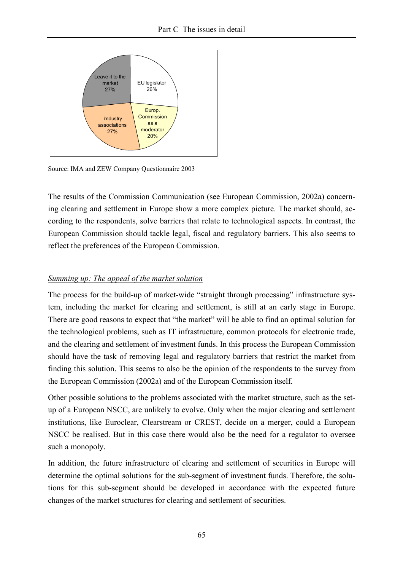

Source: IMA and ZEW Company Questionnaire 2003

The results of the Commission Communication (see European Commission, 2002a) concerning clearing and settlement in Europe show a more complex picture. The market should, according to the respondents, solve barriers that relate to technological aspects. In contrast, the European Commission should tackle legal, fiscal and regulatory barriers. This also seems to reflect the preferences of the European Commission.

#### *Summing up: The appeal of the market solution*

The process for the build-up of market-wide "straight through processing" infrastructure system, including the market for clearing and settlement, is still at an early stage in Europe. There are good reasons to expect that "the market" will be able to find an optimal solution for the technological problems, such as IT infrastructure, common protocols for electronic trade, and the clearing and settlement of investment funds. In this process the European Commission should have the task of removing legal and regulatory barriers that restrict the market from finding this solution. This seems to also be the opinion of the respondents to the survey from the European Commission (2002a) and of the European Commission itself.

Other possible solutions to the problems associated with the market structure, such as the setup of a European NSCC, are unlikely to evolve. Only when the major clearing and settlement institutions, like Euroclear, Clearstream or CREST, decide on a merger, could a European NSCC be realised. But in this case there would also be the need for a regulator to oversee such a monopoly.

In addition, the future infrastructure of clearing and settlement of securities in Europe will determine the optimal solutions for the sub-segment of investment funds. Therefore, the solutions for this sub-segment should be developed in accordance with the expected future changes of the market structures for clearing and settlement of securities.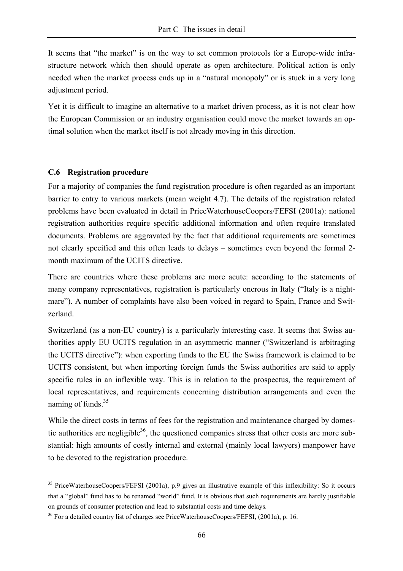It seems that "the market" is on the way to set common protocols for a Europe-wide infrastructure network which then should operate as open architecture. Political action is only needed when the market process ends up in a "natural monopoly" or is stuck in a very long adjustment period.

Yet it is difficult to imagine an alternative to a market driven process, as it is not clear how the European Commission or an industry organisation could move the market towards an optimal solution when the market itself is not already moving in this direction.

#### **C.6 Registration procedure**

 $\overline{a}$ 

For a majority of companies the fund registration procedure is often regarded as an important barrier to entry to various markets (mean weight 4.7). The details of the registration related problems have been evaluated in detail in PriceWaterhouseCoopers/FEFSI (2001a): national registration authorities require specific additional information and often require translated documents. Problems are aggravated by the fact that additional requirements are sometimes not clearly specified and this often leads to delays – sometimes even beyond the formal 2 month maximum of the UCITS directive.

There are countries where these problems are more acute: according to the statements of many company representatives, registration is particularly onerous in Italy ("Italy is a nightmare"). A number of complaints have also been voiced in regard to Spain, France and Switzerland.

Switzerland (as a non-EU country) is a particularly interesting case. It seems that Swiss authorities apply EU UCITS regulation in an asymmetric manner ("Switzerland is arbitraging the UCITS directive"): when exporting funds to the EU the Swiss framework is claimed to be UCITS consistent, but when importing foreign funds the Swiss authorities are said to apply specific rules in an inflexible way. This is in relation to the prospectus, the requirement of local representatives, and requirements concerning distribution arrangements and even the naming of funds. $35$ 

While the direct costs in terms of fees for the registration and maintenance charged by domestic authorities are negligible<sup>36</sup>, the questioned companies stress that other costs are more substantial: high amounts of costly internal and external (mainly local lawyers) manpower have to be devoted to the registration procedure.

<sup>&</sup>lt;sup>35</sup> PriceWaterhouseCoopers/FEFSI (2001a), p.9 gives an illustrative example of this inflexibility: So it occurs that a "global" fund has to be renamed "world" fund. It is obvious that such requirements are hardly justifiable on grounds of consumer protection and lead to substantial costs and time delays.

<sup>&</sup>lt;sup>36</sup> For a detailed country list of charges see PriceWaterhouseCoopers/FEFSI, (2001a), p. 16.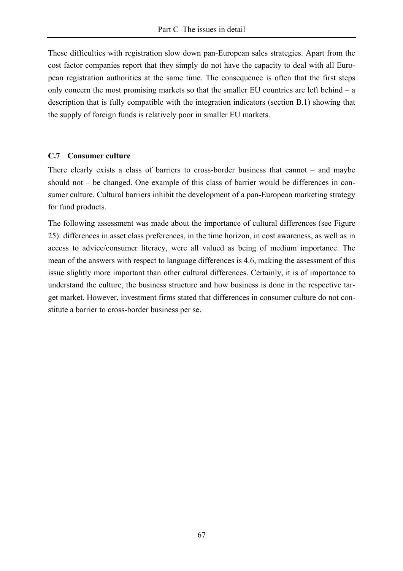These difficulties with registration slow down pan-European sales strategies. Apart from the cost factor companies report that they simply do not have the capacity to deal with all European registration authorities at the same time. The consequence is often that the first steps only concern the most promising markets so that the smaller EU countries are left behind – a description that is fully compatible with the integration indicators (section B.1) showing that the supply of foreign funds is relatively poor in smaller EU markets.

#### **C.7 Consumer culture**

There clearly exists a class of barriers to cross-border business that cannot – and maybe should not – be changed. One example of this class of barrier would be differences in consumer culture. Cultural barriers inhibit the development of a pan-European marketing strategy for fund products.

The following assessment was made about the importance of cultural differences (see Figure 25): differences in asset class preferences, in the time horizon, in cost awareness, as well as in access to advice/consumer literacy, were all valued as being of medium importance. The mean of the answers with respect to language differences is 4.6, making the assessment of this issue slightly more important than other cultural differences. Certainly, it is of importance to understand the culture, the business structure and how business is done in the respective target market. However, investment firms stated that differences in consumer culture do not constitute a barrier to cross-border business per se.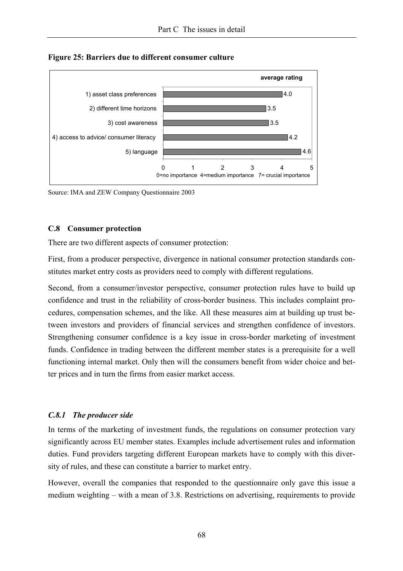

**Figure 25: Barriers due to different consumer culture** 

Source: IMA and ZEW Company Questionnaire 2003

#### **C.8 Consumer protection**

There are two different aspects of consumer protection:

First, from a producer perspective, divergence in national consumer protection standards constitutes market entry costs as providers need to comply with different regulations.

Second, from a consumer/investor perspective, consumer protection rules have to build up confidence and trust in the reliability of cross-border business. This includes complaint procedures, compensation schemes, and the like. All these measures aim at building up trust between investors and providers of financial services and strengthen confidence of investors. Strengthening consumer confidence is a key issue in cross-border marketing of investment funds. Confidence in trading between the different member states is a prerequisite for a well functioning internal market. Only then will the consumers benefit from wider choice and better prices and in turn the firms from easier market access.

#### *C.8.1 The producer side*

In terms of the marketing of investment funds, the regulations on consumer protection vary significantly across EU member states. Examples include advertisement rules and information duties. Fund providers targeting different European markets have to comply with this diversity of rules, and these can constitute a barrier to market entry.

However, overall the companies that responded to the questionnaire only gave this issue a medium weighting – with a mean of 3.8. Restrictions on advertising, requirements to provide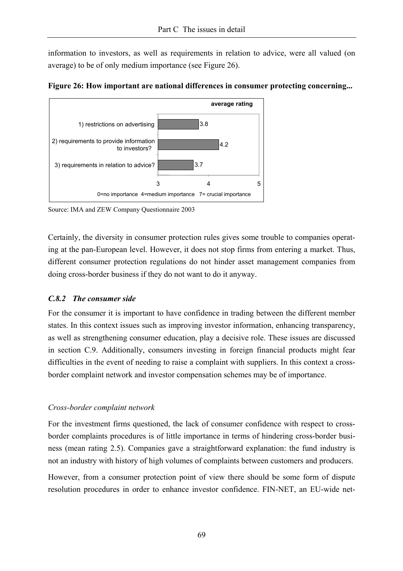information to investors, as well as requirements in relation to advice, were all valued (on average) to be of only medium importance (see Figure 26).



**Figure 26: How important are national differences in consumer protecting concerning...** 

Source: IMA and ZEW Company Questionnaire 2003

Certainly, the diversity in consumer protection rules gives some trouble to companies operating at the pan-European level. However, it does not stop firms from entering a market. Thus, different consumer protection regulations do not hinder asset management companies from doing cross-border business if they do not want to do it anyway.

# *C.8.2 The consumer side*

For the consumer it is important to have confidence in trading between the different member states. In this context issues such as improving investor information, enhancing transparency, as well as strengthening consumer education, play a decisive role. These issues are discussed in section C.9. Additionally, consumers investing in foreign financial products might fear difficulties in the event of needing to raise a complaint with suppliers. In this context a crossborder complaint network and investor compensation schemes may be of importance.

# *Cross-border complaint network*

For the investment firms questioned, the lack of consumer confidence with respect to crossborder complaints procedures is of little importance in terms of hindering cross-border business (mean rating 2.5). Companies gave a straightforward explanation: the fund industry is not an industry with history of high volumes of complaints between customers and producers.

However, from a consumer protection point of view there should be some form of dispute resolution procedures in order to enhance investor confidence. FIN-NET, an EU-wide net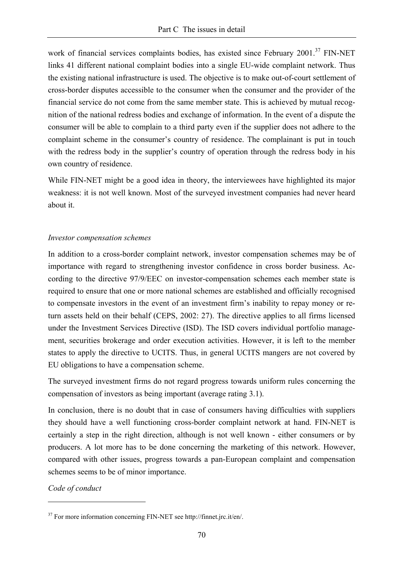work of financial services complaints bodies, has existed since February 2001.<sup>37</sup> FIN-NET links 41 different national complaint bodies into a single EU-wide complaint network. Thus the existing national infrastructure is used. The objective is to make out-of-court settlement of cross-border disputes accessible to the consumer when the consumer and the provider of the financial service do not come from the same member state. This is achieved by mutual recognition of the national redress bodies and exchange of information. In the event of a dispute the consumer will be able to complain to a third party even if the supplier does not adhere to the complaint scheme in the consumer's country of residence. The complainant is put in touch with the redress body in the supplier's country of operation through the redress body in his own country of residence.

While FIN-NET might be a good idea in theory, the interviewees have highlighted its major weakness: it is not well known. Most of the surveyed investment companies had never heard about it.

#### *Investor compensation schemes*

In addition to a cross-border complaint network, investor compensation schemes may be of importance with regard to strengthening investor confidence in cross border business. According to the directive 97/9/EEC on investor-compensation schemes each member state is required to ensure that one or more national schemes are established and officially recognised to compensate investors in the event of an investment firm's inability to repay money or return assets held on their behalf (CEPS, 2002: 27). The directive applies to all firms licensed under the Investment Services Directive (ISD). The ISD covers individual portfolio management, securities brokerage and order execution activities. However, it is left to the member states to apply the directive to UCITS. Thus, in general UCITS mangers are not covered by EU obligations to have a compensation scheme.

The surveyed investment firms do not regard progress towards uniform rules concerning the compensation of investors as being important (average rating 3.1).

In conclusion, there is no doubt that in case of consumers having difficulties with suppliers they should have a well functioning cross-border complaint network at hand. FIN-NET is certainly a step in the right direction, although is not well known - either consumers or by producers. A lot more has to be done concerning the marketing of this network. However, compared with other issues, progress towards a pan-European complaint and compensation schemes seems to be of minor importance.

*Code of conduct* 

<sup>&</sup>lt;sup>37</sup> For more information concerning FIN-NET see http://finnet.jrc.it/en/.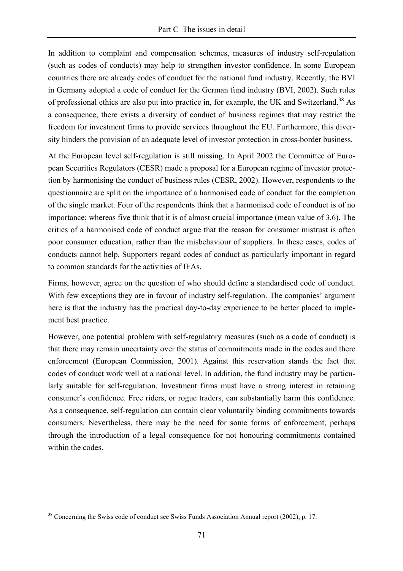In addition to complaint and compensation schemes, measures of industry self-regulation (such as codes of conducts) may help to strengthen investor confidence. In some European countries there are already codes of conduct for the national fund industry. Recently, the BVI in Germany adopted a code of conduct for the German fund industry (BVI, 2002). Such rules of professional ethics are also put into practice in, for example, the UK and Switzerland.<sup>38</sup> As a consequence, there exists a diversity of conduct of business regimes that may restrict the freedom for investment firms to provide services throughout the EU. Furthermore, this diversity hinders the provision of an adequate level of investor protection in cross-border business.

At the European level self-regulation is still missing. In April 2002 the Committee of European Securities Regulators (CESR) made a proposal for a European regime of investor protection by harmonising the conduct of business rules (CESR, 2002). However, respondents to the questionnaire are split on the importance of a harmonised code of conduct for the completion of the single market. Four of the respondents think that a harmonised code of conduct is of no importance; whereas five think that it is of almost crucial importance (mean value of 3.6). The critics of a harmonised code of conduct argue that the reason for consumer mistrust is often poor consumer education, rather than the misbehaviour of suppliers. In these cases, codes of conducts cannot help. Supporters regard codes of conduct as particularly important in regard to common standards for the activities of IFAs.

Firms, however, agree on the question of who should define a standardised code of conduct. With few exceptions they are in favour of industry self-regulation. The companies' argument here is that the industry has the practical day-to-day experience to be better placed to implement best practice.

However, one potential problem with self-regulatory measures (such as a code of conduct) is that there may remain uncertainty over the status of commitments made in the codes and there enforcement (European Commission, 2001). Against this reservation stands the fact that codes of conduct work well at a national level. In addition, the fund industry may be particularly suitable for self-regulation. Investment firms must have a strong interest in retaining consumer's confidence. Free riders, or rogue traders, can substantially harm this confidence. As a consequence, self-regulation can contain clear voluntarily binding commitments towards consumers. Nevertheless, there may be the need for some forms of enforcement, perhaps through the introduction of a legal consequence for not honouring commitments contained within the codes

<sup>&</sup>lt;sup>38</sup> Concerning the Swiss code of conduct see Swiss Funds Association Annual report (2002), p. 17.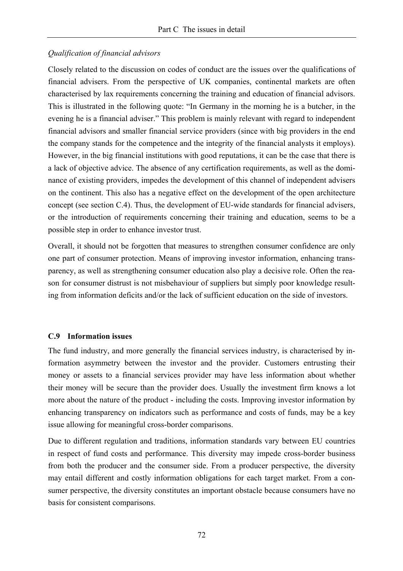# *Qualification of financial advisors*

Closely related to the discussion on codes of conduct are the issues over the qualifications of financial advisers. From the perspective of UK companies, continental markets are often characterised by lax requirements concerning the training and education of financial advisors. This is illustrated in the following quote: "In Germany in the morning he is a butcher, in the evening he is a financial adviser." This problem is mainly relevant with regard to independent financial advisors and smaller financial service providers (since with big providers in the end the company stands for the competence and the integrity of the financial analysts it employs). However, in the big financial institutions with good reputations, it can be the case that there is a lack of objective advice. The absence of any certification requirements, as well as the dominance of existing providers, impedes the development of this channel of independent advisers on the continent. This also has a negative effect on the development of the open architecture concept (see section C.4). Thus, the development of EU-wide standards for financial advisers, or the introduction of requirements concerning their training and education, seems to be a possible step in order to enhance investor trust.

Overall, it should not be forgotten that measures to strengthen consumer confidence are only one part of consumer protection. Means of improving investor information, enhancing transparency, as well as strengthening consumer education also play a decisive role. Often the reason for consumer distrust is not misbehaviour of suppliers but simply poor knowledge resulting from information deficits and/or the lack of sufficient education on the side of investors.

#### **C.9 Information issues**

The fund industry, and more generally the financial services industry, is characterised by information asymmetry between the investor and the provider. Customers entrusting their money or assets to a financial services provider may have less information about whether their money will be secure than the provider does. Usually the investment firm knows a lot more about the nature of the product - including the costs. Improving investor information by enhancing transparency on indicators such as performance and costs of funds, may be a key issue allowing for meaningful cross-border comparisons.

Due to different regulation and traditions, information standards vary between EU countries in respect of fund costs and performance. This diversity may impede cross-border business from both the producer and the consumer side. From a producer perspective, the diversity may entail different and costly information obligations for each target market. From a consumer perspective, the diversity constitutes an important obstacle because consumers have no basis for consistent comparisons.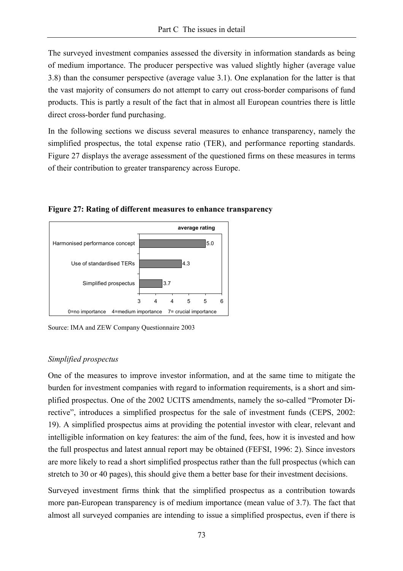The surveyed investment companies assessed the diversity in information standards as being of medium importance. The producer perspective was valued slightly higher (average value 3.8) than the consumer perspective (average value 3.1). One explanation for the latter is that the vast majority of consumers do not attempt to carry out cross-border comparisons of fund products. This is partly a result of the fact that in almost all European countries there is little direct cross-border fund purchasing.

In the following sections we discuss several measures to enhance transparency, namely the simplified prospectus, the total expense ratio (TER), and performance reporting standards. Figure 27 displays the average assessment of the questioned firms on these measures in terms of their contribution to greater transparency across Europe.



**Figure 27: Rating of different measures to enhance transparency** 

Source: IMA and ZEW Company Questionnaire 2003

### *Simplified prospectus*

One of the measures to improve investor information, and at the same time to mitigate the burden for investment companies with regard to information requirements, is a short and simplified prospectus. One of the 2002 UCITS amendments, namely the so-called "Promoter Directive", introduces a simplified prospectus for the sale of investment funds (CEPS, 2002: 19). A simplified prospectus aims at providing the potential investor with clear, relevant and intelligible information on key features: the aim of the fund, fees, how it is invested and how the full prospectus and latest annual report may be obtained (FEFSI, 1996: 2). Since investors are more likely to read a short simplified prospectus rather than the full prospectus (which can stretch to 30 or 40 pages), this should give them a better base for their investment decisions.

Surveyed investment firms think that the simplified prospectus as a contribution towards more pan-European transparency is of medium importance (mean value of 3.7). The fact that almost all surveyed companies are intending to issue a simplified prospectus, even if there is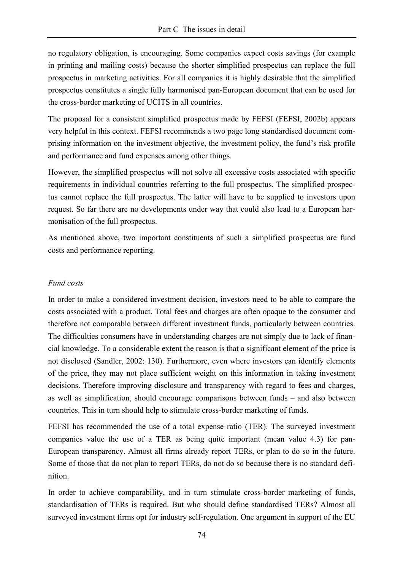no regulatory obligation, is encouraging. Some companies expect costs savings (for example in printing and mailing costs) because the shorter simplified prospectus can replace the full prospectus in marketing activities. For all companies it is highly desirable that the simplified prospectus constitutes a single fully harmonised pan-European document that can be used for the cross-border marketing of UCITS in all countries.

The proposal for a consistent simplified prospectus made by FEFSI (FEFSI, 2002b) appears very helpful in this context. FEFSI recommends a two page long standardised document comprising information on the investment objective, the investment policy, the fund's risk profile and performance and fund expenses among other things.

However, the simplified prospectus will not solve all excessive costs associated with specific requirements in individual countries referring to the full prospectus. The simplified prospectus cannot replace the full prospectus. The latter will have to be supplied to investors upon request. So far there are no developments under way that could also lead to a European harmonisation of the full prospectus.

As mentioned above, two important constituents of such a simplified prospectus are fund costs and performance reporting.

### *Fund costs*

In order to make a considered investment decision, investors need to be able to compare the costs associated with a product. Total fees and charges are often opaque to the consumer and therefore not comparable between different investment funds, particularly between countries. The difficulties consumers have in understanding charges are not simply due to lack of financial knowledge. To a considerable extent the reason is that a significant element of the price is not disclosed (Sandler, 2002: 130). Furthermore, even where investors can identify elements of the price, they may not place sufficient weight on this information in taking investment decisions. Therefore improving disclosure and transparency with regard to fees and charges, as well as simplification, should encourage comparisons between funds – and also between countries. This in turn should help to stimulate cross-border marketing of funds.

FEFSI has recommended the use of a total expense ratio (TER). The surveyed investment companies value the use of a TER as being quite important (mean value 4.3) for pan-European transparency. Almost all firms already report TERs, or plan to do so in the future. Some of those that do not plan to report TERs, do not do so because there is no standard definition.

In order to achieve comparability, and in turn stimulate cross-border marketing of funds, standardisation of TERs is required. But who should define standardised TERs? Almost all surveyed investment firms opt for industry self-regulation. One argument in support of the EU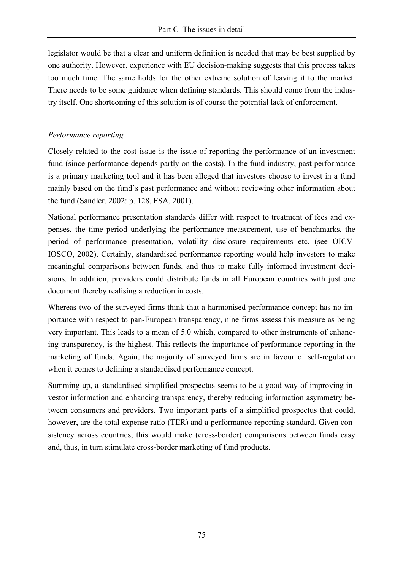legislator would be that a clear and uniform definition is needed that may be best supplied by one authority. However, experience with EU decision-making suggests that this process takes too much time. The same holds for the other extreme solution of leaving it to the market. There needs to be some guidance when defining standards. This should come from the industry itself. One shortcoming of this solution is of course the potential lack of enforcement.

## *Performance reporting*

Closely related to the cost issue is the issue of reporting the performance of an investment fund (since performance depends partly on the costs). In the fund industry, past performance is a primary marketing tool and it has been alleged that investors choose to invest in a fund mainly based on the fund's past performance and without reviewing other information about the fund (Sandler, 2002: p. 128, FSA, 2001).

National performance presentation standards differ with respect to treatment of fees and expenses, the time period underlying the performance measurement, use of benchmarks, the period of performance presentation, volatility disclosure requirements etc. (see OICV-IOSCO, 2002). Certainly, standardised performance reporting would help investors to make meaningful comparisons between funds, and thus to make fully informed investment decisions. In addition, providers could distribute funds in all European countries with just one document thereby realising a reduction in costs.

Whereas two of the surveyed firms think that a harmonised performance concept has no importance with respect to pan-European transparency, nine firms assess this measure as being very important. This leads to a mean of 5.0 which, compared to other instruments of enhancing transparency, is the highest. This reflects the importance of performance reporting in the marketing of funds. Again, the majority of surveyed firms are in favour of self-regulation when it comes to defining a standardised performance concept.

Summing up, a standardised simplified prospectus seems to be a good way of improving investor information and enhancing transparency, thereby reducing information asymmetry between consumers and providers. Two important parts of a simplified prospectus that could, however, are the total expense ratio (TER) and a performance-reporting standard. Given consistency across countries, this would make (cross-border) comparisons between funds easy and, thus, in turn stimulate cross-border marketing of fund products.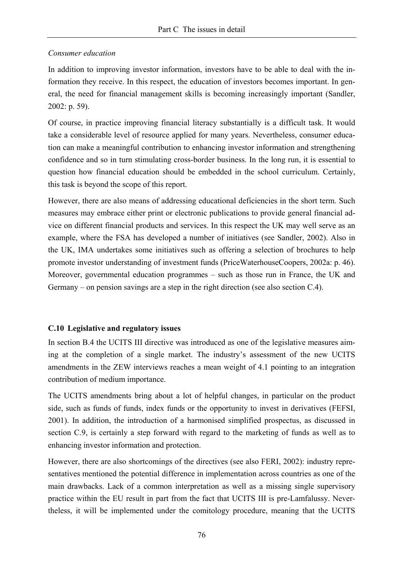### *Consumer education*

In addition to improving investor information, investors have to be able to deal with the information they receive. In this respect, the education of investors becomes important. In general, the need for financial management skills is becoming increasingly important (Sandler, 2002: p. 59).

Of course, in practice improving financial literacy substantially is a difficult task. It would take a considerable level of resource applied for many years. Nevertheless, consumer education can make a meaningful contribution to enhancing investor information and strengthening confidence and so in turn stimulating cross-border business. In the long run, it is essential to question how financial education should be embedded in the school curriculum. Certainly, this task is beyond the scope of this report.

However, there are also means of addressing educational deficiencies in the short term. Such measures may embrace either print or electronic publications to provide general financial advice on different financial products and services. In this respect the UK may well serve as an example, where the FSA has developed a number of initiatives (see Sandler, 2002). Also in the UK, IMA undertakes some initiatives such as offering a selection of brochures to help promote investor understanding of investment funds (PriceWaterhouseCoopers, 2002a: p. 46). Moreover, governmental education programmes – such as those run in France, the UK and Germany – on pension savings are a step in the right direction (see also section C.4).

### **C.10 Legislative and regulatory issues**

In section B.4 the UCITS III directive was introduced as one of the legislative measures aiming at the completion of a single market. The industry's assessment of the new UCITS amendments in the ZEW interviews reaches a mean weight of 4.1 pointing to an integration contribution of medium importance.

The UCITS amendments bring about a lot of helpful changes, in particular on the product side, such as funds of funds, index funds or the opportunity to invest in derivatives (FEFSI, 2001). In addition, the introduction of a harmonised simplified prospectus, as discussed in section C.9, is certainly a step forward with regard to the marketing of funds as well as to enhancing investor information and protection.

However, there are also shortcomings of the directives (see also FERI, 2002): industry representatives mentioned the potential difference in implementation across countries as one of the main drawbacks. Lack of a common interpretation as well as a missing single supervisory practice within the EU result in part from the fact that UCITS III is pre-Lamfalussy. Nevertheless, it will be implemented under the comitology procedure, meaning that the UCITS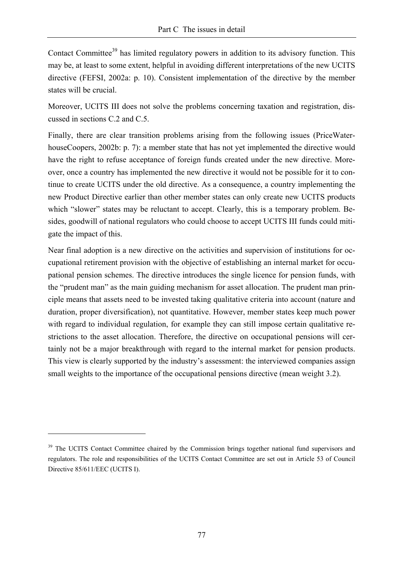Contact Committee<sup>39</sup> has limited regulatory powers in addition to its advisory function. This may be, at least to some extent, helpful in avoiding different interpretations of the new UCITS directive (FEFSI, 2002a: p. 10). Consistent implementation of the directive by the member states will be crucial.

Moreover, UCITS III does not solve the problems concerning taxation and registration, discussed in sections C.2 and C.5.

Finally, there are clear transition problems arising from the following issues (PriceWaterhouseCoopers, 2002b: p. 7): a member state that has not yet implemented the directive would have the right to refuse acceptance of foreign funds created under the new directive. Moreover, once a country has implemented the new directive it would not be possible for it to continue to create UCITS under the old directive. As a consequence, a country implementing the new Product Directive earlier than other member states can only create new UCITS products which "slower" states may be reluctant to accept. Clearly, this is a temporary problem. Besides, goodwill of national regulators who could choose to accept UCITS III funds could mitigate the impact of this.

Near final adoption is a new directive on the activities and supervision of institutions for occupational retirement provision with the objective of establishing an internal market for occupational pension schemes. The directive introduces the single licence for pension funds, with the "prudent man" as the main guiding mechanism for asset allocation. The prudent man principle means that assets need to be invested taking qualitative criteria into account (nature and duration, proper diversification), not quantitative. However, member states keep much power with regard to individual regulation, for example they can still impose certain qualitative restrictions to the asset allocation. Therefore, the directive on occupational pensions will certainly not be a major breakthrough with regard to the internal market for pension products. This view is clearly supported by the industry's assessment: the interviewed companies assign small weights to the importance of the occupational pensions directive (mean weight 3.2).

 $\overline{a}$ 

<sup>&</sup>lt;sup>39</sup> The UCITS Contact Committee chaired by the Commission brings together national fund supervisors and regulators. The role and responsibilities of the UCITS Contact Committee are set out in Article 53 of Council Directive 85/611/EEC (UCITS I).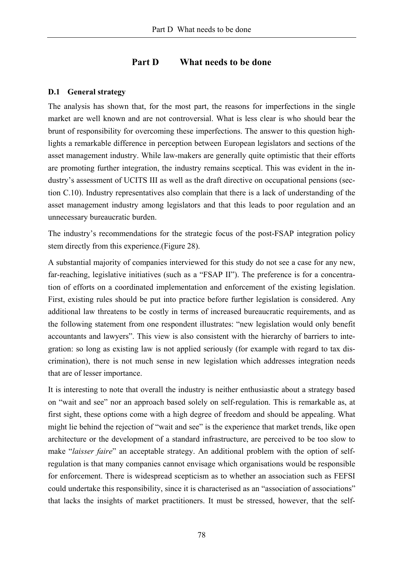# **Part D What needs to be done**

# **D.1 General strategy**

The analysis has shown that, for the most part, the reasons for imperfections in the single market are well known and are not controversial. What is less clear is who should bear the brunt of responsibility for overcoming these imperfections. The answer to this question highlights a remarkable difference in perception between European legislators and sections of the asset management industry. While law-makers are generally quite optimistic that their efforts are promoting further integration, the industry remains sceptical. This was evident in the industry's assessment of UCITS III as well as the draft directive on occupational pensions (section C.10). Industry representatives also complain that there is a lack of understanding of the asset management industry among legislators and that this leads to poor regulation and an unnecessary bureaucratic burden.

The industry's recommendations for the strategic focus of the post-FSAP integration policy stem directly from this experience.(Figure 28).

A substantial majority of companies interviewed for this study do not see a case for any new, far-reaching, legislative initiatives (such as a "FSAP II"). The preference is for a concentration of efforts on a coordinated implementation and enforcement of the existing legislation. First, existing rules should be put into practice before further legislation is considered. Any additional law threatens to be costly in terms of increased bureaucratic requirements, and as the following statement from one respondent illustrates: "new legislation would only benefit accountants and lawyers". This view is also consistent with the hierarchy of barriers to integration: so long as existing law is not applied seriously (for example with regard to tax discrimination), there is not much sense in new legislation which addresses integration needs that are of lesser importance.

It is interesting to note that overall the industry is neither enthusiastic about a strategy based on "wait and see" nor an approach based solely on self-regulation. This is remarkable as, at first sight, these options come with a high degree of freedom and should be appealing. What might lie behind the rejection of "wait and see" is the experience that market trends, like open architecture or the development of a standard infrastructure, are perceived to be too slow to make "*laisser faire*" an acceptable strategy. An additional problem with the option of selfregulation is that many companies cannot envisage which organisations would be responsible for enforcement. There is widespread scepticism as to whether an association such as FEFSI could undertake this responsibility, since it is characterised as an "association of associations" that lacks the insights of market practitioners. It must be stressed, however, that the self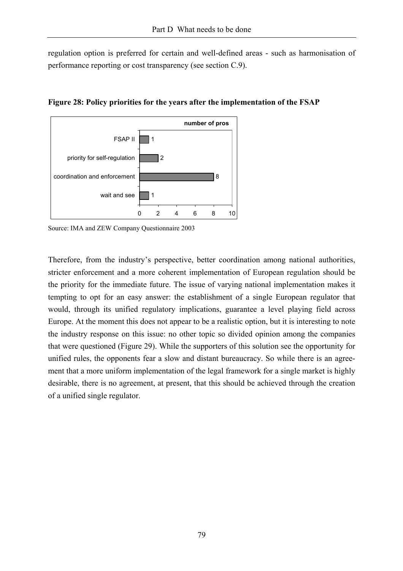regulation option is preferred for certain and well-defined areas - such as harmonisation of performance reporting or cost transparency (see section C.9).



**Figure 28: Policy priorities for the years after the implementation of the FSAP** 

Source: IMA and ZEW Company Questionnaire 2003

Therefore, from the industry's perspective, better coordination among national authorities, stricter enforcement and a more coherent implementation of European regulation should be the priority for the immediate future. The issue of varying national implementation makes it tempting to opt for an easy answer: the establishment of a single European regulator that would, through its unified regulatory implications, guarantee a level playing field across Europe. At the moment this does not appear to be a realistic option, but it is interesting to note the industry response on this issue: no other topic so divided opinion among the companies that were questioned (Figure 29). While the supporters of this solution see the opportunity for unified rules, the opponents fear a slow and distant bureaucracy. So while there is an agreement that a more uniform implementation of the legal framework for a single market is highly desirable, there is no agreement, at present, that this should be achieved through the creation of a unified single regulator.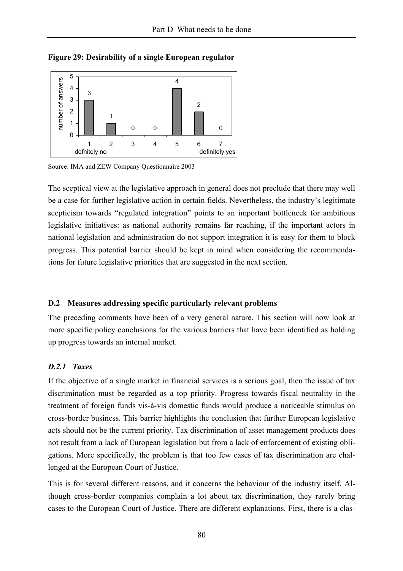

**Figure 29: Desirability of a single European regulator** 

Source: IMA and ZEW Company Questionnaire 2003

The sceptical view at the legislative approach in general does not preclude that there may well be a case for further legislative action in certain fields. Nevertheless, the industry's legitimate scepticism towards "regulated integration" points to an important bottleneck for ambitious legislative initiatives: as national authority remains far reaching, if the important actors in national legislation and administration do not support integration it is easy for them to block progress. This potential barrier should be kept in mind when considering the recommendations for future legislative priorities that are suggested in the next section.

#### **D.2 Measures addressing specific particularly relevant problems**

The preceding comments have been of a very general nature. This section will now look at more specific policy conclusions for the various barriers that have been identified as holding up progress towards an internal market.

#### *D.2.1 Taxes*

If the objective of a single market in financial services is a serious goal, then the issue of tax discrimination must be regarded as a top priority. Progress towards fiscal neutrality in the treatment of foreign funds vis-à-vis domestic funds would produce a noticeable stimulus on cross-border business. This barrier highlights the conclusion that further European legislative acts should not be the current priority. Tax discrimination of asset management products does not result from a lack of European legislation but from a lack of enforcement of existing obligations. More specifically, the problem is that too few cases of tax discrimination are challenged at the European Court of Justice.

This is for several different reasons, and it concerns the behaviour of the industry itself. Although cross-border companies complain a lot about tax discrimination, they rarely bring cases to the European Court of Justice. There are different explanations. First, there is a clas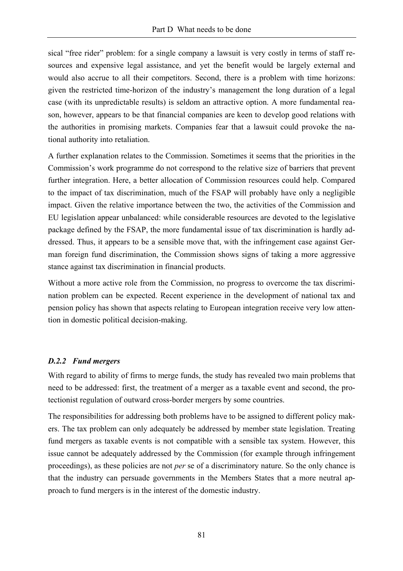sical "free rider" problem: for a single company a lawsuit is very costly in terms of staff resources and expensive legal assistance, and yet the benefit would be largely external and would also accrue to all their competitors. Second, there is a problem with time horizons: given the restricted time-horizon of the industry's management the long duration of a legal case (with its unpredictable results) is seldom an attractive option. A more fundamental reason, however, appears to be that financial companies are keen to develop good relations with the authorities in promising markets. Companies fear that a lawsuit could provoke the national authority into retaliation.

A further explanation relates to the Commission. Sometimes it seems that the priorities in the Commission's work programme do not correspond to the relative size of barriers that prevent further integration. Here, a better allocation of Commission resources could help. Compared to the impact of tax discrimination, much of the FSAP will probably have only a negligible impact. Given the relative importance between the two, the activities of the Commission and EU legislation appear unbalanced: while considerable resources are devoted to the legislative package defined by the FSAP, the more fundamental issue of tax discrimination is hardly addressed. Thus, it appears to be a sensible move that, with the infringement case against German foreign fund discrimination, the Commission shows signs of taking a more aggressive stance against tax discrimination in financial products.

Without a more active role from the Commission, no progress to overcome the tax discrimination problem can be expected. Recent experience in the development of national tax and pension policy has shown that aspects relating to European integration receive very low attention in domestic political decision-making.

# *D.2.2 Fund mergers*

With regard to ability of firms to merge funds, the study has revealed two main problems that need to be addressed: first, the treatment of a merger as a taxable event and second, the protectionist regulation of outward cross-border mergers by some countries.

The responsibilities for addressing both problems have to be assigned to different policy makers. The tax problem can only adequately be addressed by member state legislation. Treating fund mergers as taxable events is not compatible with a sensible tax system. However, this issue cannot be adequately addressed by the Commission (for example through infringement proceedings), as these policies are not *per* se of a discriminatory nature. So the only chance is that the industry can persuade governments in the Members States that a more neutral approach to fund mergers is in the interest of the domestic industry.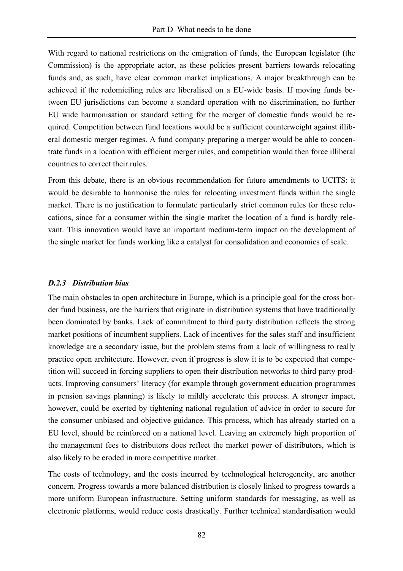With regard to national restrictions on the emigration of funds, the European legislator (the Commission) is the appropriate actor, as these policies present barriers towards relocating funds and, as such, have clear common market implications. A major breakthrough can be achieved if the redomiciling rules are liberalised on a EU-wide basis. If moving funds between EU jurisdictions can become a standard operation with no discrimination, no further EU wide harmonisation or standard setting for the merger of domestic funds would be required. Competition between fund locations would be a sufficient counterweight against illiberal domestic merger regimes. A fund company preparing a merger would be able to concentrate funds in a location with efficient merger rules, and competition would then force illiberal countries to correct their rules.

From this debate, there is an obvious recommendation for future amendments to UCITS: it would be desirable to harmonise the rules for relocating investment funds within the single market. There is no justification to formulate particularly strict common rules for these relocations, since for a consumer within the single market the location of a fund is hardly relevant. This innovation would have an important medium-term impact on the development of the single market for funds working like a catalyst for consolidation and economies of scale.

#### *D.2.3 Distribution bias*

The main obstacles to open architecture in Europe, which is a principle goal for the cross border fund business, are the barriers that originate in distribution systems that have traditionally been dominated by banks. Lack of commitment to third party distribution reflects the strong market positions of incumbent suppliers. Lack of incentives for the sales staff and insufficient knowledge are a secondary issue, but the problem stems from a lack of willingness to really practice open architecture. However, even if progress is slow it is to be expected that competition will succeed in forcing suppliers to open their distribution networks to third party products. Improving consumers' literacy (for example through government education programmes in pension savings planning) is likely to mildly accelerate this process. A stronger impact, however, could be exerted by tightening national regulation of advice in order to secure for the consumer unbiased and objective guidance. This process, which has already started on a EU level, should be reinforced on a national level. Leaving an extremely high proportion of the management fees to distributors does reflect the market power of distributors, which is also likely to be eroded in more competitive market.

The costs of technology, and the costs incurred by technological heterogeneity, are another concern. Progress towards a more balanced distribution is closely linked to progress towards a more uniform European infrastructure. Setting uniform standards for messaging, as well as electronic platforms, would reduce costs drastically. Further technical standardisation would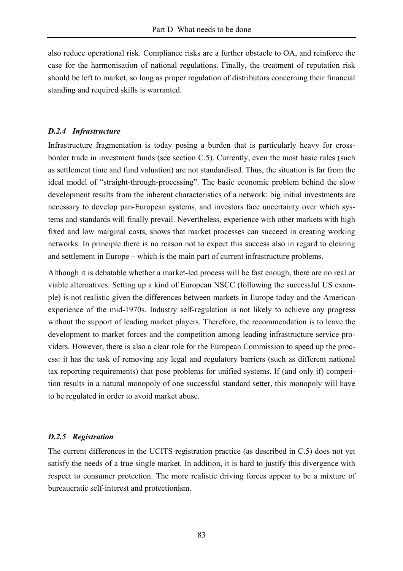also reduce operational risk. Compliance risks are a further obstacle to OA, and reinforce the case for the harmonisation of national regulations. Finally, the treatment of reputation risk should be left to market, so long as proper regulation of distributors concerning their financial standing and required skills is warranted.

#### *D.2.4 Infrastructure*

Infrastructure fragmentation is today posing a burden that is particularly heavy for crossborder trade in investment funds (see section C.5). Currently, even the most basic rules (such as settlement time and fund valuation) are not standardised. Thus, the situation is far from the ideal model of "straight-through-processing". The basic economic problem behind the slow development results from the inherent characteristics of a network: big initial investments are necessary to develop pan-European systems, and investors face uncertainty over which systems and standards will finally prevail. Nevertheless, experience with other markets with high fixed and low marginal costs, shows that market processes can succeed in creating working networks. In principle there is no reason not to expect this success also in regard to clearing and settlement in Europe – which is the main part of current infrastructure problems.

Although it is debatable whether a market-led process will be fast enough, there are no real or viable alternatives. Setting up a kind of European NSCC (following the successful US example) is not realistic given the differences between markets in Europe today and the American experience of the mid-1970s. Industry self-regulation is not likely to achieve any progress without the support of leading market players. Therefore, the recommendation is to leave the development to market forces and the competition among leading infrastructure service providers. However, there is also a clear role for the European Commission to speed up the process: it has the task of removing any legal and regulatory barriers (such as different national tax reporting requirements) that pose problems for unified systems. If (and only if) competition results in a natural monopoly of one successful standard setter, this monopoly will have to be regulated in order to avoid market abuse.

#### *D.2.5 Registration*

The current differences in the UCITS registration practice (as described in C.5) does not yet satisfy the needs of a true single market. In addition, it is hard to justify this divergence with respect to consumer protection. The more realistic driving forces appear to be a mixture of bureaucratic self-interest and protectionism.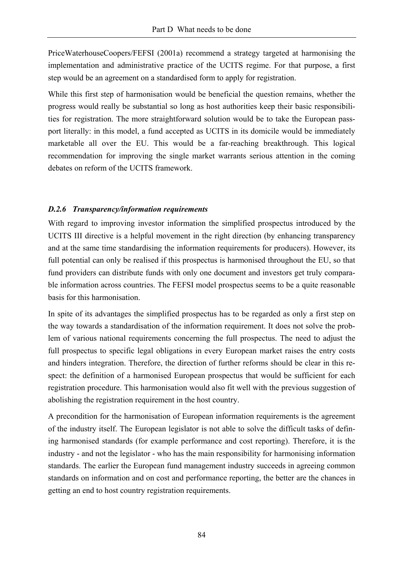PriceWaterhouseCoopers/FEFSI (2001a) recommend a strategy targeted at harmonising the implementation and administrative practice of the UCITS regime. For that purpose, a first step would be an agreement on a standardised form to apply for registration.

While this first step of harmonisation would be beneficial the question remains, whether the progress would really be substantial so long as host authorities keep their basic responsibilities for registration. The more straightforward solution would be to take the European passport literally: in this model, a fund accepted as UCITS in its domicile would be immediately marketable all over the EU. This would be a far-reaching breakthrough. This logical recommendation for improving the single market warrants serious attention in the coming debates on reform of the UCITS framework.

# *D.2.6 Transparency/information requirements*

With regard to improving investor information the simplified prospectus introduced by the UCITS III directive is a helpful movement in the right direction (by enhancing transparency and at the same time standardising the information requirements for producers). However, its full potential can only be realised if this prospectus is harmonised throughout the EU, so that fund providers can distribute funds with only one document and investors get truly comparable information across countries. The FEFSI model prospectus seems to be a quite reasonable basis for this harmonisation.

In spite of its advantages the simplified prospectus has to be regarded as only a first step on the way towards a standardisation of the information requirement. It does not solve the problem of various national requirements concerning the full prospectus. The need to adjust the full prospectus to specific legal obligations in every European market raises the entry costs and hinders integration. Therefore, the direction of further reforms should be clear in this respect: the definition of a harmonised European prospectus that would be sufficient for each registration procedure. This harmonisation would also fit well with the previous suggestion of abolishing the registration requirement in the host country.

A precondition for the harmonisation of European information requirements is the agreement of the industry itself. The European legislator is not able to solve the difficult tasks of defining harmonised standards (for example performance and cost reporting). Therefore, it is the industry - and not the legislator - who has the main responsibility for harmonising information standards. The earlier the European fund management industry succeeds in agreeing common standards on information and on cost and performance reporting, the better are the chances in getting an end to host country registration requirements.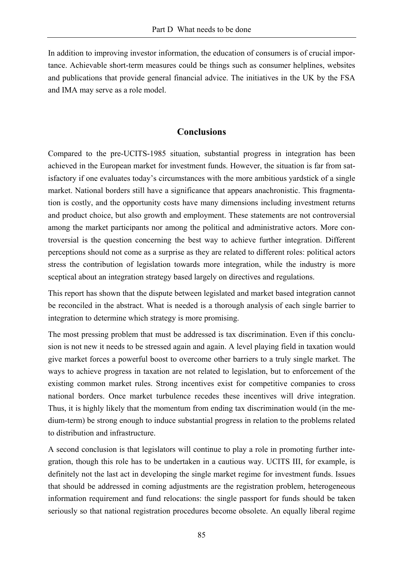In addition to improving investor information, the education of consumers is of crucial importance. Achievable short-term measures could be things such as consumer helplines, websites and publications that provide general financial advice. The initiatives in the UK by the FSA and IMA may serve as a role model.

# **Conclusions**

Compared to the pre-UCITS-1985 situation, substantial progress in integration has been achieved in the European market for investment funds. However, the situation is far from satisfactory if one evaluates today's circumstances with the more ambitious yardstick of a single market. National borders still have a significance that appears anachronistic. This fragmentation is costly, and the opportunity costs have many dimensions including investment returns and product choice, but also growth and employment. These statements are not controversial among the market participants nor among the political and administrative actors. More controversial is the question concerning the best way to achieve further integration. Different perceptions should not come as a surprise as they are related to different roles: political actors stress the contribution of legislation towards more integration, while the industry is more sceptical about an integration strategy based largely on directives and regulations.

This report has shown that the dispute between legislated and market based integration cannot be reconciled in the abstract. What is needed is a thorough analysis of each single barrier to integration to determine which strategy is more promising.

The most pressing problem that must be addressed is tax discrimination. Even if this conclusion is not new it needs to be stressed again and again. A level playing field in taxation would give market forces a powerful boost to overcome other barriers to a truly single market. The ways to achieve progress in taxation are not related to legislation, but to enforcement of the existing common market rules. Strong incentives exist for competitive companies to cross national borders. Once market turbulence recedes these incentives will drive integration. Thus, it is highly likely that the momentum from ending tax discrimination would (in the medium-term) be strong enough to induce substantial progress in relation to the problems related to distribution and infrastructure.

A second conclusion is that legislators will continue to play a role in promoting further integration, though this role has to be undertaken in a cautious way. UCITS III, for example, is definitely not the last act in developing the single market regime for investment funds. Issues that should be addressed in coming adjustments are the registration problem, heterogeneous information requirement and fund relocations: the single passport for funds should be taken seriously so that national registration procedures become obsolete. An equally liberal regime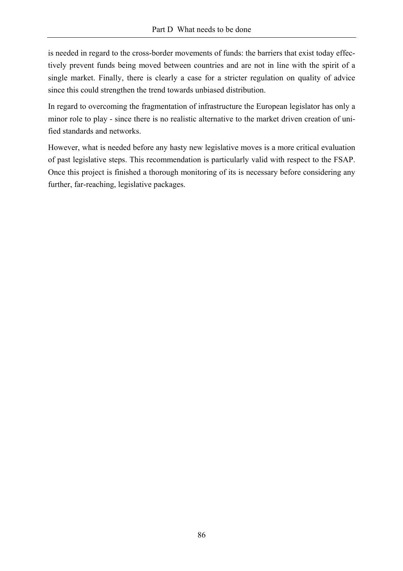is needed in regard to the cross-border movements of funds: the barriers that exist today effectively prevent funds being moved between countries and are not in line with the spirit of a single market. Finally, there is clearly a case for a stricter regulation on quality of advice since this could strengthen the trend towards unbiased distribution.

In regard to overcoming the fragmentation of infrastructure the European legislator has only a minor role to play - since there is no realistic alternative to the market driven creation of unified standards and networks.

However, what is needed before any hasty new legislative moves is a more critical evaluation of past legislative steps. This recommendation is particularly valid with respect to the FSAP. Once this project is finished a thorough monitoring of its is necessary before considering any further, far-reaching, legislative packages.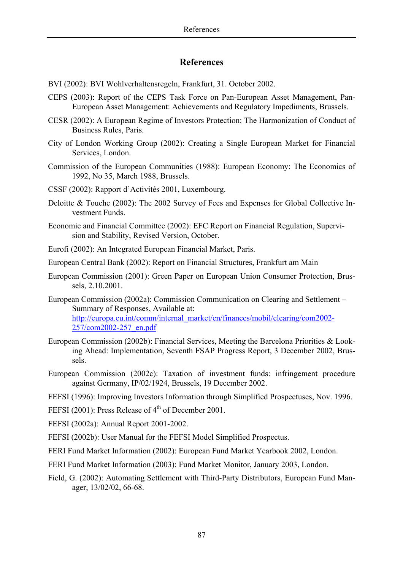# **References**

- BVI (2002): BVI Wohlverhaltensregeln, Frankfurt, 31. October 2002.
- CEPS (2003): Report of the CEPS Task Force on Pan-European Asset Management, Pan-European Asset Management: Achievements and Regulatory Impediments, Brussels.
- CESR (2002): A European Regime of Investors Protection: The Harmonization of Conduct of Business Rules, Paris.
- City of London Working Group (2002): Creating a Single European Market for Financial Services, London.
- Commission of the European Communities (1988): European Economy: The Economics of 1992, No 35, March 1988, Brussels.
- CSSF (2002): Rapport d'Activités 2001, Luxembourg.
- Deloitte & Touche (2002): The 2002 Survey of Fees and Expenses for Global Collective Investment Funds.
- Economic and Financial Committee (2002): EFC Report on Financial Regulation, Supervision and Stability, Revised Version, October.
- Eurofi (2002): An Integrated European Financial Market, Paris.
- European Central Bank (2002): Report on Financial Structures, Frankfurt am Main
- European Commission (2001): Green Paper on European Union Consumer Protection, Brussels, 2.10.2001.
- European Commission (2002a): Commission Communication on Clearing and Settlement Summary of Responses, Available at: http://europa.eu.int/comm/internal\_market/en/finances/mobil/clearing/com2002- 257/com2002-257\_en.pdf
- European Commission (2002b): Financial Services, Meeting the Barcelona Priorities & Looking Ahead: Implementation, Seventh FSAP Progress Report, 3 December 2002, Brussels.
- European Commission (2002c): Taxation of investment funds: infringement procedure against Germany, IP/02/1924, Brussels, 19 December 2002.
- FEFSI (1996): Improving Investors Information through Simplified Prospectuses, Nov. 1996.
- FEFSI (2001): Press Release of 4<sup>th</sup> of December 2001.
- FEFSI (2002a): Annual Report 2001-2002.
- FEFSI (2002b): User Manual for the FEFSI Model Simplified Prospectus.
- FERI Fund Market Information (2002): European Fund Market Yearbook 2002, London.
- FERI Fund Market Information (2003): Fund Market Monitor, January 2003, London.
- Field, G. (2002): Automating Settlement with Third-Party Distributors, European Fund Manager, 13/02/02, 66-68.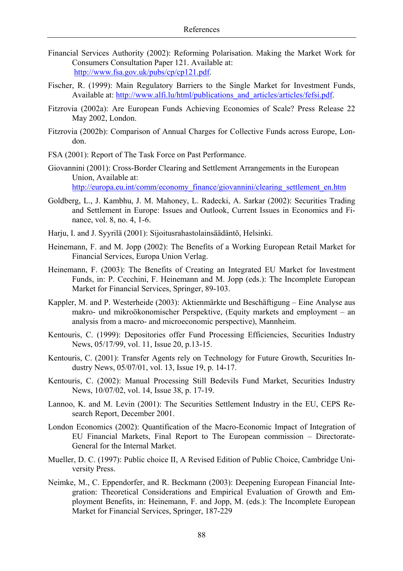- Financial Services Authority (2002): Reforming Polarisation. Making the Market Work for Consumers Consultation Paper 121. Available at: http://www.fsa.gov.uk/pubs/cp/cp121.pdf.
- Fischer, R. (1999): Main Regulatory Barriers to the Single Market for Investment Funds, Available at: http://www.alfi.lu/html/publications\_and\_articles/articles/fefsi.pdf.
- Fitzrovia (2002a): Are European Funds Achieving Economies of Scale? Press Release 22 May 2002, London.
- Fitzrovia (2002b): Comparison of Annual Charges for Collective Funds across Europe, London.
- FSA (2001): Report of The Task Force on Past Performance.
- Giovannini (2001): Cross-Border Clearing and Settlement Arrangements in the European Union, Available at: http://europa.eu.int/comm/economy\_finance/giovannini/clearing\_settlement\_en.htm
- Goldberg, L., J. Kambhu, J. M. Mahoney, L. Radecki, A. Sarkar (2002): Securities Trading and Settlement in Europe: Issues and Outlook, Current Issues in Economics and Finance, vol. 8, no. 4, 1-6.
- Harju, I. and J. Syyrilä (2001): Sijoitusrahastolainsäädäntö, Helsinki.
- Heinemann, F. and M. Jopp (2002): The Benefits of a Working European Retail Market for Financial Services, Europa Union Verlag.
- Heinemann, F. (2003): The Benefits of Creating an Integrated EU Market for Investment Funds, in: P. Cecchini, F. Heinemann and M. Jopp (eds.): The Incomplete European Market for Financial Services, Springer, 89-103.
- Kappler, M. and P. Westerheide (2003): Aktienmärkte und Beschäftigung Eine Analyse aus makro- und mikroökonomischer Perspektive, (Equity markets and employment – an analysis from a macro- and microeconomic perspective), Mannheim.
- Kentouris, C. (1999): Depositories offer Fund Processing Efficiencies, Securities Industry News, 05/17/99, vol. 11, Issue 20, p.13-15.
- Kentouris, C. (2001): Transfer Agents rely on Technology for Future Growth, Securities Industry News, 05/07/01, vol. 13, Issue 19, p. 14-17.
- Kentouris, C. (2002): Manual Processing Still Bedevils Fund Market, Securities Industry News, 10/07/02, vol. 14, Issue 38, p. 17-19.
- Lannoo, K. and M. Levin (2001): The Securities Settlement Industry in the EU, CEPS Research Report, December 2001.
- London Economics (2002): Quantification of the Macro-Economic Impact of Integration of EU Financial Markets, Final Report to The European commission – Directorate-General for the Internal Market.
- Mueller, D. C. (1997): Public choice II, A Revised Edition of Public Choice, Cambridge University Press.
- Neimke, M., C. Eppendorfer, and R. Beckmann (2003): Deepening European Financial Integration: Theoretical Considerations and Empirical Evaluation of Growth and Employment Benefits, in: Heinemann, F. and Jopp, M. (eds.): The Incomplete European Market for Financial Services, Springer, 187-229